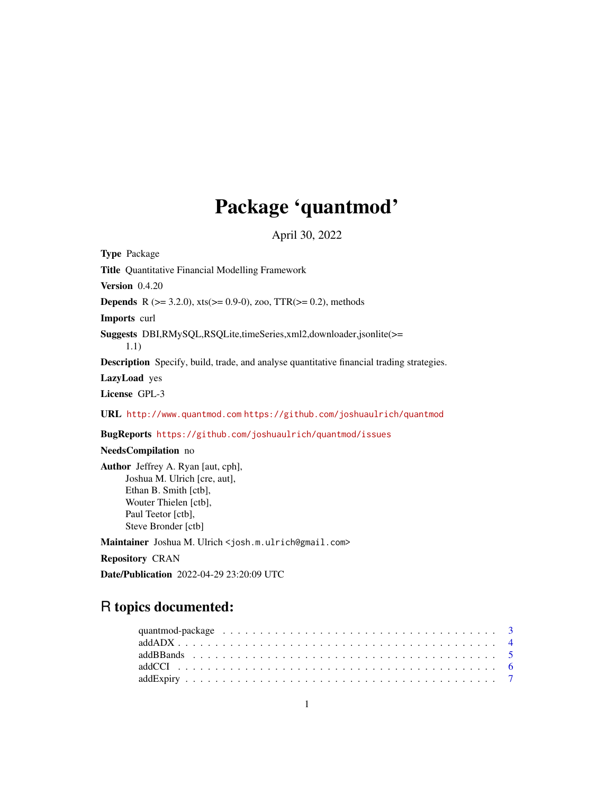# Package 'quantmod'

April 30, 2022

<span id="page-0-0"></span>Type Package Title Quantitative Financial Modelling Framework Version 0.4.20 **Depends** R ( $>= 3.2.0$ ), xts( $>= 0.9-0$ ), zoo, TTR( $>= 0.2$ ), methods Imports curl Suggests DBI,RMySQL,RSQLite,timeSeries,xml2,downloader,jsonlite(>= 1.1) Description Specify, build, trade, and analyse quantitative financial trading strategies. LazyLoad yes License GPL-3 URL <http://www.quantmod.com> <https://github.com/joshuaulrich/quantmod> BugReports <https://github.com/joshuaulrich/quantmod/issues> NeedsCompilation no Author Jeffrey A. Ryan [aut, cph], Joshua M. Ulrich [cre, aut], Ethan B. Smith [ctb], Wouter Thielen [ctb], Paul Teetor [ctb],

Maintainer Joshua M. Ulrich <josh.m.ulrich@gmail.com>

Repository CRAN

Date/Publication 2022-04-29 23:20:09 UTC

# R topics documented:

Steve Bronder [ctb]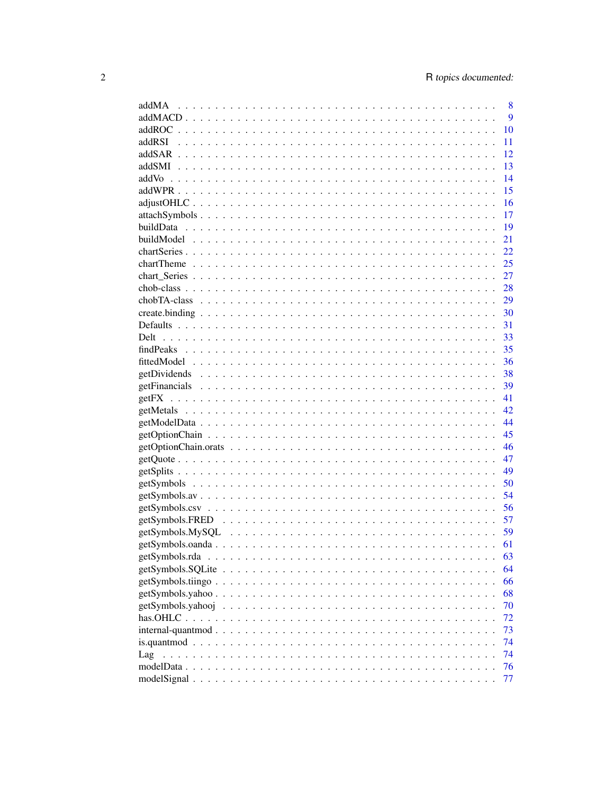| addMA                                                                                                                | 8  |
|----------------------------------------------------------------------------------------------------------------------|----|
|                                                                                                                      | 9  |
|                                                                                                                      | 10 |
| addRSI                                                                                                               | 11 |
|                                                                                                                      | 12 |
| addSMI                                                                                                               | 13 |
| addVo                                                                                                                | 14 |
|                                                                                                                      | 15 |
|                                                                                                                      | 16 |
|                                                                                                                      | 17 |
|                                                                                                                      | 19 |
|                                                                                                                      | 21 |
|                                                                                                                      | 22 |
|                                                                                                                      | 25 |
|                                                                                                                      | 27 |
|                                                                                                                      | 28 |
|                                                                                                                      | 29 |
|                                                                                                                      | 30 |
|                                                                                                                      | 31 |
| Delt                                                                                                                 | 33 |
|                                                                                                                      | 35 |
|                                                                                                                      | 36 |
|                                                                                                                      | 38 |
|                                                                                                                      | 39 |
|                                                                                                                      | 41 |
|                                                                                                                      | 42 |
|                                                                                                                      | 44 |
|                                                                                                                      | 45 |
|                                                                                                                      | 46 |
|                                                                                                                      | 47 |
|                                                                                                                      | 49 |
|                                                                                                                      | 50 |
|                                                                                                                      | 54 |
| $getSymbols.csv \ldots \ldots \ldots \ldots \ldots \ldots \ldots \ldots \ldots \ldots \ldots \ldots$                 | 56 |
|                                                                                                                      | 57 |
|                                                                                                                      | 59 |
|                                                                                                                      | 61 |
|                                                                                                                      | 63 |
|                                                                                                                      | 64 |
| $getSymbols. tting 0 \ldots  \ldots  \ldots  \ldots  \ldots  \ldots  \ldots $                                        | 66 |
|                                                                                                                      | 68 |
| $get Symbols.yahooj \dots \dots \dots \dots \dots \dots \dots \dots \dots \dots \dots \dots \dots \dots \dots$       | 70 |
|                                                                                                                      | 72 |
| $internal-quant mod \dots \dots \dots \dots \dots \dots \dots \dots \dots \dots \dots \dots \dots \dots \dots \dots$ | 73 |
|                                                                                                                      | 74 |
|                                                                                                                      | 74 |
|                                                                                                                      | 76 |
|                                                                                                                      | 77 |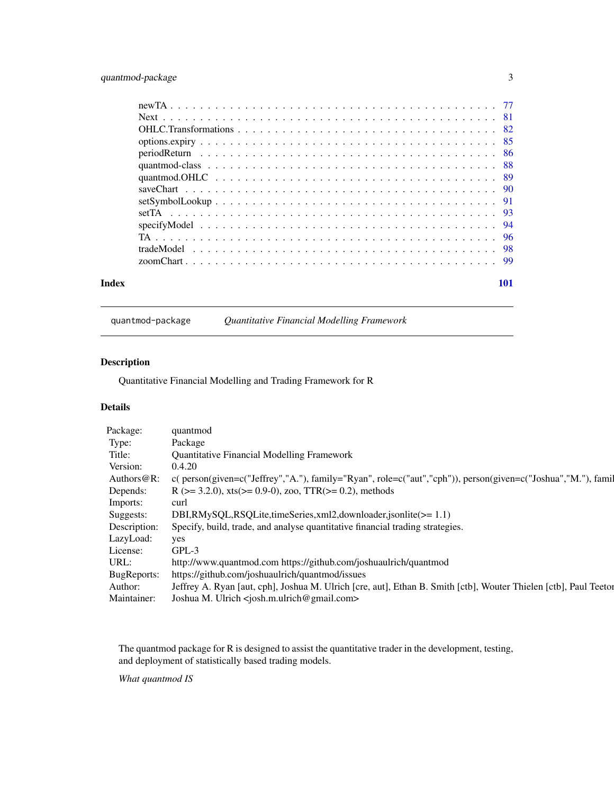# <span id="page-2-0"></span>quantmod-package 3

|       | quantmod.OHLC $\ldots \ldots \ldots \ldots \ldots \ldots \ldots \ldots \ldots \ldots \ldots \ldots \ldots$ |  |
|-------|------------------------------------------------------------------------------------------------------------|--|
|       |                                                                                                            |  |
|       |                                                                                                            |  |
|       |                                                                                                            |  |
|       |                                                                                                            |  |
|       |                                                                                                            |  |
|       |                                                                                                            |  |
|       |                                                                                                            |  |
| Index | 101                                                                                                        |  |

quantmod-package *Quantitative Financial Modelling Framework*

# Description

Quantitative Financial Modelling and Trading Framework for R

#### Details

| Package:           | quantmod                                                                                                               |
|--------------------|------------------------------------------------------------------------------------------------------------------------|
| Type:              | Package                                                                                                                |
| Title:             | <b>Quantitative Financial Modelling Framework</b>                                                                      |
| Version:           | 0.4.20                                                                                                                 |
|                    | Authors@R: c(person(given=c("Jeffrey","A."), family="Ryan", role=c("aut","cph")), person(given=c("Joshua","M."), famil |
| Depends:           | R ( $>= 3.2.0$ ), xts( $>= 0.9-0$ ), zoo, TTR( $>= 0.2$ ), methods                                                     |
| Imports:           | curl                                                                                                                   |
| Suggests:          | DBI,RMySQL,RSQLite,timeSeries,xml2,downloader,jsonlite(>= 1.1)                                                         |
|                    | Description: Specify, build, trade, and analyse quantitative financial trading strategies.                             |
| LazyLoad: yes      |                                                                                                                        |
| License:           | $GPI - 3$                                                                                                              |
| URL:               | http://www.quantmod.com https://github.com/joshuaulrich/quantmod                                                       |
| <b>BugReports:</b> | https://github.com/joshuaulrich/quantmod/issues                                                                        |
| Author:            | Jeffrey A. Ryan [aut, cph], Joshua M. Ulrich [cre, aut], Ethan B. Smith [ctb], Wouter Thielen [ctb], Paul Teetor       |
|                    | Maintainer: Joshua M. Ulrich <josh.m.ulrich@gmail.com></josh.m.ulrich@gmail.com>                                       |

The quantmod package for R is designed to assist the quantitative trader in the development, testing, and deployment of statistically based trading models.

*What quantmod IS*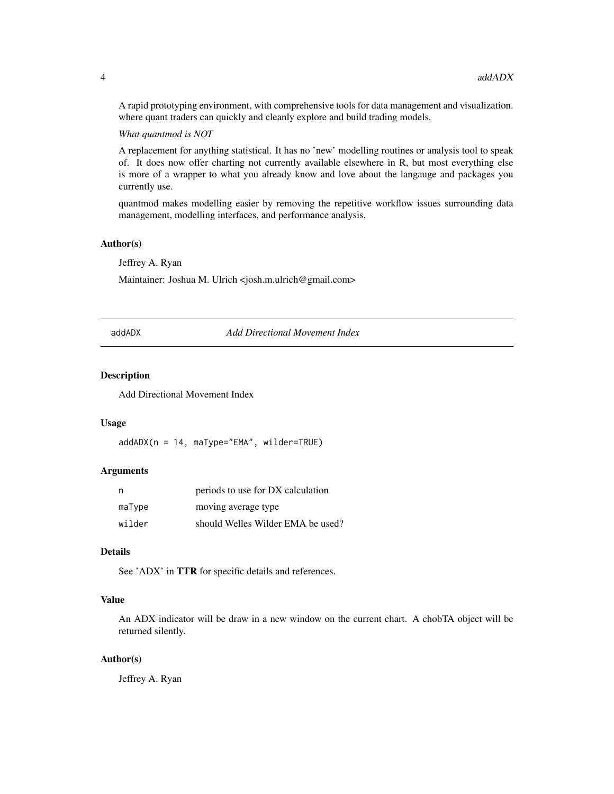<span id="page-3-0"></span>A rapid prototyping environment, with comprehensive tools for data management and visualization. where quant traders can quickly and cleanly explore and build trading models.

#### *What quantmod is NOT*

A replacement for anything statistical. It has no 'new' modelling routines or analysis tool to speak of. It does now offer charting not currently available elsewhere in R, but most everything else is more of a wrapper to what you already know and love about the langauge and packages you currently use.

quantmod makes modelling easier by removing the repetitive workflow issues surrounding data management, modelling interfaces, and performance analysis.

#### Author(s)

Jeffrey A. Ryan

Maintainer: Joshua M. Ulrich <josh.m.ulrich@gmail.com>

addADX *Add Directional Movement Index*

# Description

Add Directional Movement Index

#### Usage

addADX(n = 14, maType="EMA", wilder=TRUE)

#### Arguments

| n      | periods to use for DX calculation |
|--------|-----------------------------------|
| maType | moving average type.              |
| wilder | should Welles Wilder EMA be used? |

# Details

See 'ADX' in TTR for specific details and references.

#### Value

An ADX indicator will be draw in a new window on the current chart. A chobTA object will be returned silently.

#### Author(s)

Jeffrey A. Ryan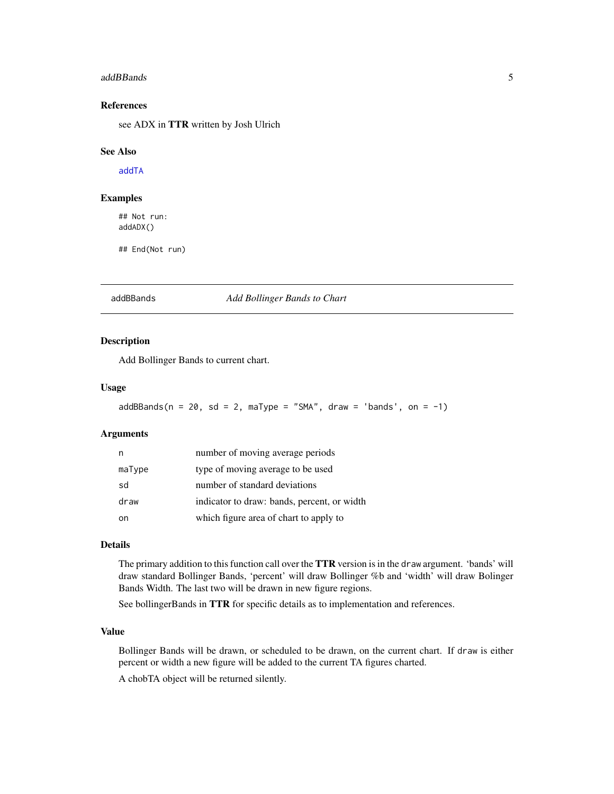#### <span id="page-4-0"></span>addBBands 5

#### References

see ADX in TTR written by Josh Ulrich

#### See Also

[addTA](#page-76-1)

# Examples

## Not run: addADX()

## End(Not run)

addBBands *Add Bollinger Bands to Chart*

#### Description

Add Bollinger Bands to current chart.

#### Usage

```
addBBands(n = 20, sd = 2, maType = "SMA", draw = 'bands', on = -1)
```
#### Arguments

| n      | number of moving average periods            |
|--------|---------------------------------------------|
| maType | type of moving average to be used           |
| sd     | number of standard deviations               |
| draw   | indicator to draw: bands, percent, or width |
| on.    | which figure area of chart to apply to      |

#### Details

The primary addition to this function call over the TTR version is in the draw argument. 'bands' will draw standard Bollinger Bands, 'percent' will draw Bollinger %b and 'width' will draw Bolinger Bands Width. The last two will be drawn in new figure regions.

See bollingerBands in TTR for specific details as to implementation and references.

#### Value

Bollinger Bands will be drawn, or scheduled to be drawn, on the current chart. If draw is either percent or width a new figure will be added to the current TA figures charted.

A chobTA object will be returned silently.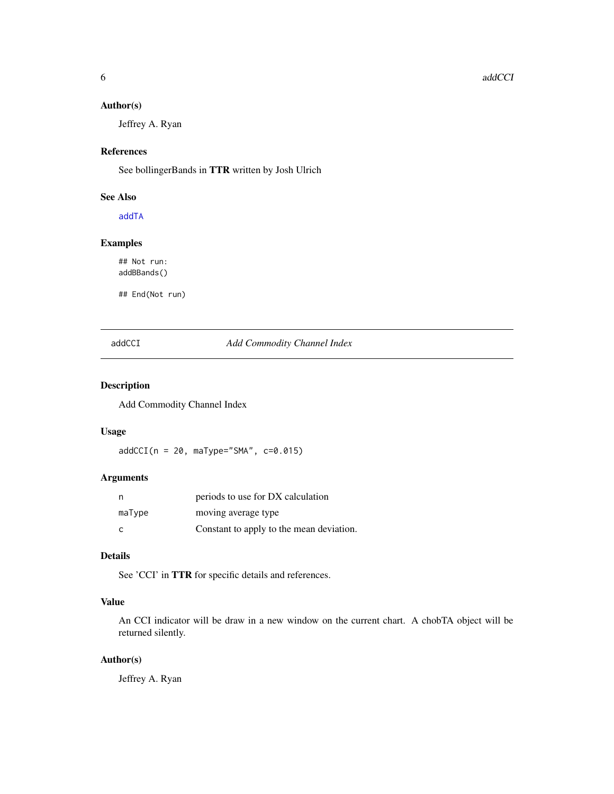#### <span id="page-5-0"></span>Author(s)

Jeffrey A. Ryan

# References

See bollingerBands in TTR written by Josh Ulrich

#### See Also

[addTA](#page-76-1)

# Examples

## Not run: addBBands()

## End(Not run)

# addCCI *Add Commodity Channel Index*

# Description

Add Commodity Channel Index

#### Usage

 $addCCI(n = 20, maType="SMA", c=0.015)$ 

# Arguments

| n            | periods to use for DX calculation        |
|--------------|------------------------------------------|
| maType       | moving average type.                     |
| $\mathsf{C}$ | Constant to apply to the mean deviation. |

# Details

See 'CCI' in TTR for specific details and references.

# Value

An CCI indicator will be draw in a new window on the current chart. A chobTA object will be returned silently.

# Author(s)

Jeffrey A. Ryan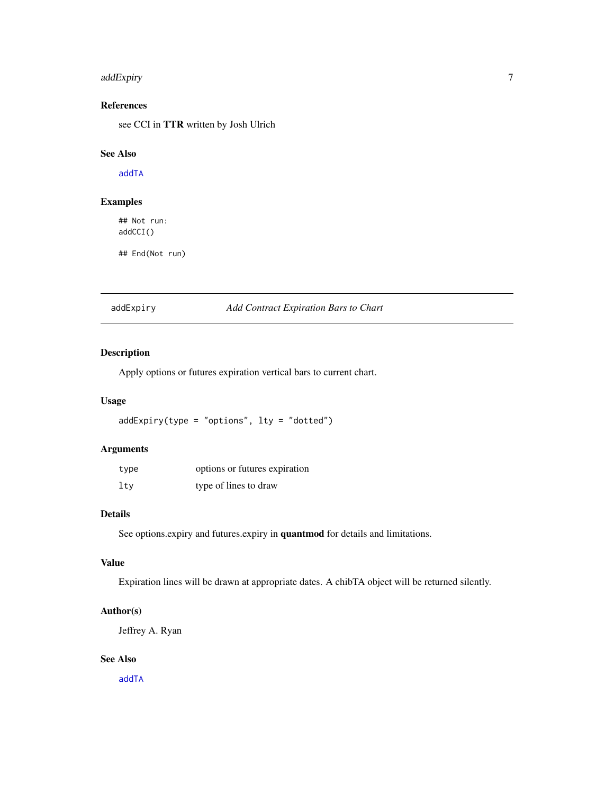# <span id="page-6-0"></span>addExpiry 7

# References

see CCI in TTR written by Josh Ulrich

# See Also

[addTA](#page-76-1)

# Examples

## Not run: addCCI()

## End(Not run)

# addExpiry *Add Contract Expiration Bars to Chart*

# Description

Apply options or futures expiration vertical bars to current chart.

#### Usage

```
addExpiry(type = "options", lty = "dotted")
```
# Arguments

| type | options or futures expiration |
|------|-------------------------------|
| ltv  | type of lines to draw         |

#### Details

See options.expiry and futures.expiry in **quantmod** for details and limitations.

# Value

Expiration lines will be drawn at appropriate dates. A chibTA object will be returned silently.

#### Author(s)

Jeffrey A. Ryan

# See Also

[addTA](#page-76-1)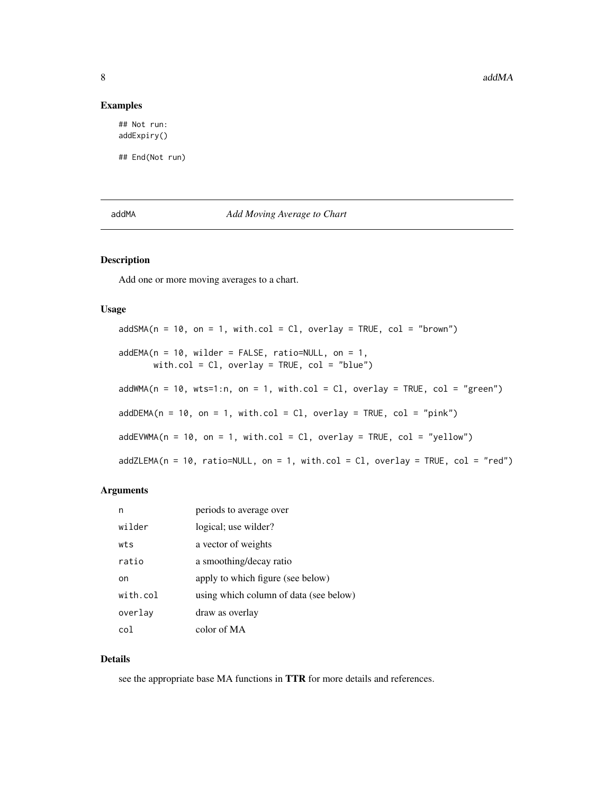#### <span id="page-7-0"></span>Examples

## Not run: addExpiry()

## End(Not run)

# addMA *Add Moving Average to Chart*

# Description

Add one or more moving averages to a chart.

# Usage

```
addSMA(n = 10, on = 1, with.col = Cl, overlap = TRUE, col = "brown")addEMA(n = 10, wilder = FALSE, ratio=NULL, on = 1,with.col = Cl, overlay = TRUE, col = "blue")
addWMA(n = 10, wts=1:n, on = 1, with.col = Cl, overlap = TRUE, col = "green")addDEMA(n = 10, on = 1, with.col = Cl, overlap = TRUE, col = "pink")addEVMMA(n = 10, on = 1, with.col = C1, overlap = TRUE, col = "yellow")addZLEMA(n = 10, ratio=NULL, on = 1, with.col = Cl, overlap = TRUE, col = "red")
```
# Arguments

| n        | periods to average over                |
|----------|----------------------------------------|
| wilder   | logical; use wilder?                   |
| wts      | a vector of weights                    |
| ratio    | a smoothing/decay ratio                |
| on       | apply to which figure (see below)      |
| with.col | using which column of data (see below) |
| overlay  | draw as overlay                        |
| col      | color of MA                            |

#### Details

see the appropriate base MA functions in TTR for more details and references.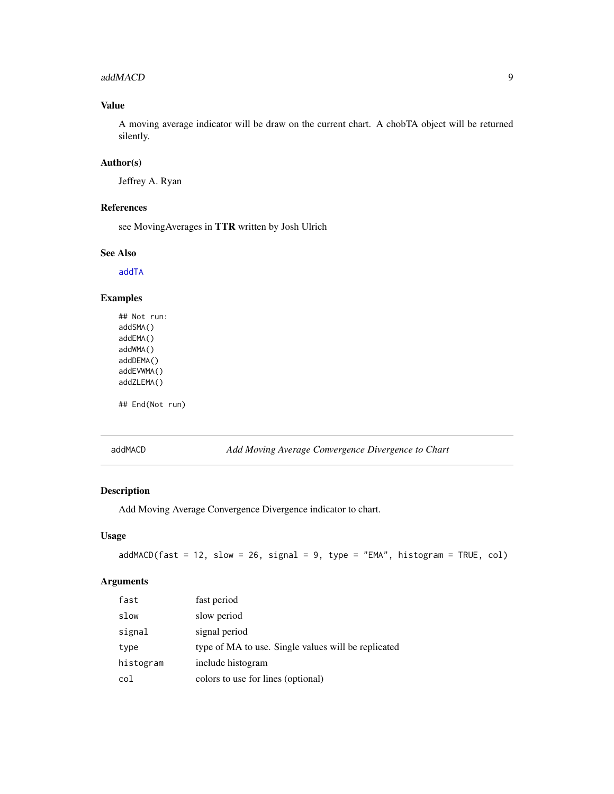#### <span id="page-8-0"></span>addMACD 9

# Value

A moving average indicator will be draw on the current chart. A chobTA object will be returned silently.

# Author(s)

Jeffrey A. Ryan

#### References

see MovingAverages in TTR written by Josh Ulrich

#### See Also

[addTA](#page-76-1)

# Examples

## Not run: addSMA() addEMA() addWMA() addDEMA() addEVWMA() addZLEMA()

## End(Not run)

addMACD *Add Moving Average Convergence Divergence to Chart*

# Description

Add Moving Average Convergence Divergence indicator to chart.

# Usage

```
addMACD(fast = 12, slow = 26, signal = 9, type = "EMA", histogram = TRUE, col)
```
# Arguments

| fast      | fast period                                         |
|-----------|-----------------------------------------------------|
| slow      | slow period                                         |
| signal    | signal period                                       |
| type      | type of MA to use. Single values will be replicated |
| histogram | include histogram                                   |
| col       | colors to use for lines (optional)                  |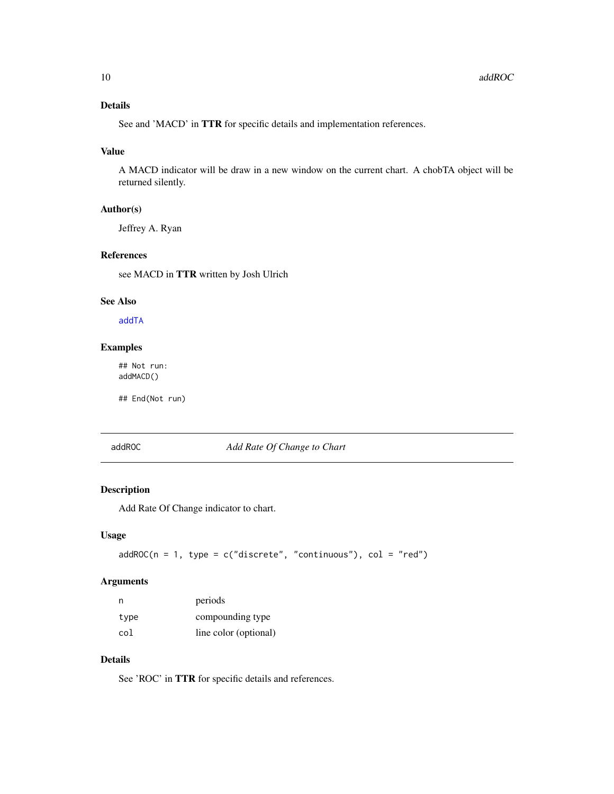# <span id="page-9-0"></span>Details

See and 'MACD' in TTR for specific details and implementation references.

# Value

A MACD indicator will be draw in a new window on the current chart. A chobTA object will be returned silently.

# Author(s)

Jeffrey A. Ryan

# References

see MACD in TTR written by Josh Ulrich

#### See Also

[addTA](#page-76-1)

# Examples

## Not run: addMACD()

## End(Not run)

addROC *Add Rate Of Change to Chart*

### Description

Add Rate Of Change indicator to chart.

#### Usage

```
addROC(n = 1, type = c("discrete", "continuous"), col = "red")
```
#### Arguments

| n    | periods               |
|------|-----------------------|
| type | compounding type      |
| col  | line color (optional) |

# Details

See 'ROC' in TTR for specific details and references.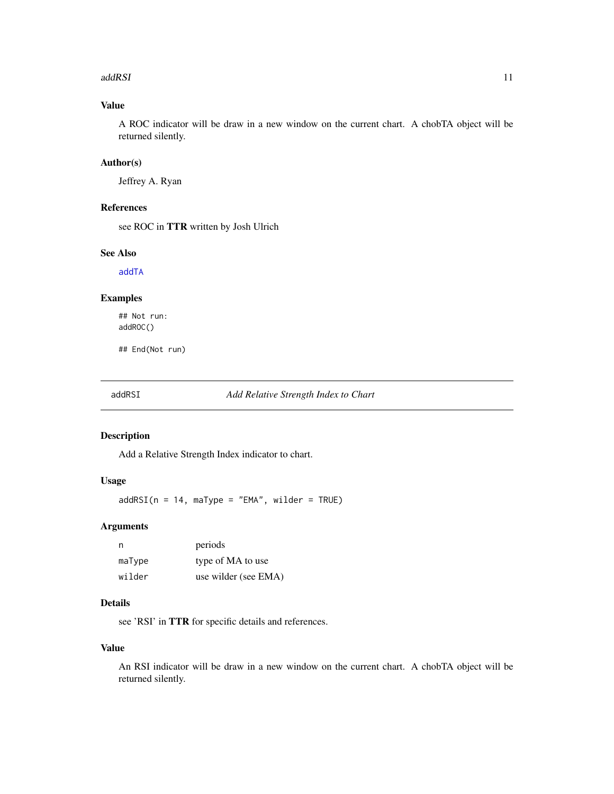#### <span id="page-10-0"></span>addRSI 11

# Value

A ROC indicator will be draw in a new window on the current chart. A chobTA object will be returned silently.

#### Author(s)

Jeffrey A. Ryan

#### References

see ROC in TTR written by Josh Ulrich

#### See Also

[addTA](#page-76-1)

# Examples

## Not run: addROC()

## End(Not run)

addRSI *Add Relative Strength Index to Chart*

# Description

Add a Relative Strength Index indicator to chart.

# Usage

 $addRSI(n = 14, maType = "EMA", wilder = TRUE)$ 

#### Arguments

| n      | periods              |
|--------|----------------------|
| maType | type of MA to use    |
| wilder | use wilder (see EMA) |

# Details

see 'RSI' in TTR for specific details and references.

#### Value

An RSI indicator will be draw in a new window on the current chart. A chobTA object will be returned silently.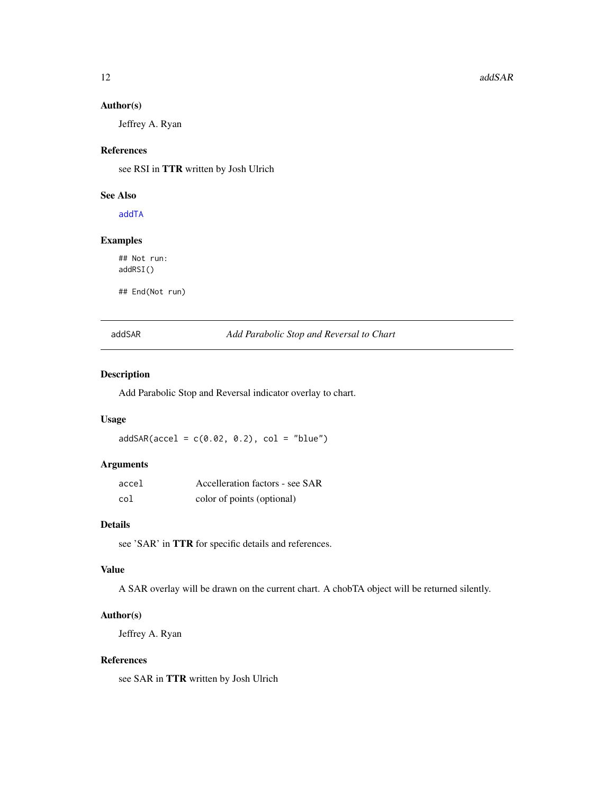# <span id="page-11-0"></span>Author(s)

Jeffrey A. Ryan

# References

see RSI in TTR written by Josh Ulrich

# See Also

[addTA](#page-76-1)

# Examples

## Not run: addRSI()

## End(Not run)

addSAR *Add Parabolic Stop and Reversal to Chart*

# Description

Add Parabolic Stop and Reversal indicator overlay to chart.

# Usage

 $addSAR(accel = c(0.02, 0.2), col = "blue")$ 

#### Arguments

| accel | Accelleration factors - see SAR |
|-------|---------------------------------|
| col   | color of points (optional)      |

# Details

see 'SAR' in TTR for specific details and references.

#### Value

A SAR overlay will be drawn on the current chart. A chobTA object will be returned silently.

# Author(s)

Jeffrey A. Ryan

# References

see SAR in TTR written by Josh Ulrich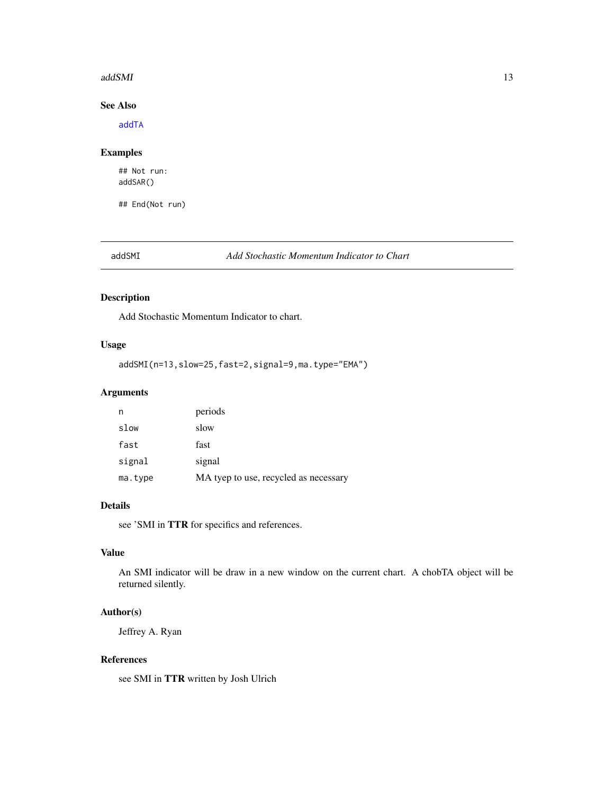#### <span id="page-12-0"></span>addSMI 13

# See Also

[addTA](#page-76-1)

# Examples

## Not run: addSAR()

## End(Not run)

addSMI *Add Stochastic Momentum Indicator to Chart*

# Description

Add Stochastic Momentum Indicator to chart.

# Usage

addSMI(n=13,slow=25,fast=2,signal=9,ma.type="EMA")

# Arguments

| n       | periods                               |
|---------|---------------------------------------|
| slow    | slow                                  |
| fast    | fast                                  |
| signal  | signal                                |
| ma.type | MA tyep to use, recycled as necessary |

#### Details

see 'SMI in TTR for specifics and references.

# Value

An SMI indicator will be draw in a new window on the current chart. A chobTA object will be returned silently.

# Author(s)

Jeffrey A. Ryan

# References

see SMI in TTR written by Josh Ulrich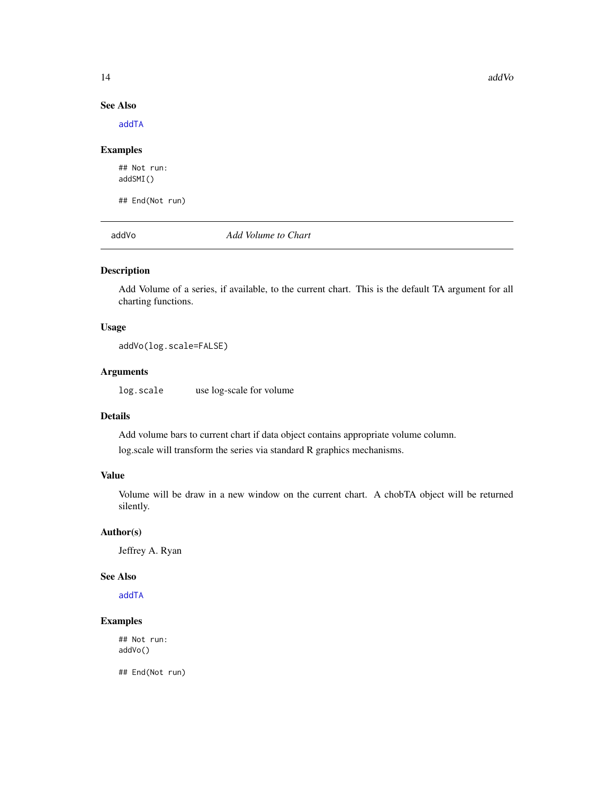14 add Volume 2014 and Volume 2014 and Volume 2014 and Volume 2014 and Volume 2014 and Volume 2014 and Volume 2014 and Volume 2014 and Volume 2014 and Volume 2014 and Volume 2014 and Volume 2014 and Volume 2014 and Volume

#### See Also

[addTA](#page-76-1)

# Examples

## Not run: addSMI()

## End(Not run)

addVo *Add Volume to Chart*

# Description

Add Volume of a series, if available, to the current chart. This is the default TA argument for all charting functions.

# Usage

addVo(log.scale=FALSE)

# Arguments

log.scale use log-scale for volume

# Details

Add volume bars to current chart if data object contains appropriate volume column. log.scale will transform the series via standard R graphics mechanisms.

# Value

Volume will be draw in a new window on the current chart. A chobTA object will be returned silently.

#### Author(s)

Jeffrey A. Ryan

#### See Also

[addTA](#page-76-1)

#### Examples

## Not run: addVo()

## End(Not run)

<span id="page-13-0"></span>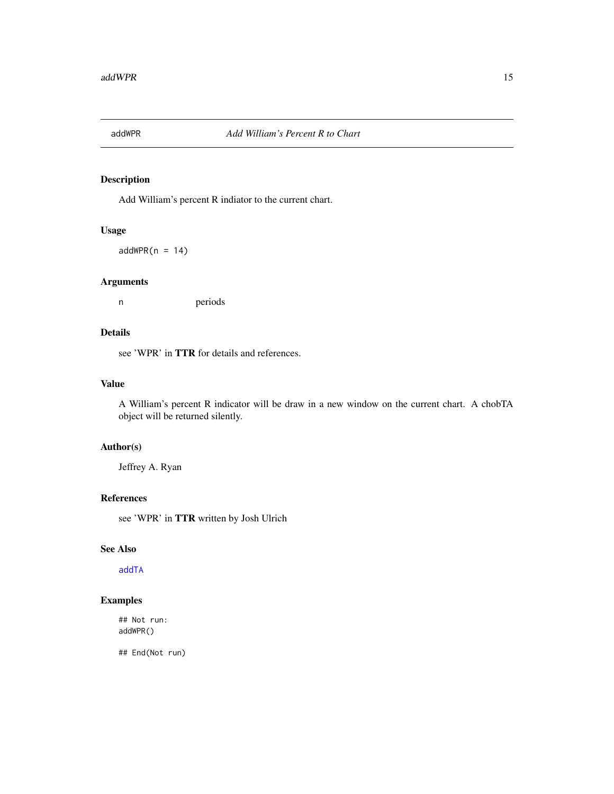<span id="page-14-0"></span>

Add William's percent R indiator to the current chart.

# Usage

 $addWPR(n = 14)$ 

#### Arguments

n periods

# Details

see 'WPR' in TTR for details and references.

# Value

A William's percent R indicator will be draw in a new window on the current chart. A chobTA object will be returned silently.

# Author(s)

Jeffrey A. Ryan

#### References

see 'WPR' in TTR written by Josh Ulrich

# See Also

[addTA](#page-76-1)

# Examples

## Not run: addWPR()

## End(Not run)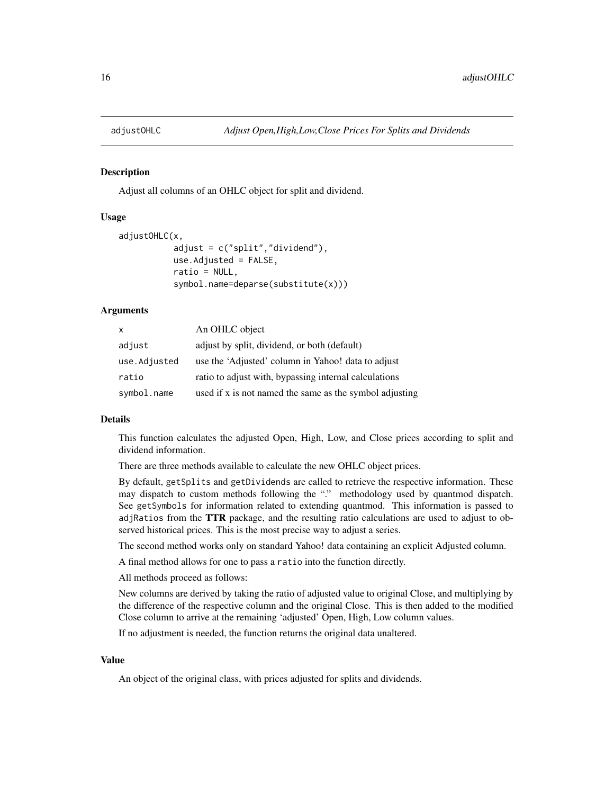<span id="page-15-0"></span>

Adjust all columns of an OHLC object for split and dividend.

#### Usage

```
adjustOHLC(x,
           adjust = c("split","dividend"),
           use.Adjusted = FALSE,
           ratio = NULL,
           symbol.name=deparse(substitute(x)))
```
#### Arguments

| X            | An OHLC object                                          |
|--------------|---------------------------------------------------------|
| adjust       | adjust by split, dividend, or both (default)            |
| use.Adjusted | use the 'Adjusted' column in Yahoo! data to adjust      |
| ratio        | ratio to adjust with, bypassing internal calculations   |
| symbol.name  | used if x is not named the same as the symbol adjusting |

# Details

This function calculates the adjusted Open, High, Low, and Close prices according to split and dividend information.

There are three methods available to calculate the new OHLC object prices.

By default, getSplits and getDividends are called to retrieve the respective information. These may dispatch to custom methods following the "." methodology used by quantmod dispatch. See getSymbols for information related to extending quantmod. This information is passed to adjRatios from the TTR package, and the resulting ratio calculations are used to adjust to observed historical prices. This is the most precise way to adjust a series.

The second method works only on standard Yahoo! data containing an explicit Adjusted column.

A final method allows for one to pass a ratio into the function directly.

All methods proceed as follows:

New columns are derived by taking the ratio of adjusted value to original Close, and multiplying by the difference of the respective column and the original Close. This is then added to the modified Close column to arrive at the remaining 'adjusted' Open, High, Low column values.

If no adjustment is needed, the function returns the original data unaltered.

#### Value

An object of the original class, with prices adjusted for splits and dividends.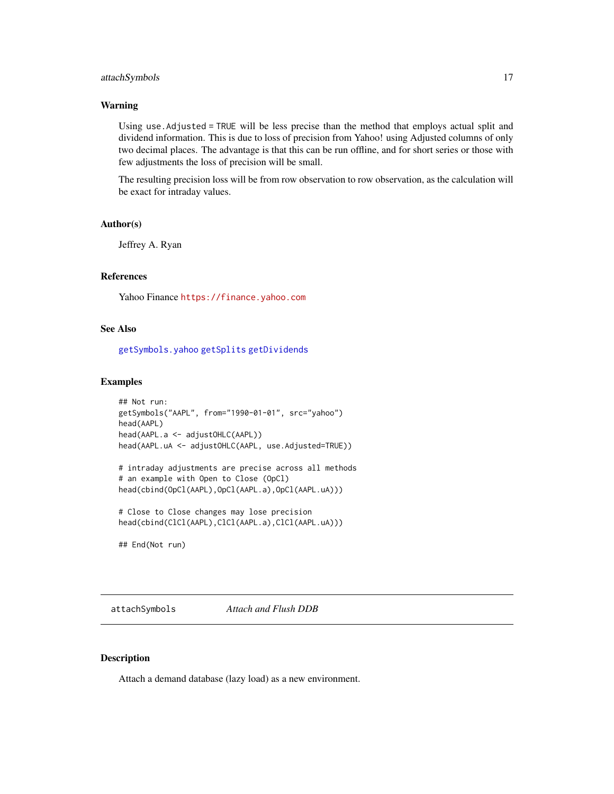# <span id="page-16-0"></span>attachSymbols 17

#### Warning

Using use.Adjusted = TRUE will be less precise than the method that employs actual split and dividend information. This is due to loss of precision from Yahoo! using Adjusted columns of only two decimal places. The advantage is that this can be run offline, and for short series or those with few adjustments the loss of precision will be small.

The resulting precision loss will be from row observation to row observation, as the calculation will be exact for intraday values.

#### Author(s)

Jeffrey A. Ryan

# References

Yahoo Finance <https://finance.yahoo.com>

# See Also

[getSymbols.yahoo](#page-67-1) [getSplits](#page-48-1) [getDividends](#page-37-1)

# Examples

```
## Not run:
getSymbols("AAPL", from="1990-01-01", src="yahoo")
head(AAPL)
head(AAPL.a <- adjustOHLC(AAPL))
head(AAPL.uA <- adjustOHLC(AAPL, use.Adjusted=TRUE))
```

```
# intraday adjustments are precise across all methods
# an example with Open to Close (OpCl)
head(cbind(OpCl(AAPL),OpCl(AAPL.a),OpCl(AAPL.uA)))
```

```
# Close to Close changes may lose precision
head(cbind(ClCl(AAPL),ClCl(AAPL.a),ClCl(AAPL.uA)))
```
## End(Not run)

attachSymbols *Attach and Flush DDB*

#### Description

Attach a demand database (lazy load) as a new environment.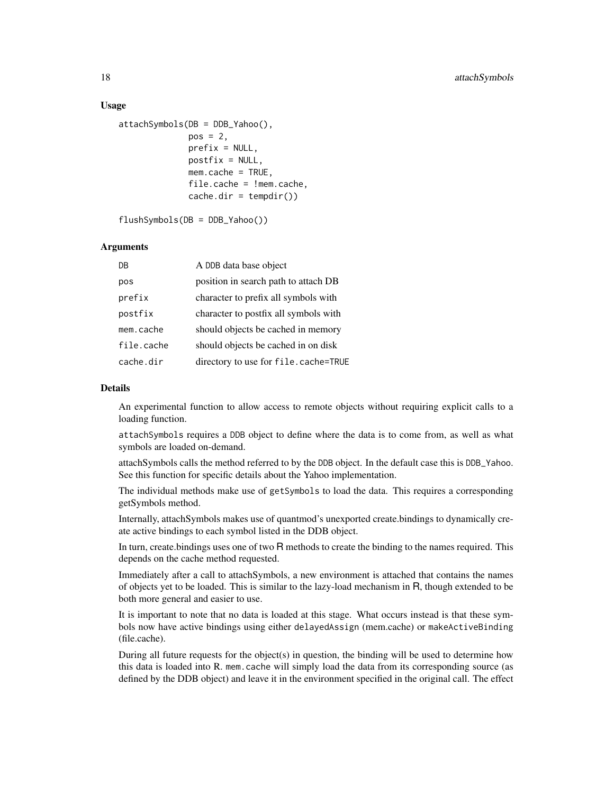#### Usage

```
attachSymbols(DB = DDB_Yahoo(),
             pos = 2,
              prefix = NULL,postfix = NULL,
             mem.cache = TRUE,
              file.cache = !mem.cache,
              cache.dir = tempdir()
```

```
flushSymbols(DB = DDB_Yahoo())
```
#### Arguments

| DB.        | A DDB data base object                |
|------------|---------------------------------------|
| pos        | position in search path to attach DB  |
| prefix     | character to prefix all symbols with  |
| postfix    | character to postfix all symbols with |
| mem.cache  | should objects be cached in memory    |
| file.cache | should objects be cached in on disk   |
| cache.dir  | directory to use for file.cache=TRUE  |

#### Details

An experimental function to allow access to remote objects without requiring explicit calls to a loading function.

attachSymbols requires a DDB object to define where the data is to come from, as well as what symbols are loaded on-demand.

attachSymbols calls the method referred to by the DDB object. In the default case this is DDB\_Yahoo. See this function for specific details about the Yahoo implementation.

The individual methods make use of getSymbols to load the data. This requires a corresponding getSymbols method.

Internally, attachSymbols makes use of quantmod's unexported create.bindings to dynamically create active bindings to each symbol listed in the DDB object.

In turn, create.bindings uses one of two R methods to create the binding to the names required. This depends on the cache method requested.

Immediately after a call to attachSymbols, a new environment is attached that contains the names of objects yet to be loaded. This is similar to the lazy-load mechanism in R, though extended to be both more general and easier to use.

It is important to note that no data is loaded at this stage. What occurs instead is that these symbols now have active bindings using either delayedAssign (mem.cache) or makeActiveBinding (file.cache).

During all future requests for the object(s) in question, the binding will be used to determine how this data is loaded into R. mem.cache will simply load the data from its corresponding source (as defined by the DDB object) and leave it in the environment specified in the original call. The effect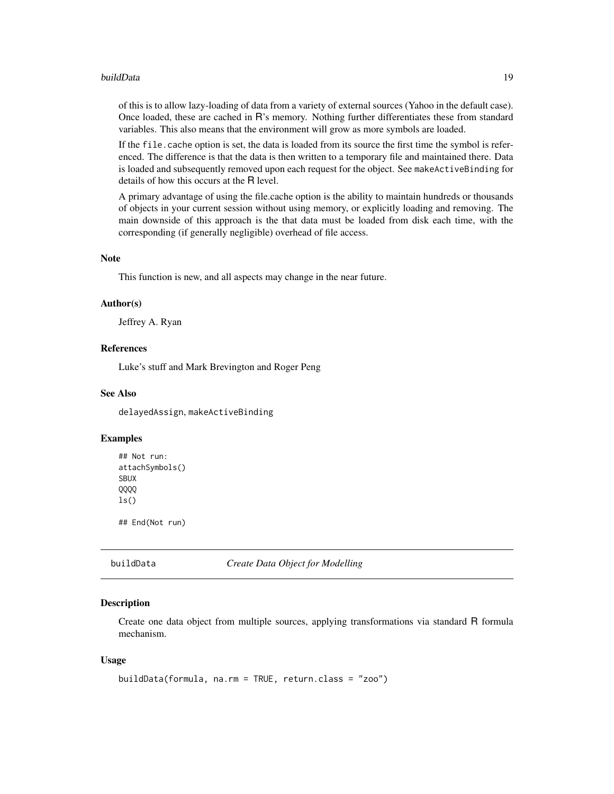#### <span id="page-18-0"></span>buildData 19

of this is to allow lazy-loading of data from a variety of external sources (Yahoo in the default case). Once loaded, these are cached in R's memory. Nothing further differentiates these from standard variables. This also means that the environment will grow as more symbols are loaded.

If the file.cache option is set, the data is loaded from its source the first time the symbol is referenced. The difference is that the data is then written to a temporary file and maintained there. Data is loaded and subsequently removed upon each request for the object. See makeActiveBinding for details of how this occurs at the R level.

A primary advantage of using the file.cache option is the ability to maintain hundreds or thousands of objects in your current session without using memory, or explicitly loading and removing. The main downside of this approach is the that data must be loaded from disk each time, with the corresponding (if generally negligible) overhead of file access.

#### Note

This function is new, and all aspects may change in the near future.

#### Author(s)

Jeffrey A. Ryan

# References

Luke's stuff and Mark Brevington and Roger Peng

#### See Also

delayedAssign, makeActiveBinding

#### Examples

```
## Not run:
attachSymbols()
SBUX
QQQQ
ls()
```
## End(Not run)

buildData *Create Data Object for Modelling*

#### **Description**

Create one data object from multiple sources, applying transformations via standard R formula mechanism.

#### Usage

```
buildData(formula, na.rm = TRUE, return.class = "zoo")
```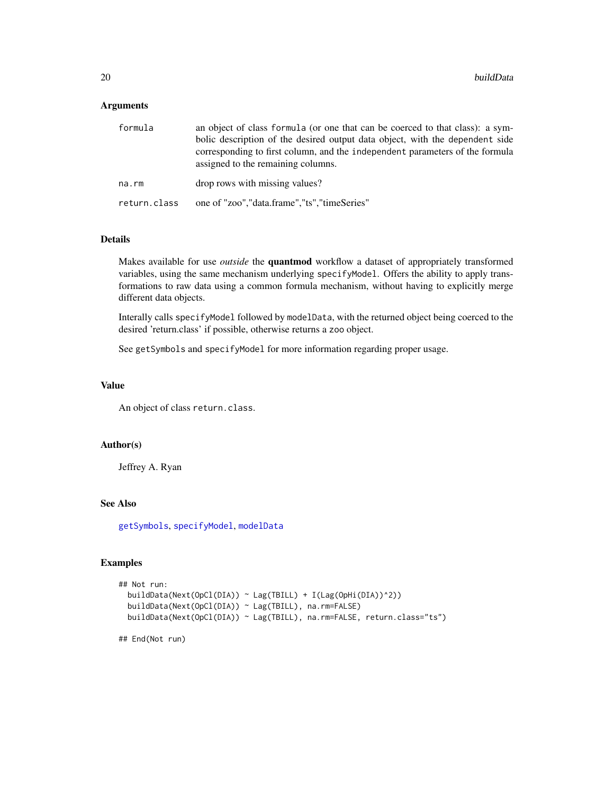#### Arguments

| formula      | an object of class formula (or one that can be coerced to that class): a sym-<br>bolic description of the desired output data object, with the dependent side<br>corresponding to first column, and the independent parameters of the formula<br>assigned to the remaining columns. |
|--------------|-------------------------------------------------------------------------------------------------------------------------------------------------------------------------------------------------------------------------------------------------------------------------------------|
| na.rm        | drop rows with missing values?                                                                                                                                                                                                                                                      |
| return.class | one of "zoo", "data.frame", "ts", "timeSeries"                                                                                                                                                                                                                                      |

# Details

Makes available for use *outside* the quantmod workflow a dataset of appropriately transformed variables, using the same mechanism underlying specifyModel. Offers the ability to apply transformations to raw data using a common formula mechanism, without having to explicitly merge different data objects.

Interally calls specifyModel followed by modelData, with the returned object being coerced to the desired 'return.class' if possible, otherwise returns a zoo object.

See getSymbols and specifyModel for more information regarding proper usage.

#### Value

An object of class return.class.

#### Author(s)

Jeffrey A. Ryan

#### See Also

[getSymbols](#page-49-1), [specifyModel](#page-93-1), [modelData](#page-75-1)

# Examples

```
## Not run:
 buildData(Next(OpCl(DIA)) ~ Lag(TBILL) + I(Lag(OpHi(DIA))^2))
 buildData(Next(OpCl(DIA)) ~ Lag(TBILL), na.rm=FALSE)
 buildData(Next(OpCl(DIA)) ~ Lag(TBILL), na.rm=FALSE, return.class="ts")
```
## End(Not run)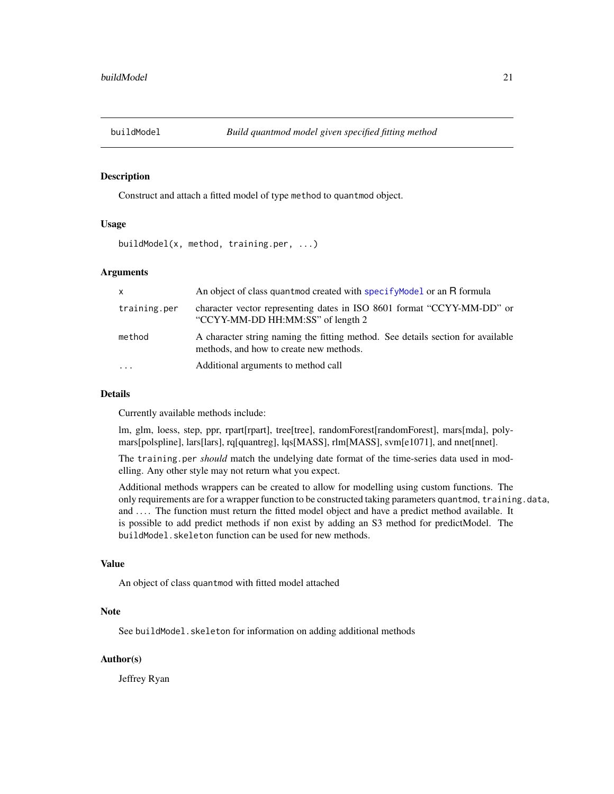<span id="page-20-0"></span>

Construct and attach a fitted model of type method to quantmod object.

#### Usage

```
buildModel(x, method, training.per, ...)
```
#### Arguments

| $\mathsf{x}$ | An object of class quantmod created with specify Model or an R formula                                                     |
|--------------|----------------------------------------------------------------------------------------------------------------------------|
| training.per | character vector representing dates in ISO 8601 format "CCYY-MM-DD" or<br>"CCYY-MM-DD HH:MM:SS" of length 2                |
| method       | A character string naming the fitting method. See details section for available<br>methods, and how to create new methods. |
|              | Additional arguments to method call                                                                                        |

#### Details

Currently available methods include:

lm, glm, loess, step, ppr, rpart[rpart], tree[tree], randomForest[randomForest], mars[mda], polymars[polspline], lars[lars], rq[quantreg], lqs[MASS], rlm[MASS], svm[e1071], and nnet[nnet].

The training.per *should* match the undelying date format of the time-series data used in modelling. Any other style may not return what you expect.

Additional methods wrappers can be created to allow for modelling using custom functions. The only requirements are for a wrapper function to be constructed taking parameters quantmod, training.data, and .... The function must return the fitted model object and have a predict method available. It is possible to add predict methods if non exist by adding an S3 method for predictModel. The buildModel.skeleton function can be used for new methods.

#### Value

An object of class quantmod with fitted model attached

# Note

See buildModel.skeleton for information on adding additional methods

# Author(s)

Jeffrey Ryan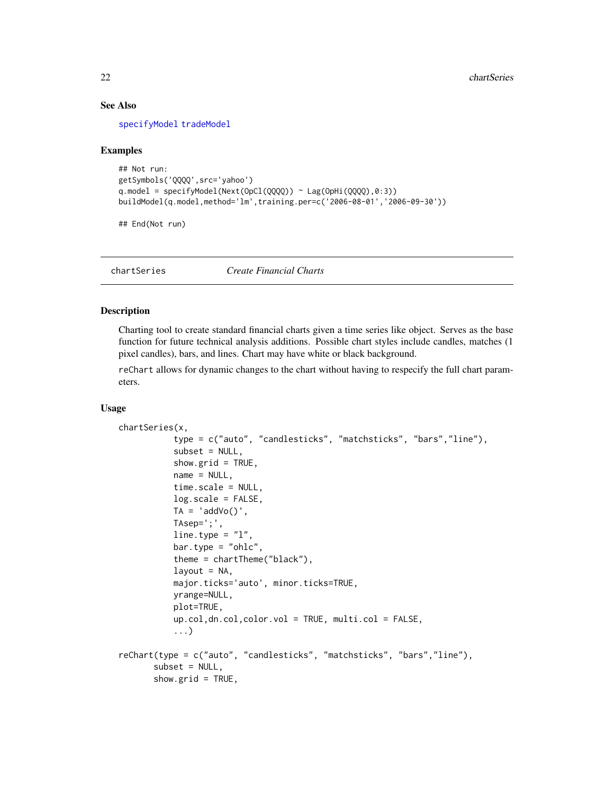#### See Also

[specifyModel](#page-93-1) [tradeModel](#page-97-1)

#### Examples

```
## Not run:
getSymbols('QQQQ',src='yahoo')
q.model = specifyModel(Next(OpCl(QQQQ)) ~ Lag(OpHi(QQQQ),0:3))
buildModel(q.model,method='lm',training.per=c('2006-08-01','2006-09-30'))
```
## End(Not run)

<span id="page-21-1"></span>chartSeries *Create Financial Charts*

#### Description

Charting tool to create standard financial charts given a time series like object. Serves as the base function for future technical analysis additions. Possible chart styles include candles, matches (1 pixel candles), bars, and lines. Chart may have white or black background.

reChart allows for dynamic changes to the chart without having to respecify the full chart parameters.

# Usage

```
chartSeries(x,
           type = c("auto", "candlesticks", "matchsticks", "bars","line"),
           subset = NULL,
           show.grid = TRUE,
          name = NULL,time.scale = NULL,
           log.scale = FALSE,
           TA = 'addVo()',TAsep=';',
           line.type = "1",bar-type = "ohlc",theme = chartTheme("black"),
           layout = NA,
           major.ticks='auto', minor.ticks=TRUE,
           yrange=NULL,
           plot=TRUE,
           up.col,dn.col,color.vol = TRUE, multi.col = FALSE,
           ...)
reChart(type = c("auto", "candlesticks", "matchsticks", "bars","line"),
       subset = NULL,show.grid = TRUE,
```
<span id="page-21-0"></span>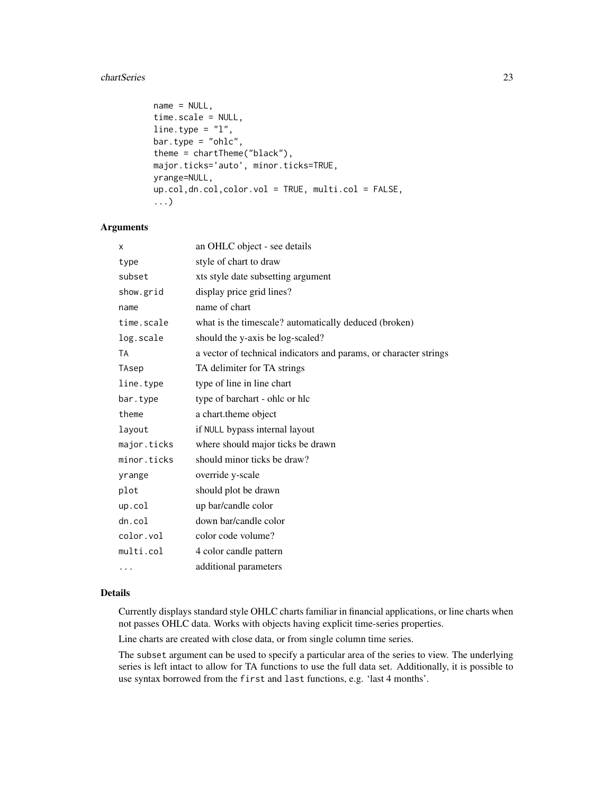#### chartSeries 23

```
name = NULL,time.scale = NULL,
line.type = "l",bar.type = "ohlc",theme = chartTheme("black"),
major.ticks='auto', minor.ticks=TRUE,
yrange=NULL,
up.col,dn.col,color.vol = TRUE, multi.col = FALSE,
...)
```
#### Arguments

| an OHLC object - see details                                      |
|-------------------------------------------------------------------|
| style of chart to draw                                            |
| xts style date subsetting argument                                |
| display price grid lines?                                         |
| name of chart                                                     |
| what is the timescale? automatically deduced (broken)             |
| should the y-axis be log-scaled?                                  |
| a vector of technical indicators and params, or character strings |
| TA delimiter for TA strings                                       |
| type of line in line chart                                        |
| type of barchart - ohlc or hlc                                    |
| a chart.theme object                                              |
| if NULL bypass internal layout                                    |
| where should major ticks be drawn                                 |
| should minor ticks be draw?                                       |
| override y-scale                                                  |
| should plot be drawn                                              |
| up bar/candle color                                               |
| down bar/candle color                                             |
| color code volume?                                                |
| 4 color candle pattern                                            |
| additional parameters                                             |
|                                                                   |

#### Details

Currently displays standard style OHLC charts familiar in financial applications, or line charts when not passes OHLC data. Works with objects having explicit time-series properties.

Line charts are created with close data, or from single column time series.

The subset argument can be used to specify a particular area of the series to view. The underlying series is left intact to allow for TA functions to use the full data set. Additionally, it is possible to use syntax borrowed from the first and last functions, e.g. 'last 4 months'.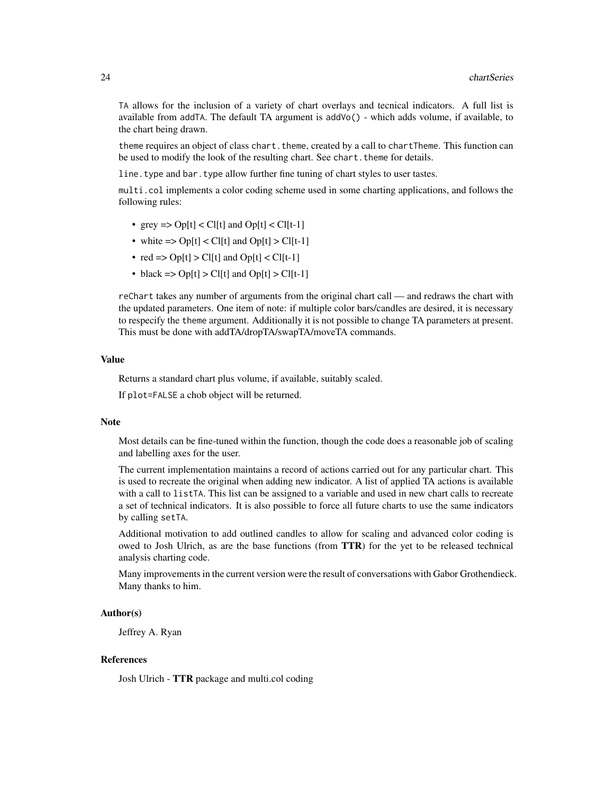TA allows for the inclusion of a variety of chart overlays and tecnical indicators. A full list is available from addTA. The default TA argument is addVo() - which adds volume, if available, to the chart being drawn.

theme requires an object of class chart. theme, created by a call to chartTheme. This function can be used to modify the look of the resulting chart. See chart. theme for details.

line.type and bar.type allow further fine tuning of chart styles to user tastes.

multi.col implements a color coding scheme used in some charting applications, and follows the following rules:

- grey =>  $Op[t] < Cl[t]$  and  $Op[t] < Cl[t-1]$
- white  $\Rightarrow$  Op[t] < Cl[t] and Op[t] > Cl[t-1]
- $red \Rightarrow Op[t] > Cl[t]$  and  $Op[t] < Cl[t-1]$
- black  $\Rightarrow$  Op[t]  $>$  Cl[t] and Op[t]  $>$  Cl[t-1]

reChart takes any number of arguments from the original chart call — and redraws the chart with the updated parameters. One item of note: if multiple color bars/candles are desired, it is necessary to respecify the theme argument. Additionally it is not possible to change TA parameters at present. This must be done with addTA/dropTA/swapTA/moveTA commands.

#### Value

Returns a standard chart plus volume, if available, suitably scaled.

If plot=FALSE a chob object will be returned.

#### Note

Most details can be fine-tuned within the function, though the code does a reasonable job of scaling and labelling axes for the user.

The current implementation maintains a record of actions carried out for any particular chart. This is used to recreate the original when adding new indicator. A list of applied TA actions is available with a call to listTA. This list can be assigned to a variable and used in new chart calls to recreate a set of technical indicators. It is also possible to force all future charts to use the same indicators by calling setTA.

Additional motivation to add outlined candles to allow for scaling and advanced color coding is owed to Josh Ulrich, as are the base functions (from TTR) for the yet to be released technical analysis charting code.

Many improvements in the current version were the result of conversations with Gabor Grothendieck. Many thanks to him.

#### Author(s)

Jeffrey A. Ryan

#### References

Josh Ulrich - TTR package and multi.col coding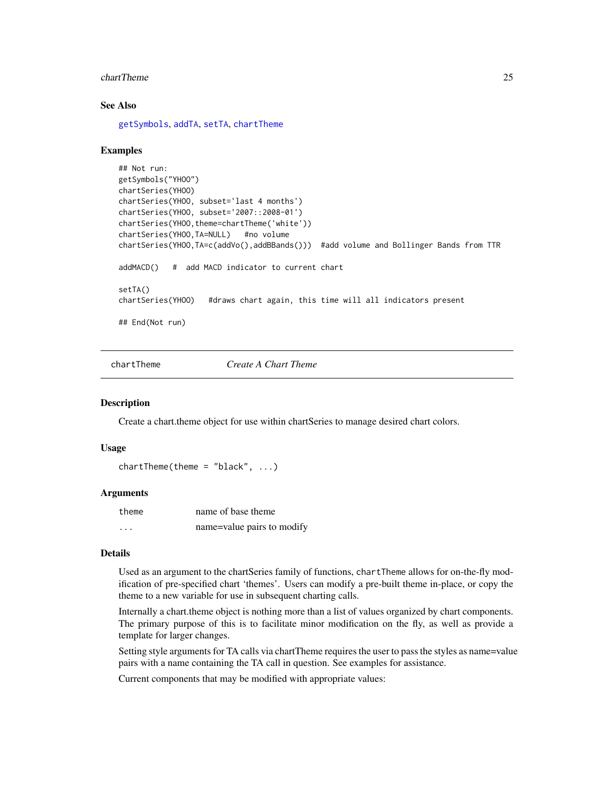#### <span id="page-24-0"></span>chartTheme 25

# See Also

[getSymbols](#page-49-1), [addTA](#page-76-1), [setTA](#page-92-1), [chartTheme](#page-24-1)

#### Examples

```
## Not run:
getSymbols("YHOO")
chartSeries(YHOO)
chartSeries(YHOO, subset='last 4 months')
chartSeries(YHOO, subset='2007::2008-01')
chartSeries(YHOO,theme=chartTheme('white'))
chartSeries(YHOO,TA=NULL) #no volume
chartSeries(YHOO,TA=c(addVo(),addBBands())) #add volume and Bollinger Bands from TTR
addMACD() # add MACD indicator to current chart
setTA()
chartSeries(YHOO) #draws chart again, this time will all indicators present
## End(Not run)
```
<span id="page-24-1"></span>chartTheme *Create A Chart Theme*

#### Description

Create a chart.theme object for use within chartSeries to manage desired chart colors.

#### Usage

 $chart$ Theme(theme = "black", ...)

#### Arguments

| theme    | name of base theme         |
|----------|----------------------------|
| $\cdots$ | name=value pairs to modify |

#### Details

Used as an argument to the chartSeries family of functions, chartTheme allows for on-the-fly modification of pre-specified chart 'themes'. Users can modify a pre-built theme in-place, or copy the theme to a new variable for use in subsequent charting calls.

Internally a chart.theme object is nothing more than a list of values organized by chart components. The primary purpose of this is to facilitate minor modification on the fly, as well as provide a template for larger changes.

Setting style arguments for TA calls via chartTheme requires the user to pass the styles as name=value pairs with a name containing the TA call in question. See examples for assistance.

Current components that may be modified with appropriate values: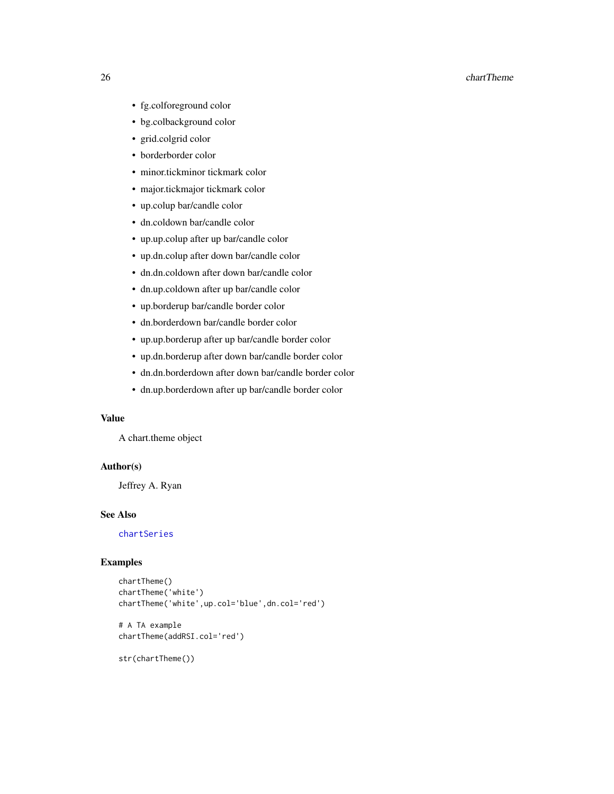#### 26 chartTheme control of the control of the control of the chartTheme chartTheme

- fg.colforeground color
- bg.colbackground color
- grid.colgrid color
- borderborder color
- minor.tickminor tickmark color
- major.tickmajor tickmark color
- up.colup bar/candle color
- dn.coldown bar/candle color
- up.up.colup after up bar/candle color
- up.dn.colup after down bar/candle color
- dn.dn.coldown after down bar/candle color
- dn.up.coldown after up bar/candle color
- up.borderup bar/candle border color
- dn.borderdown bar/candle border color
- up.up.borderup after up bar/candle border color
- up.dn.borderup after down bar/candle border color
- dn.dn.borderdown after down bar/candle border color
- dn.up.borderdown after up bar/candle border color

# Value

A chart.theme object

# Author(s)

Jeffrey A. Ryan

#### See Also

[chartSeries](#page-21-1)

#### Examples

```
chartTheme()
chartTheme('white')
chartTheme('white',up.col='blue',dn.col='red')
```

```
# A TA example
chartTheme(addRSI.col='red')
```
str(chartTheme())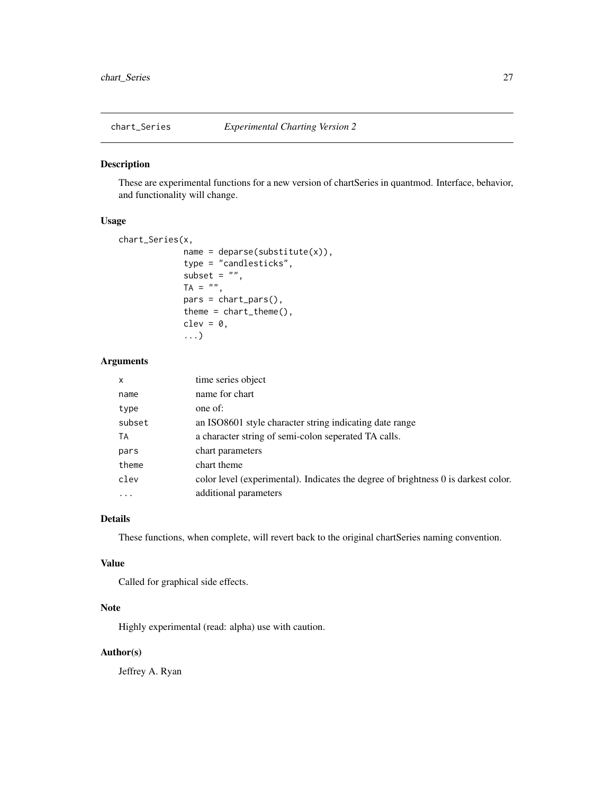<span id="page-26-0"></span>

These are experimental functions for a new version of chartSeries in quantmod. Interface, behavior, and functionality will change.

# Usage

```
chart_Series(x,
             name = deparse(substitute(x)),
             type = "candlesticks",
             subset = ",
             TA = "",pars = chart_pars(),
             theme = chart_theme(),
             clev = 0,
             ...)
```
# Arguments

| X          | time series object                                                                 |
|------------|------------------------------------------------------------------------------------|
| name       | name for chart                                                                     |
| type       | one of:                                                                            |
| subset     | an ISO8601 style character string indicating date range                            |
| <b>TA</b>  | a character string of semi-colon seperated TA calls.                               |
| pars       | chart parameters                                                                   |
| theme      | chart theme                                                                        |
| clev       | color level (experimental). Indicates the degree of brightness 0 is darkest color. |
| $\ddots$ . | additional parameters                                                              |

# Details

These functions, when complete, will revert back to the original chartSeries naming convention.

#### Value

Called for graphical side effects.

#### Note

Highly experimental (read: alpha) use with caution.

# Author(s)

Jeffrey A. Ryan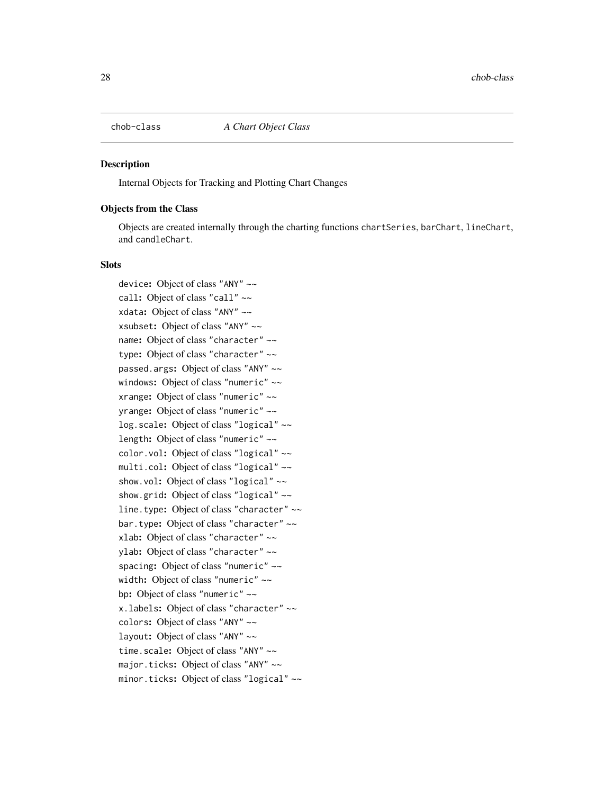<span id="page-27-1"></span><span id="page-27-0"></span>

Internal Objects for Tracking and Plotting Chart Changes

#### Objects from the Class

Objects are created internally through the charting functions chartSeries, barChart, lineChart, and candleChart.

# **Slots**

device: Object of class "ANY" ~~ call: Object of class "call" ~~ xdata: Object of class "ANY" ~~ xsubset: Object of class "ANY" ~~ name: Object of class "character" ~~ type: Object of class "character" ~~ passed.args: Object of class "ANY" ~~ windows: Object of class "numeric" ~~ xrange: Object of class "numeric" ~~ yrange: Object of class "numeric" ~~ log.scale: Object of class "logical" ~~ length: Object of class "numeric" ~~ color.vol: Object of class "logical" ~~ multi.col: Object of class "logical" ~~ show.vol: Object of class "logical" ~~ show.grid: Object of class "logical" ~~ line.type: Object of class "character" ~~ bar.type: Object of class "character" ~~ xlab: Object of class "character" ~~ ylab: Object of class "character" ~~ spacing: Object of class "numeric" ~~ width: Object of class "numeric" ~~ bp: Object of class "numeric" ~~ x.labels: Object of class "character" ~~ colors: Object of class "ANY" ~~ layout: Object of class "ANY" ~~ time.scale: Object of class "ANY" ~~ major.ticks: Object of class "ANY" ~~ minor.ticks: Object of class "logical" ~~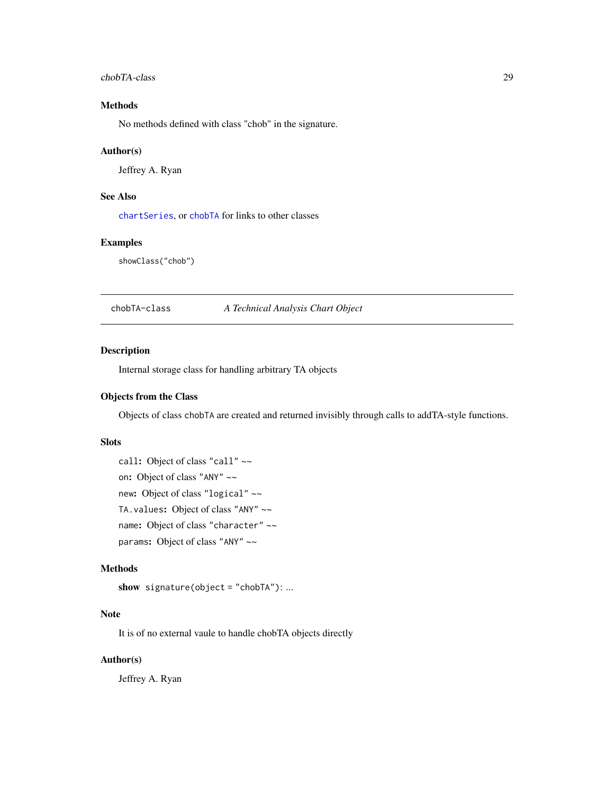# <span id="page-28-0"></span>chobTA-class 29

# Methods

No methods defined with class "chob" in the signature.

#### Author(s)

Jeffrey A. Ryan

# See Also

[chartSeries](#page-21-1), or [chobTA](#page-28-1) for links to other classes

# Examples

showClass("chob")

<span id="page-28-1"></span>chobTA-class *A Technical Analysis Chart Object*

# Description

Internal storage class for handling arbitrary TA objects

# Objects from the Class

Objects of class chobTA are created and returned invisibly through calls to addTA-style functions.

# Slots

call: Object of class "call" ~~ on: Object of class "ANY" ~~ new: Object of class "logical" ~~ TA.values: Object of class "ANY" ~~ name: Object of class "character" ~~ params: Object of class "ANY" ~~

# Methods

show signature(object = "chobTA"): ...

# Note

It is of no external vaule to handle chobTA objects directly

# Author(s)

Jeffrey A. Ryan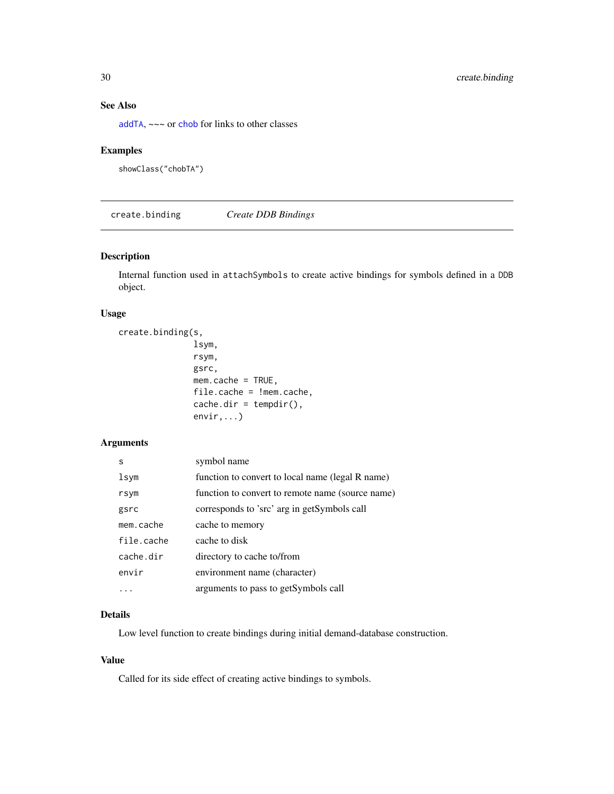# <span id="page-29-0"></span>See Also

[addTA](#page-76-1), ~~~ or [chob](#page-27-1) for links to other classes

# Examples

```
showClass("chobTA")
```
create.binding *Create DDB Bindings*

#### Description

Internal function used in attachSymbols to create active bindings for symbols defined in a DDB object.

# Usage

```
create.binding(s,
               lsym,
               rsym,
               gsrc,
               mem.cache = TRUE,
               file.cache = !mem.cache,
               cache.dir = tempdir(),envir,...)
```
# Arguments

| S          | symbol name                                      |
|------------|--------------------------------------------------|
| lsym       | function to convert to local name (legal R name) |
| rsym       | function to convert to remote name (source name) |
| gsrc       | corresponds to 'src' arg in getSymbols call      |
| mem.cache  | cache to memory                                  |
| file.cache | cache to disk                                    |
| cache.dir  | directory to cache to/from                       |
| envir      | environment name (character)                     |
|            | arguments to pass to getSymbols call             |

# Details

Low level function to create bindings during initial demand-database construction.

#### Value

Called for its side effect of creating active bindings to symbols.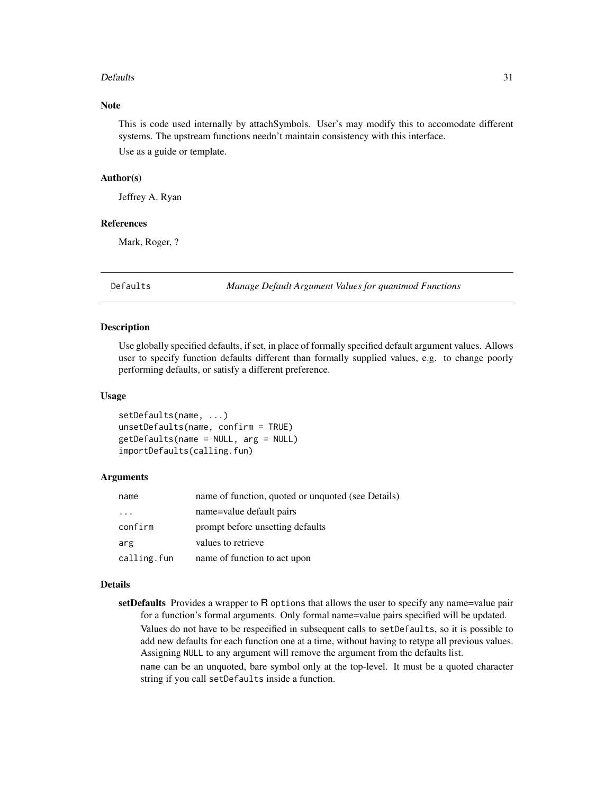#### <span id="page-30-0"></span>Defaults 31

# Note

This is code used internally by attachSymbols. User's may modify this to accomodate different systems. The upstream functions needn't maintain consistency with this interface. Use as a guide or template.

# Author(s)

Jeffrey A. Ryan

# References

Mark, Roger, ?

Defaults *Manage Default Argument Values for quantmod Functions*

#### Description

Use globally specified defaults, if set, in place of formally specified default argument values. Allows user to specify function defaults different than formally supplied values, e.g. to change poorly performing defaults, or satisfy a different preference.

#### Usage

```
setDefaults(name, ...)
unsetDefaults(name, confirm = TRUE)
getDefaults(name = NULL, arg = NULL)
importDefaults(calling.fun)
```
#### Arguments

| name        | name of function, quoted or unquoted (see Details) |
|-------------|----------------------------------------------------|
| .           | name=value default pairs                           |
| confirm     | prompt before unsetting defaults                   |
| arg         | values to retrieve                                 |
| calling.fun | name of function to act upon                       |

#### Details

setDefaults Provides a wrapper to R options that allows the user to specify any name=value pair for a function's formal arguments. Only formal name=value pairs specified will be updated. Values do not have to be respecified in subsequent calls to setDefaults, so it is possible to add new defaults for each function one at a time, without having to retype all previous values. Assigning NULL to any argument will remove the argument from the defaults list. name can be an unquoted, bare symbol only at the top-level. It must be a quoted character string if you call setDefaults inside a function.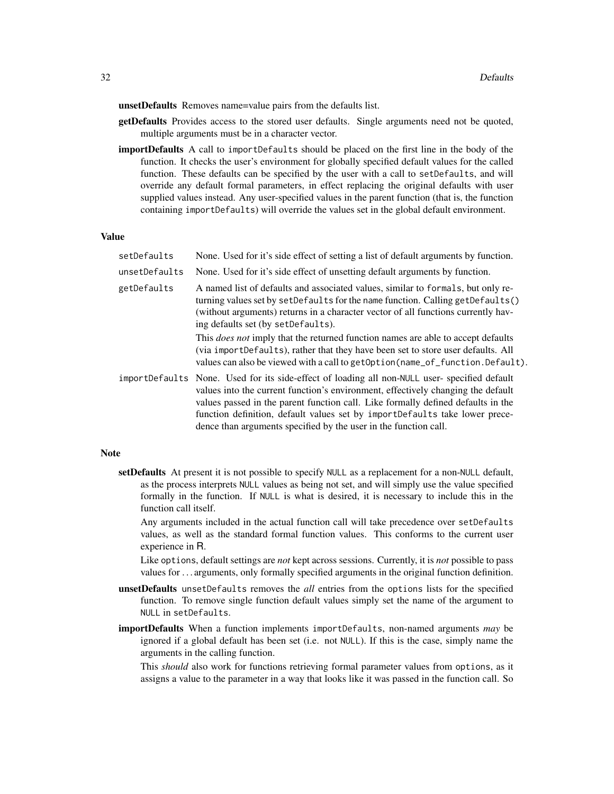unsetDefaults Removes name=value pairs from the defaults list.

- getDefaults Provides access to the stored user defaults. Single arguments need not be quoted, multiple arguments must be in a character vector.
- importDefaults A call to importDefaults should be placed on the first line in the body of the function. It checks the user's environment for globally specified default values for the called function. These defaults can be specified by the user with a call to setDefaults, and will override any default formal parameters, in effect replacing the original defaults with user supplied values instead. Any user-specified values in the parent function (that is, the function containing importDefaults) will override the values set in the global default environment.

#### Value

| setDefaults   | None. Used for it's side effect of setting a list of default arguments by function.                                                                                                                                                                                                                                                                                                                                     |
|---------------|-------------------------------------------------------------------------------------------------------------------------------------------------------------------------------------------------------------------------------------------------------------------------------------------------------------------------------------------------------------------------------------------------------------------------|
| unsetDefaults | None. Used for it's side effect of unsetting default arguments by function.                                                                                                                                                                                                                                                                                                                                             |
| getDefaults   | A named list of defaults and associated values, similar to formals, but only re-<br>turning values set by setDefaults for the name function. Calling getDefaults()<br>(without arguments) returns in a character vector of all functions currently hav-<br>ing defaults set (by setDefaults).                                                                                                                           |
|               | This <i>does not</i> imply that the returned function names are able to accept defaults<br>(via import Defaults), rather that they have been set to store user defaults. All<br>values can also be viewed with a call to getOption (name_of_function.Default).                                                                                                                                                          |
|               | importDefaults None. Used for its side-effect of loading all non-NULL user-specified default<br>values into the current function's environment, effectively changing the default<br>values passed in the parent function call. Like formally defined defaults in the<br>function definition, default values set by importDefaults take lower prece-<br>dence than arguments specified by the user in the function call. |

# Note

setDefaults At present it is not possible to specify NULL as a replacement for a non-NULL default, as the process interprets NULL values as being not set, and will simply use the value specified formally in the function. If NULL is what is desired, it is necessary to include this in the function call itself.

Any arguments included in the actual function call will take precedence over setDefaults values, as well as the standard formal function values. This conforms to the current user experience in R.

Like options, default settings are *not* kept across sessions. Currently, it is *not* possible to pass values for ... arguments, only formally specified arguments in the original function definition.

- unsetDefaults unsetDefaults removes the *all* entries from the options lists for the specified function. To remove single function default values simply set the name of the argument to NULL in setDefaults.
- importDefaults When a function implements importDefaults, non-named arguments *may* be ignored if a global default has been set (i.e. not NULL). If this is the case, simply name the arguments in the calling function.

This *should* also work for functions retrieving formal parameter values from options, as it assigns a value to the parameter in a way that looks like it was passed in the function call. So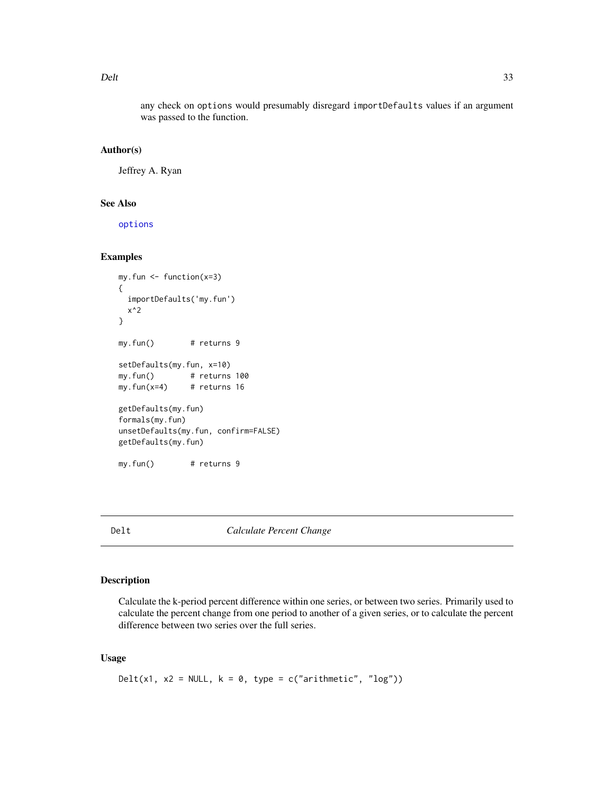<span id="page-32-0"></span> $\mathcal{D}$ elt  $\mathcal{A}$  33

any check on options would presumably disregard importDefaults values if an argument was passed to the function.

#### Author(s)

Jeffrey A. Ryan

# See Also

[options](#page-0-0)

#### Examples

```
my.fun <- function(x=3)
{
 importDefaults('my.fun')
 x^2}
my.fun() # returns 9
setDefaults(my.fun, x=10)
my.fun() # returns 100
my.fun(x=4) # returns 16
getDefaults(my.fun)
formals(my.fun)
unsetDefaults(my.fun, confirm=FALSE)
getDefaults(my.fun)
my.fun() # returns 9
```
# Delt *Calculate Percent Change*

# Description

Calculate the k-period percent difference within one series, or between two series. Primarily used to calculate the percent change from one period to another of a given series, or to calculate the percent difference between two series over the full series.

#### Usage

```
Delt(x1, x2 = NULL, k = 0, type = c("arithmetic", "log"))
```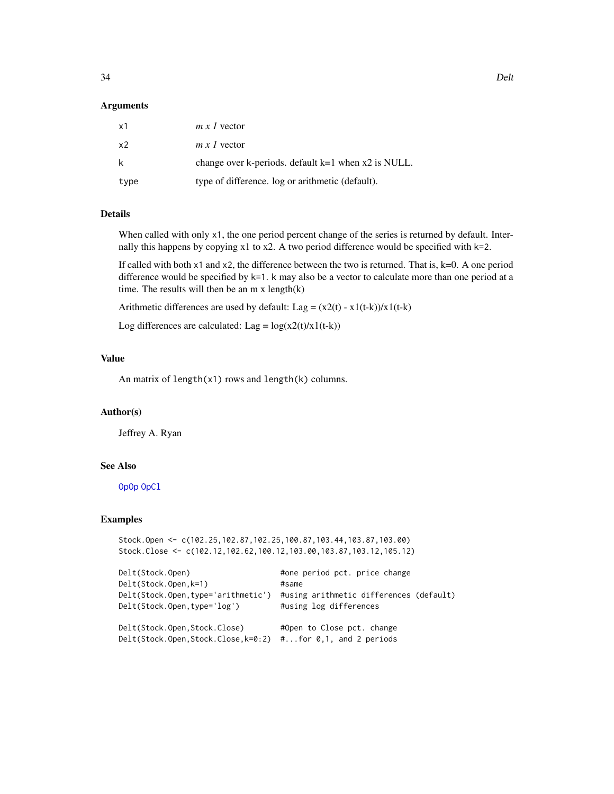#### Arguments

| x1             | $m \times l$ vector                                        |
|----------------|------------------------------------------------------------|
| x <sup>2</sup> | $m \times l$ vector                                        |
| k              | change over $k$ -periods. default $k=1$ when $x2$ is NULL. |
| type           | type of difference. log or arithmetic (default).           |

#### Details

When called with only x1, the one period percent change of the series is returned by default. Internally this happens by copying x1 to x2. A two period difference would be specified with k=2.

If called with both  $x1$  and  $x2$ , the difference between the two is returned. That is,  $k=0$ . A one period difference would be specified by k=1. k may also be a vector to calculate more than one period at a time. The results will then be an  $m \times \text{length}(k)$ 

Arithmetic differences are used by default: Lag =  $(x2(t) - x1(t-k))/x1(t-k)$ 

Log differences are calculated: Lag =  $log(x2(t)/x1(t-k))$ 

# Value

An matrix of length(x1) rows and length(k) columns.

#### Author(s)

Jeffrey A. Ryan

#### See Also

[OpOp](#page-81-1) [OpCl](#page-81-1)

#### Examples

```
Stock.Open <- c(102.25,102.87,102.25,100.87,103.44,103.87,103.00)
Stock.Close <- c(102.12,102.62,100.12,103.00,103.87,103.12,105.12)
```

```
Delt(Stock.Open) #one period pct. price change
Delt(Stock.Open,k=1) #same
Delt(Stock.Open,type='arithmetic') #using arithmetic differences (default)
Delt(Stock.Open,type='log') #using log differences
Delt(Stock.Open,Stock.Close) #Open to Close pct. change
Delt(Stock.Open,Stock.Close,k=0:2) #...for 0,1, and 2 periods
```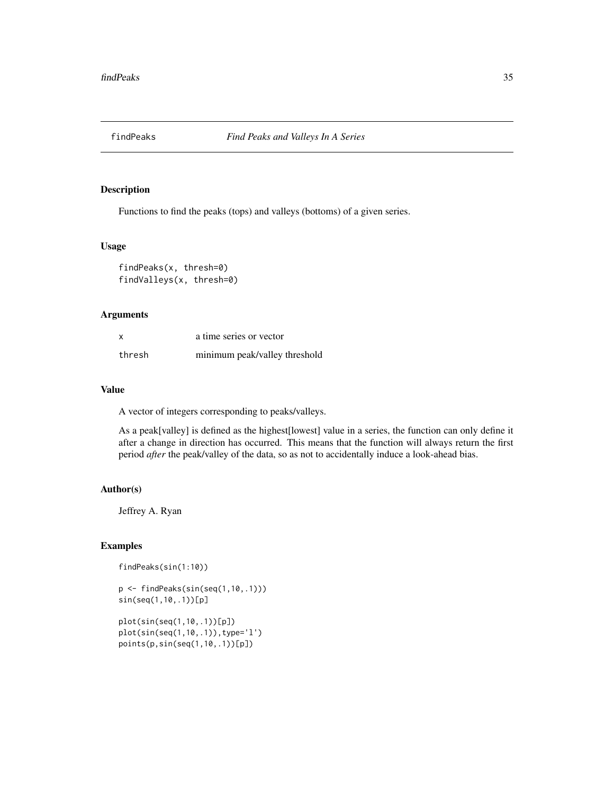<span id="page-34-0"></span>

Functions to find the peaks (tops) and valleys (bottoms) of a given series.

#### Usage

```
findPeaks(x, thresh=0)
findValleys(x, thresh=0)
```
# Arguments

| X      | a time series or vector       |
|--------|-------------------------------|
| thresh | minimum peak/valley threshold |

#### Value

A vector of integers corresponding to peaks/valleys.

As a peak[valley] is defined as the highest[lowest] value in a series, the function can only define it after a change in direction has occurred. This means that the function will always return the first period *after* the peak/valley of the data, so as not to accidentally induce a look-ahead bias.

#### Author(s)

Jeffrey A. Ryan

# Examples

```
findPeaks(sin(1:10))
```

```
p <- findPeaks(sin(seq(1,10,.1)))
sin(seq(1,10,.1))[p]
```
plot(sin(seq(1,10,.1))[p]) plot(sin(seq(1,10,.1)),type='l') points(p,sin(seq(1,10,.1))[p])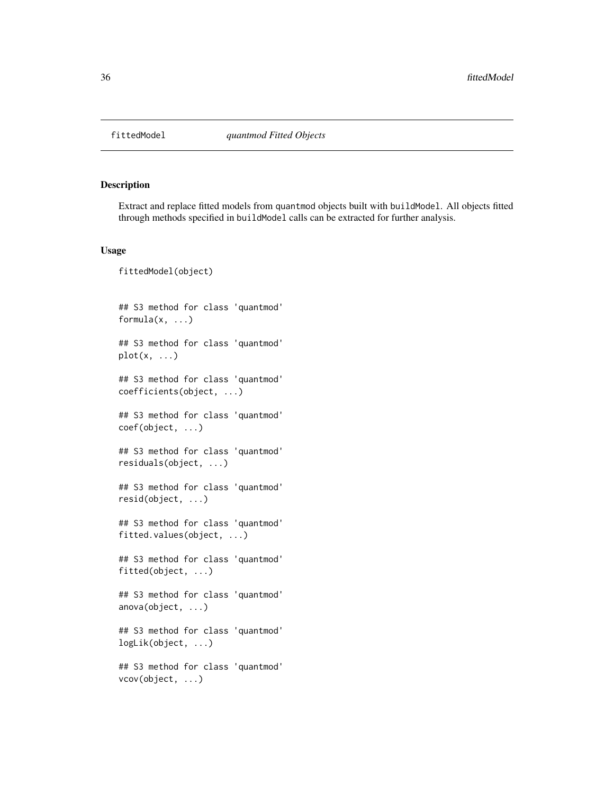<span id="page-35-0"></span>

Extract and replace fitted models from quantmod objects built with buildModel. All objects fitted through methods specified in buildModel calls can be extracted for further analysis.

#### Usage

```
fittedModel(object)
## S3 method for class 'quantmod'
formula(x, \ldots)## S3 method for class 'quantmod'
plot(x, \ldots)## S3 method for class 'quantmod'
coefficients(object, ...)
## S3 method for class 'quantmod'
coef(object, ...)
## S3 method for class 'quantmod'
residuals(object, ...)
## S3 method for class 'quantmod'
resid(object, ...)
## S3 method for class 'quantmod'
fitted.values(object, ...)
## S3 method for class 'quantmod'
fitted(object, ...)
## S3 method for class 'quantmod'
anova(object, ...)
## S3 method for class 'quantmod'
logLik(object, ...)
## S3 method for class 'quantmod'
vcov(object, ...)
```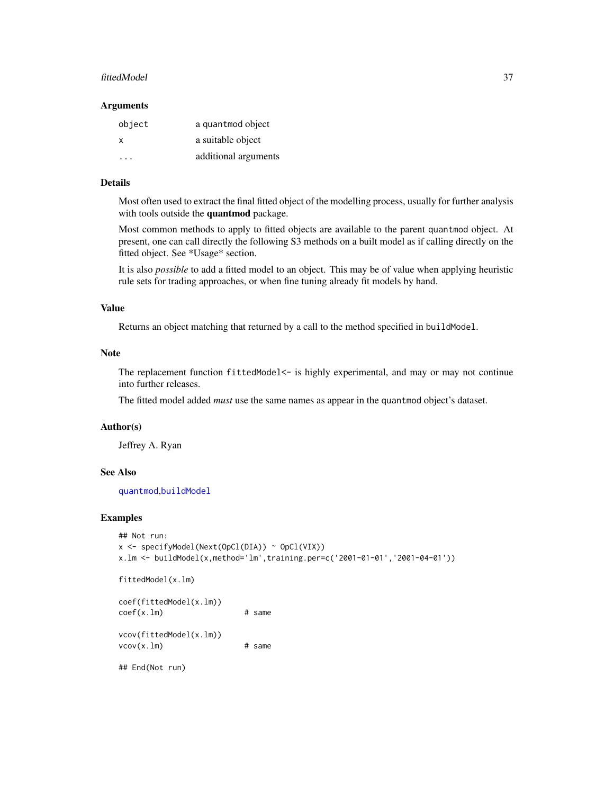#### fittedModel 37

#### Arguments

| object | a quantmod object    |
|--------|----------------------|
| x      | a suitable object    |
| .      | additional arguments |

#### Details

Most often used to extract the final fitted object of the modelling process, usually for further analysis with tools outside the quantmod package.

Most common methods to apply to fitted objects are available to the parent quantmod object. At present, one can call directly the following S3 methods on a built model as if calling directly on the fitted object. See \*Usage\* section.

It is also *possible* to add a fitted model to an object. This may be of value when applying heuristic rule sets for trading approaches, or when fine tuning already fit models by hand.

## Value

Returns an object matching that returned by a call to the method specified in buildModel.

## Note

The replacement function fittedModel<- is highly experimental, and may or may not continue into further releases.

The fitted model added *must* use the same names as appear in the quantmod object's dataset.

#### Author(s)

Jeffrey A. Ryan

## See Also

[quantmod](#page-2-0),[buildModel](#page-20-0)

#### Examples

```
## Not run:
x <- specifyModel(Next(OpCl(DIA)) ~ OpCl(VIX))
x.lm <- buildModel(x,method='lm',training.per=c('2001-01-01','2001-04-01'))
```

```
fittedModel(x.lm)
```

```
coef(fittedModel(x.lm))
\text{coef}(x.lm) # same
vcov(fittedModel(x.lm))
vcov(x.lm) # same
```
## End(Not run)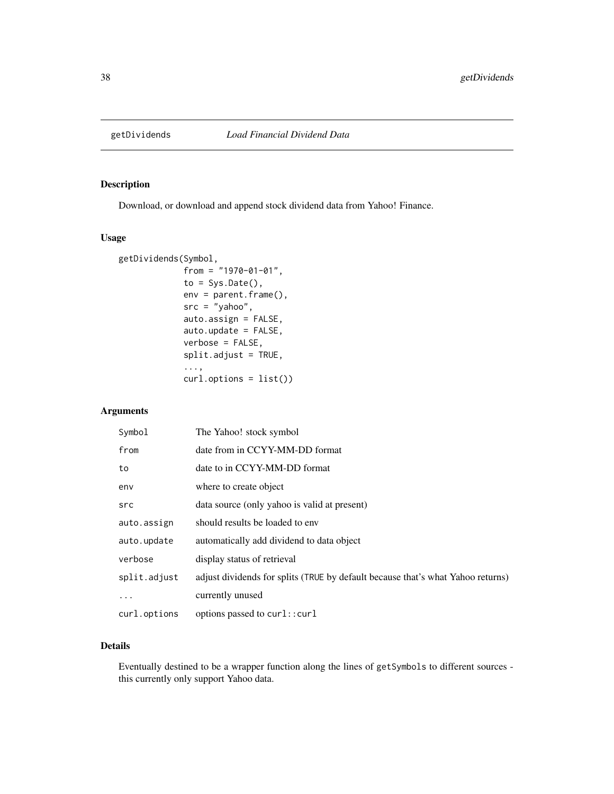<span id="page-37-0"></span>

## Description

Download, or download and append stock dividend data from Yahoo! Finance.

### Usage

```
getDividends(Symbol,
             from = "1970-01-01",
             to = Sys.DataFrame(),
             env = parent.frame(),
             src = "yahoo",auto.assign = FALSE,
             auto.update = FALSE,
             verbose = FALSE,
             split.adjust = TRUE,
             ...,
             curl.options = list())
```
# Arguments

| Symbol       | The Yahoo! stock symbol                                                         |
|--------------|---------------------------------------------------------------------------------|
| from         | date from in CCYY-MM-DD format                                                  |
| to           | date to in CCYY-MM-DD format                                                    |
| env          | where to create object                                                          |
| src          | data source (only yahoo is valid at present)                                    |
| auto.assign  | should results be loaded to env                                                 |
| auto.update  | automatically add dividend to data object                                       |
| verbose      | display status of retrieval                                                     |
| split.adjust | adjust dividends for splits (TRUE by default because that's what Yahoo returns) |
| .            | currently unused                                                                |
| curl.options | options passed to curl:: curl                                                   |

## Details

Eventually destined to be a wrapper function along the lines of getSymbols to different sources this currently only support Yahoo data.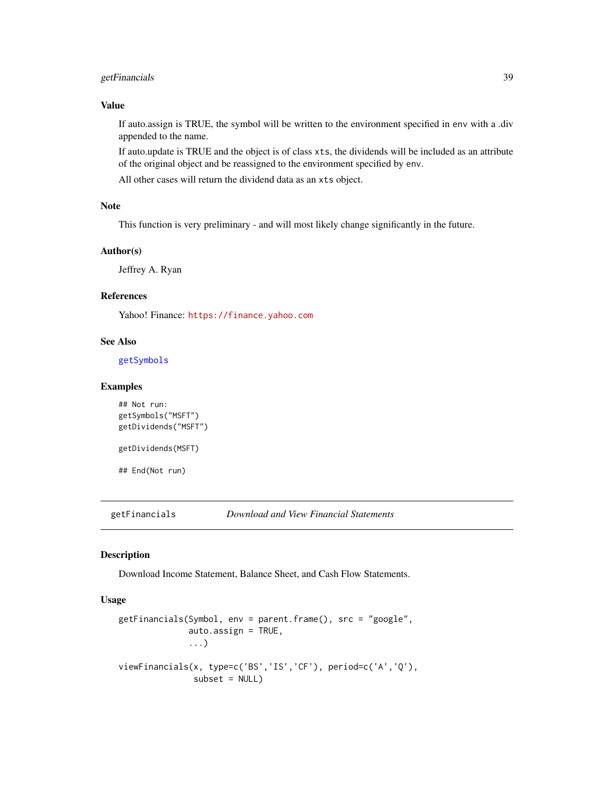### getFinancials 39

### Value

If auto.assign is TRUE, the symbol will be written to the environment specified in env with a .div appended to the name.

If auto.update is TRUE and the object is of class xts, the dividends will be included as an attribute of the original object and be reassigned to the environment specified by env.

All other cases will return the dividend data as an xts object.

### Note

This function is very preliminary - and will most likely change significantly in the future.

#### Author(s)

Jeffrey A. Ryan

#### References

Yahoo! Finance: <https://finance.yahoo.com>

#### See Also

[getSymbols](#page-49-0)

## Examples

```
## Not run:
getSymbols("MSFT")
getDividends("MSFT")
getDividends(MSFT)
## End(Not run)
```
getFinancials *Download and View Financial Statements*

### Description

Download Income Statement, Balance Sheet, and Cash Flow Statements.

### Usage

```
getFinancials(Symbol, env = parent.frame(), src = "google",
              auto.assign = TRUE,
              ...)
viewFinancials(x, type=c('BS','IS','CF'), period=c('A','Q'),
              subset = NULL)
```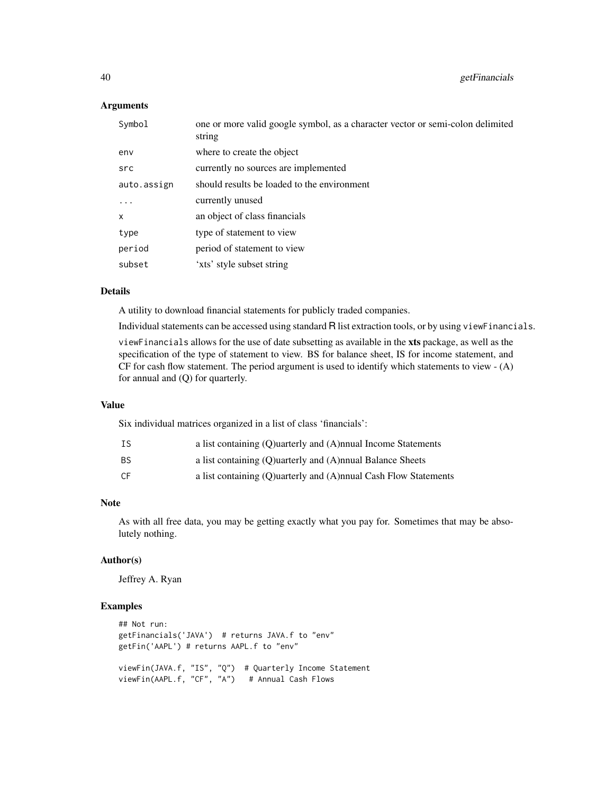### Arguments

| Symbol       | one or more valid google symbol, as a character vector or semi-colon delimited<br>string |
|--------------|------------------------------------------------------------------------------------------|
| env          | where to create the object                                                               |
| src          | currently no sources are implemented                                                     |
| auto.assign  | should results be loaded to the environment                                              |
| .            | currently unused                                                                         |
| $\mathsf{x}$ | an object of class financials                                                            |
| type         | type of statement to view                                                                |
| period       | period of statement to view                                                              |
| subset       | 'xts' style subset string                                                                |

### Details

A utility to download financial statements for publicly traded companies.

Individual statements can be accessed using standard R list extraction tools, or by using viewFinancials.

viewFinancials allows for the use of date subsetting as available in the xts package, as well as the specification of the type of statement to view. BS for balance sheet, IS for income statement, and CF for cash flow statement. The period argument is used to identify which statements to view - (A) for annual and (Q) for quarterly.

#### Value

Six individual matrices organized in a list of class 'financials':

| ΙS | a list containing (O)uarterly and (A)nnual Income Statements    |
|----|-----------------------------------------------------------------|
| ΒS | a list containing $(Q)$ uarterly and $(A)$ nnual Balance Sheets |
| СF | a list containing (Q)uarterly and (A)nnual Cash Flow Statements |

### Note

As with all free data, you may be getting exactly what you pay for. Sometimes that may be absolutely nothing.

#### Author(s)

Jeffrey A. Ryan

### Examples

```
## Not run:
getFinancials('JAVA') # returns JAVA.f to "env"
getFin('AAPL') # returns AAPL.f to "env"
viewFin(JAVA.f, "IS", "Q") # Quarterly Income Statement
viewFin(AAPL.f, "CF", "A") # Annual Cash Flows
```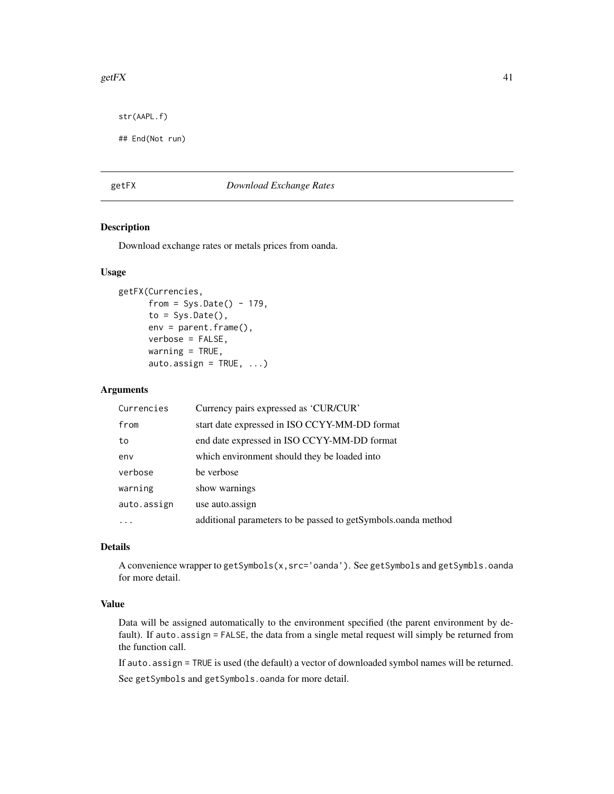#### getFX  $41$

str(AAPL.f)

## End(Not run)

### <span id="page-40-0"></span>getFX *Download Exchange Rates*

### Description

Download exchange rates or metals prices from oanda.

#### Usage

```
getFX(Currencies,
      from = Sys. Date() - 179,to = Sys.DataFrame(),
      env = parent.frame(),
      verbose = FALSE,
      warning = TRUE,
      auto.assign = TRUE, ...)
```
#### Arguments

| Currencies  | Currency pairs expressed as 'CUR/CUR'                         |
|-------------|---------------------------------------------------------------|
| from        | start date expressed in ISO CCYY-MM-DD format                 |
| to          | end date expressed in ISO CCYY-MM-DD format                   |
| env         | which environment should they be loaded into                  |
| verbose     | be verbose                                                    |
| warning     | show warnings                                                 |
| auto.assign | use auto.assign                                               |
| .           | additional parameters to be passed to getSymbols.oanda method |

### Details

A convenience wrapper to getSymbols(x,src='oanda'). See getSymbols and getSymbls.oanda for more detail.

## Value

Data will be assigned automatically to the environment specified (the parent environment by default). If auto. assign = FALSE, the data from a single metal request will simply be returned from the function call.

If auto.assign = TRUE is used (the default) a vector of downloaded symbol names will be returned.

See getSymbols and getSymbols.oanda for more detail.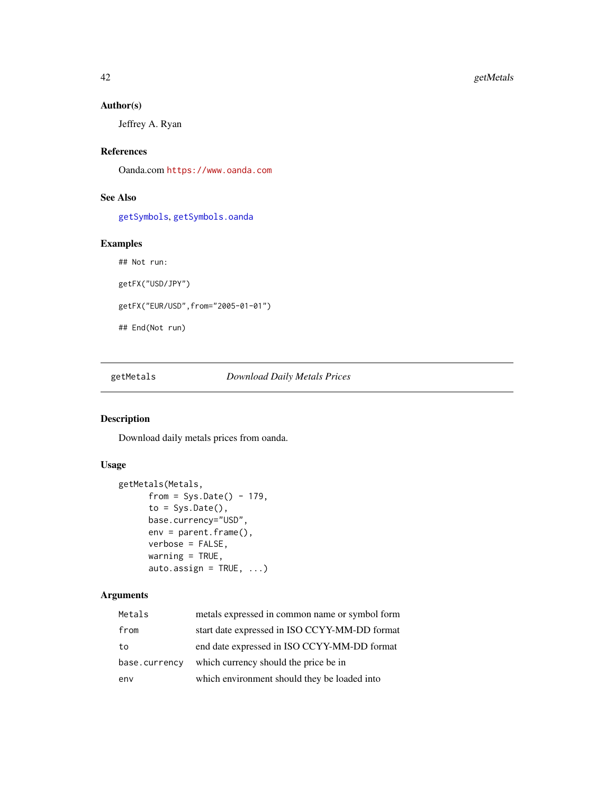### Author(s)

Jeffrey A. Ryan

# References

Oanda.com <https://www.oanda.com>

## See Also

[getSymbols](#page-49-0), [getSymbols.oanda](#page-60-0)

## Examples

## Not run:

getFX("USD/JPY")

getFX("EUR/USD",from="2005-01-01")

## End(Not run)

## <span id="page-41-0"></span>getMetals *Download Daily Metals Prices*

# Description

Download daily metals prices from oanda.

### Usage

```
getMetals(Metals,
      from = Sys.Date() - 179,to = Sys.DataFrame(),
      base.currency="USD",
      env = parent.frame(),
      verbose = FALSE,
      warning = TRUE,
      auto.assign = TRUE, ...)
```
## Arguments

| Metals        | metals expressed in common name or symbol form |
|---------------|------------------------------------------------|
| from          | start date expressed in ISO CCYY-MM-DD format  |
| to            | end date expressed in ISO CCYY-MM-DD format    |
| base.currency | which currency should the price be in          |
| env           | which environment should they be loaded into   |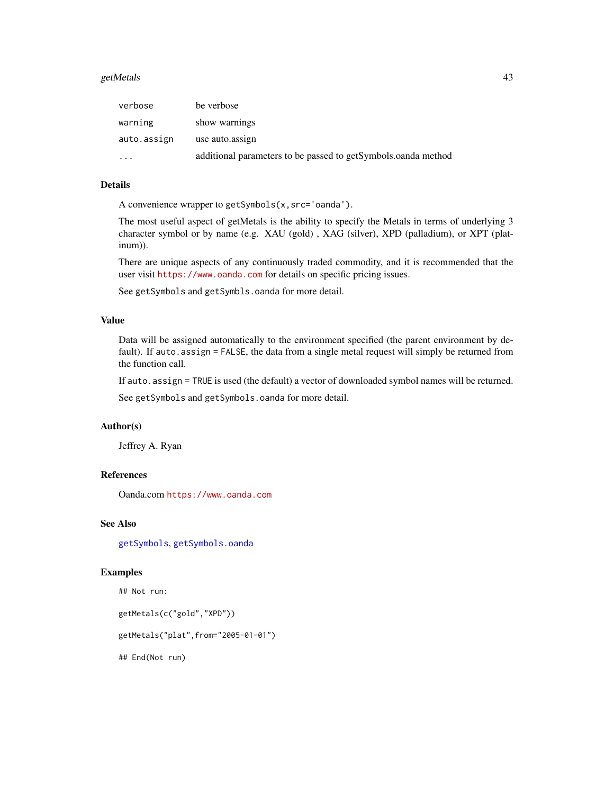#### getMetals 43

| verbose     | be verbose                                                    |
|-------------|---------------------------------------------------------------|
| warning     | show warnings                                                 |
| auto.assign | use auto assign                                               |
| .           | additional parameters to be passed to getSymbols.oanda method |

#### Details

A convenience wrapper to getSymbols(x,src='oanda').

The most useful aspect of getMetals is the ability to specify the Metals in terms of underlying 3 character symbol or by name (e.g. XAU (gold) , XAG (silver), XPD (palladium), or XPT (platinum)).

There are unique aspects of any continuously traded commodity, and it is recommended that the user visit <https://www.oanda.com> for details on specific pricing issues.

See getSymbols and getSymbls.oanda for more detail.

### Value

Data will be assigned automatically to the environment specified (the parent environment by default). If auto.assign = FALSE, the data from a single metal request will simply be returned from the function call.

If auto.assign = TRUE is used (the default) a vector of downloaded symbol names will be returned.

See getSymbols and getSymbols.oanda for more detail.

## Author(s)

Jeffrey A. Ryan

## References

Oanda.com <https://www.oanda.com>

## See Also

[getSymbols](#page-49-0), [getSymbols.oanda](#page-60-0)

### Examples

## Not run:

getMetals(c("gold","XPD"))

getMetals("plat",from="2005-01-01")

## End(Not run)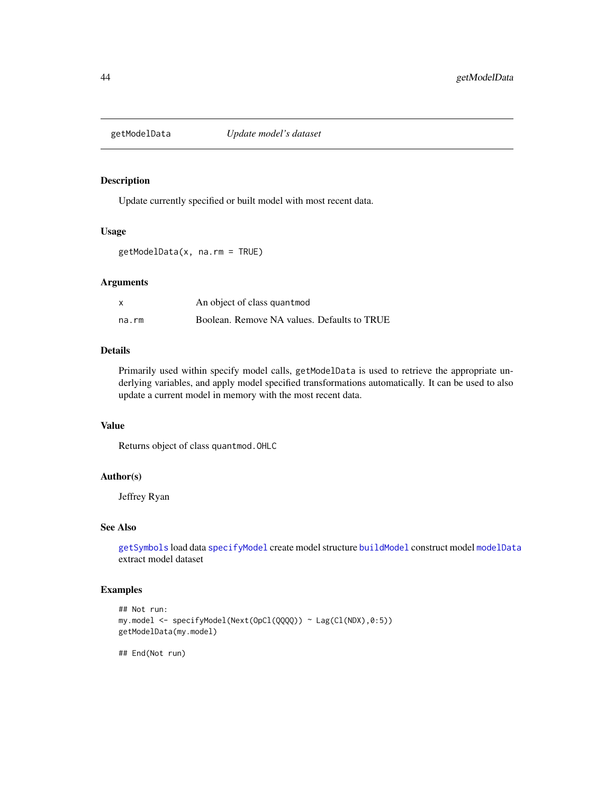<span id="page-43-0"></span>

## Description

Update currently specified or built model with most recent data.

#### Usage

getModelData(x, na.rm = TRUE)

### Arguments

|       | An object of class quantmod                 |
|-------|---------------------------------------------|
| na.rm | Boolean. Remove NA values. Defaults to TRUE |

### Details

Primarily used within specify model calls, getModelData is used to retrieve the appropriate underlying variables, and apply model specified transformations automatically. It can be used to also update a current model in memory with the most recent data.

# Value

Returns object of class quantmod.OHLC

#### Author(s)

Jeffrey Ryan

### See Also

[getSymbols](#page-49-0) load data [specifyModel](#page-93-0) create model structure [buildModel](#page-20-0) construct model [modelData](#page-75-0) extract model dataset

## Examples

```
## Not run:
my.model <- specifyModel(Next(OpCl(QQQQ)) ~ Lag(Cl(NDX),0:5))
getModelData(my.model)
```
## End(Not run)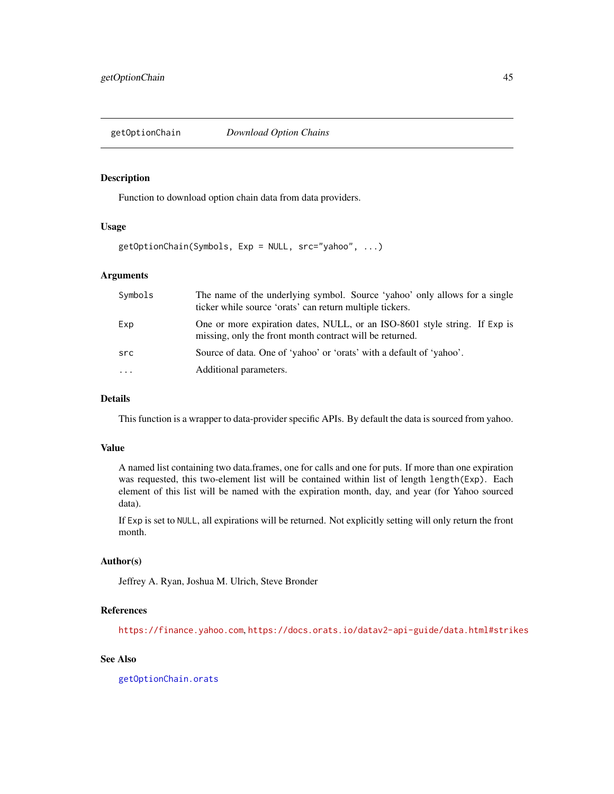getOptionChain *Download Option Chains*

### Description

Function to download option chain data from data providers.

#### Usage

getOptionChain(Symbols, Exp = NULL, src="yahoo", ...)

### Arguments

| Symbols | The name of the underlying symbol. Source 'yahoo' only allows for a single<br>ticker while source 'orats' can return multiple tickers. |
|---------|----------------------------------------------------------------------------------------------------------------------------------------|
| Exp     | One or more expiration dates, NULL, or an ISO-8601 style string. If Exp is<br>missing, only the front month contract will be returned. |
| src     | Source of data. One of 'yahoo' or 'orats' with a default of 'yahoo'.                                                                   |
| .       | Additional parameters.                                                                                                                 |

#### Details

This function is a wrapper to data-provider specific APIs. By default the data is sourced from yahoo.

### Value

A named list containing two data.frames, one for calls and one for puts. If more than one expiration was requested, this two-element list will be contained within list of length length(Exp). Each element of this list will be named with the expiration month, day, and year (for Yahoo sourced data).

If Exp is set to NULL, all expirations will be returned. Not explicitly setting will only return the front month.

### Author(s)

Jeffrey A. Ryan, Joshua M. Ulrich, Steve Bronder

#### References

<https://finance.yahoo.com>, <https://docs.orats.io/datav2-api-guide/data.html#strikes>

### See Also

[getOptionChain.orats](#page-45-0)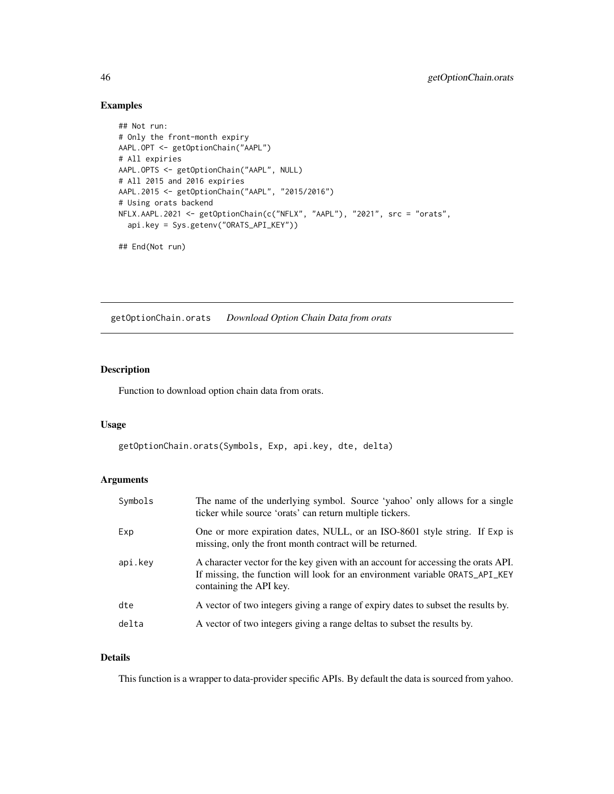# Examples

```
## Not run:
# Only the front-month expiry
AAPL.OPT <- getOptionChain("AAPL")
# All expiries
AAPL.OPTS <- getOptionChain("AAPL", NULL)
# All 2015 and 2016 expiries
AAPL.2015 <- getOptionChain("AAPL", "2015/2016")
# Using orats backend
NFLX.AAPL.2021 <- getOptionChain(c("NFLX", "AAPL"), "2021", src = "orats",
  api.key = Sys.getenv("ORATS_API_KEY"))
## End(Not run)
```
<span id="page-45-0"></span>getOptionChain.orats *Download Option Chain Data from orats*

## Description

Function to download option chain data from orats.

## Usage

```
getOptionChain.orats(Symbols, Exp, api.key, dte, delta)
```
## Arguments

| Symbols | The name of the underlying symbol. Source 'yahoo' only allows for a single<br>ticker while source 'orats' can return multiple tickers.                                                       |
|---------|----------------------------------------------------------------------------------------------------------------------------------------------------------------------------------------------|
| Exp     | One or more expiration dates, NULL, or an ISO-8601 style string. If Exp is<br>missing, only the front month contract will be returned.                                                       |
| api.kev | A character vector for the key given with an account for accessing the orats API.<br>If missing, the function will look for an environment variable ORATS_API_KEY<br>containing the API key. |
| dte     | A vector of two integers giving a range of expiry dates to subset the results by.                                                                                                            |
| delta   | A vector of two integers giving a range deltas to subset the results by.                                                                                                                     |

# Details

This function is a wrapper to data-provider specific APIs. By default the data is sourced from yahoo.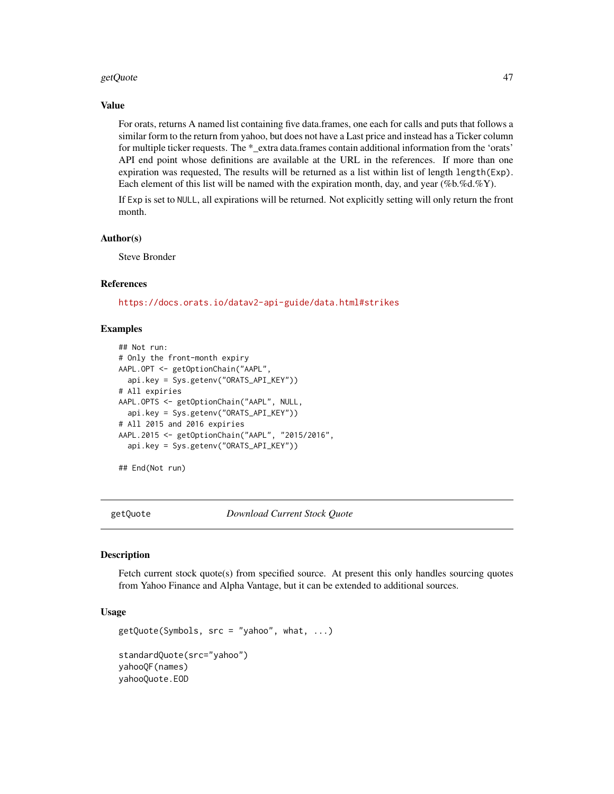#### getQuote and the set of the set of the set of the set of the set of the set of the set of the set of the set of the set of the set of the set of the set of the set of the set of the set of the set of the set of the set of

### Value

For orats, returns A named list containing five data.frames, one each for calls and puts that follows a similar form to the return from yahoo, but does not have a Last price and instead has a Ticker column for multiple ticker requests. The \*\_extra data.frames contain additional information from the 'orats' API end point whose definitions are available at the URL in the references. If more than one expiration was requested, The results will be returned as a list within list of length length(Exp). Each element of this list will be named with the expiration month, day, and year (%b.%d.%Y).

If Exp is set to NULL, all expirations will be returned. Not explicitly setting will only return the front month.

#### Author(s)

Steve Bronder

### References

<https://docs.orats.io/datav2-api-guide/data.html#strikes>

### Examples

```
## Not run:
# Only the front-month expiry
AAPL.OPT <- getOptionChain("AAPL",
 api.key = Sys.getenv("ORATS_API_KEY"))
# All expiries
AAPL.OPTS <- getOptionChain("AAPL", NULL,
 api.key = Sys.getenv("ORATS_API_KEY"))
# All 2015 and 2016 expiries
AAPL.2015 <- getOptionChain("AAPL", "2015/2016",
 api.key = Sys.getenv("ORATS_API_KEY"))
```
## End(Not run)

getQuote *Download Current Stock Quote*

### Description

Fetch current stock quote(s) from specified source. At present this only handles sourcing quotes from Yahoo Finance and Alpha Vantage, but it can be extended to additional sources.

#### Usage

```
getQuote(Symbols, src = "yahoo", what, ...)
standardQuote(src="yahoo")
yahooQF(names)
yahooQuote.EOD
```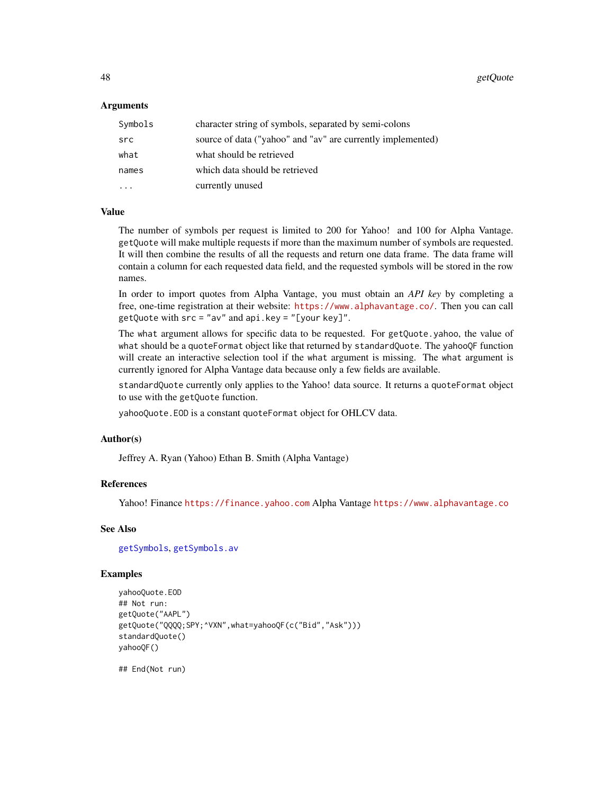48 getQuote

#### Arguments

| Symbols                 | character string of symbols, separated by semi-colons       |
|-------------------------|-------------------------------------------------------------|
| src                     | source of data ("yahoo" and "av" are currently implemented) |
| what                    | what should be retrieved                                    |
| names                   | which data should be retrieved                              |
| $\cdot$ $\cdot$ $\cdot$ | currently unused                                            |

#### Value

The number of symbols per request is limited to 200 for Yahoo! and 100 for Alpha Vantage. getQuote will make multiple requests if more than the maximum number of symbols are requested. It will then combine the results of all the requests and return one data frame. The data frame will contain a column for each requested data field, and the requested symbols will be stored in the row names.

In order to import quotes from Alpha Vantage, you must obtain an *API key* by completing a free, one-time registration at their website: <https://www.alphavantage.co/>. Then you can call getQuote with src = "av" and api.key = "[your key]".

The what argument allows for specific data to be requested. For getQuote.yahoo, the value of what should be a quoteFormat object like that returned by standardQuote. The yahooQF function will create an interactive selection tool if the what argument is missing. The what argument is currently ignored for Alpha Vantage data because only a few fields are available.

standardQuote currently only applies to the Yahoo! data source. It returns a quoteFormat object to use with the getQuote function.

yahooQuote.EOD is a constant quoteFormat object for OHLCV data.

#### Author(s)

Jeffrey A. Ryan (Yahoo) Ethan B. Smith (Alpha Vantage)

### References

Yahoo! Finance <https://finance.yahoo.com> Alpha Vantage <https://www.alphavantage.co>

### See Also

[getSymbols](#page-49-0), [getSymbols.av](#page-53-0)

#### Examples

```
yahooQuote.EOD
## Not run:
getQuote("AAPL")
getQuote("QQQQ;SPY;^VXN",what=yahooQF(c("Bid","Ask")))
standardQuote()
yahooQF()
```
## End(Not run)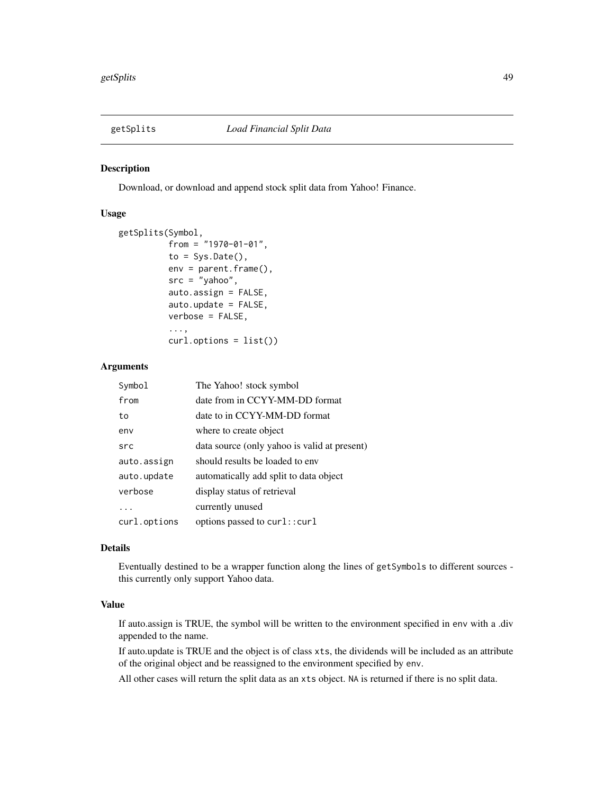#### Description

Download, or download and append stock split data from Yahoo! Finance.

### Usage

```
getSplits(Symbol,
          from = "1970-01-01",
          to = Sys.DataFrame(),
          env = parent.frame(),
          src = "yahoo",
          auto.assign = FALSE,
          auto.update = FALSE,
          verbose = FALSE,
          ...,
          curl.options = list())
```
#### Arguments

| Symbol       | The Yahoo! stock symbol                      |
|--------------|----------------------------------------------|
| from         | date from in CCYY-MM-DD format               |
| to           | date to in CCYY-MM-DD format                 |
| env          | where to create object                       |
| src          | data source (only yahoo is valid at present) |
| auto.assign  | should results be loaded to env              |
| auto.update  | automatically add split to data object       |
| verbose      | display status of retrieval                  |
| .            | currently unused                             |
| curl.options | options passed to curl:: curl                |

### Details

Eventually destined to be a wrapper function along the lines of getSymbols to different sources this currently only support Yahoo data.

#### Value

If auto.assign is TRUE, the symbol will be written to the environment specified in env with a .div appended to the name.

If auto.update is TRUE and the object is of class xts, the dividends will be included as an attribute of the original object and be reassigned to the environment specified by env.

All other cases will return the split data as an xts object. NA is returned if there is no split data.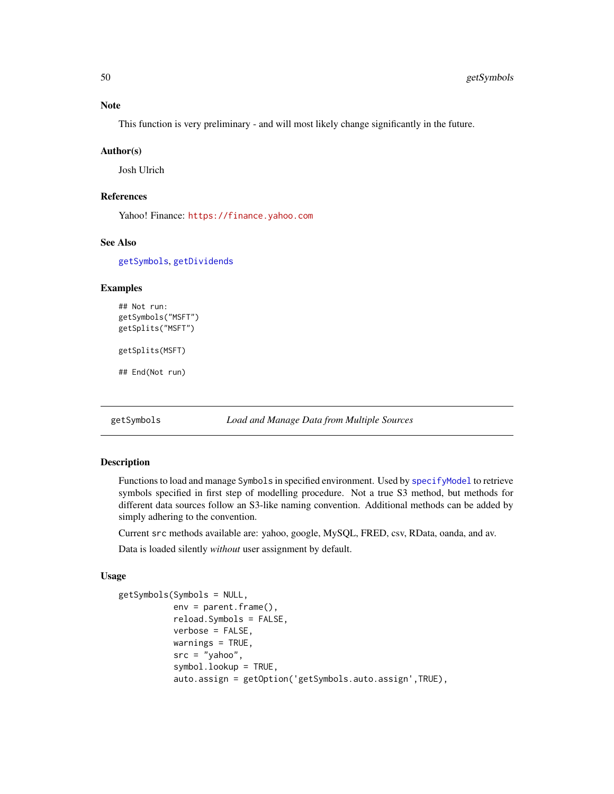This function is very preliminary - and will most likely change significantly in the future.

#### Author(s)

Josh Ulrich

# References

Yahoo! Finance: <https://finance.yahoo.com>

## See Also

[getSymbols](#page-49-0), [getDividends](#page-37-0)

### Examples

## Not run: getSymbols("MSFT") getSplits("MSFT")

getSplits(MSFT)

## End(Not run)

<span id="page-49-0"></span>getSymbols *Load and Manage Data from Multiple Sources*

### Description

Functions to load and manage Symbols in specified environment. Used by [specifyModel](#page-93-0) to retrieve symbols specified in first step of modelling procedure. Not a true S3 method, but methods for different data sources follow an S3-like naming convention. Additional methods can be added by simply adhering to the convention.

Current src methods available are: yahoo, google, MySQL, FRED, csv, RData, oanda, and av.

Data is loaded silently *without* user assignment by default.

#### Usage

```
getSymbols(Symbols = NULL,
           env = parent.frame(),
           reload.Symbols = FALSE,
           verbose = FALSE,
           warnings = TRUE,src = "yahoo",symbol.lookup = TRUE,
           auto.assign = getOption('getSymbols.auto.assign',TRUE),
```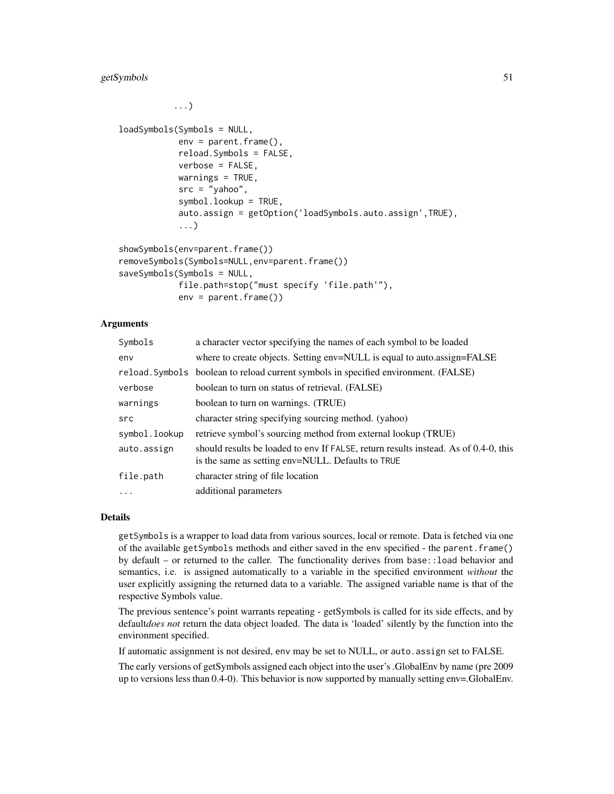# getSymbols 51

...)

```
loadSymbols(Symbols = NULL,
            env = parent.frame(),
            reload.Symbols = FALSE,
            verbose = FALSE,
            warnings = TRUE,
            src = "yahoo",
            symbol.lookup = TRUE,
            auto.assign = getOption('loadSymbols.auto.assign',TRUE),
            ...)
showSymbols(env=parent.frame())
removeSymbols(Symbols=NULL,env=parent.frame())
saveSymbols(Symbols = NULL,
            file.path=stop("must specify 'file.path'"),
            env = parent.frame())
```
#### Arguments

| Symbols        | a character vector specifying the names of each symbol to be loaded                                                                      |
|----------------|------------------------------------------------------------------------------------------------------------------------------------------|
| env            | where to create objects. Setting env=NULL is equal to auto.assign=FALSE                                                                  |
| reload.Symbols | boolean to reload current symbols in specified environment. (FALSE)                                                                      |
| verbose        | boolean to turn on status of retrieval. (FALSE)                                                                                          |
| warnings       | boolean to turn on warnings. (TRUE)                                                                                                      |
| src            | character string specifying sourcing method. (yahoo)                                                                                     |
| symbol.lookup  | retrieve symbol's sourcing method from external lookup (TRUE)                                                                            |
| auto.assign    | should results be loaded to env If FALSE, return results instead. As of 0.4-0, this<br>is the same as setting env=NULL. Defaults to TRUE |
| file.path      | character string of file location                                                                                                        |
| .              | additional parameters                                                                                                                    |

#### Details

getSymbols is a wrapper to load data from various sources, local or remote. Data is fetched via one of the available getSymbols methods and either saved in the env specified - the parent.frame() by default – or returned to the caller. The functionality derives from base::load behavior and semantics, i.e. is assigned automatically to a variable in the specified environment *without* the user explicitly assigning the returned data to a variable. The assigned variable name is that of the respective Symbols value.

The previous sentence's point warrants repeating - getSymbols is called for its side effects, and by default*does not* return the data object loaded. The data is 'loaded' silently by the function into the environment specified.

If automatic assignment is not desired, env may be set to NULL, or auto.assign set to FALSE.

The early versions of getSymbols assigned each object into the user's .GlobalEnv by name (pre 2009 up to versions less than 0.4-0). This behavior is now supported by manually setting env=.GlobalEnv.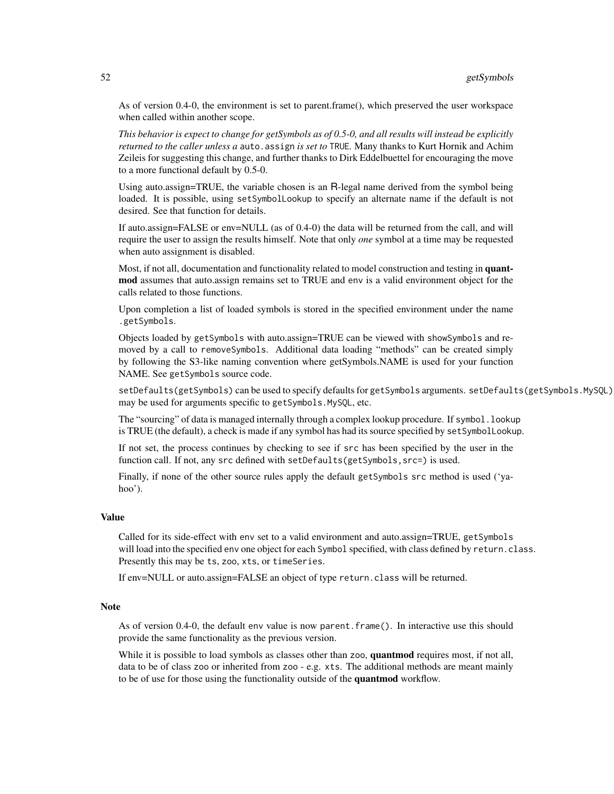As of version 0.4-0, the environment is set to parent.frame(), which preserved the user workspace when called within another scope.

*This behavior is expect to change for getSymbols as of 0.5-0, and all results will instead be explicitly returned to the caller unless a* auto.assign *is set to* TRUE*.* Many thanks to Kurt Hornik and Achim Zeileis for suggesting this change, and further thanks to Dirk Eddelbuettel for encouraging the move to a more functional default by 0.5-0.

Using auto.assign=TRUE, the variable chosen is an R-legal name derived from the symbol being loaded. It is possible, using setSymbolLookup to specify an alternate name if the default is not desired. See that function for details.

If auto.assign=FALSE or env=NULL (as of 0.4-0) the data will be returned from the call, and will require the user to assign the results himself. Note that only *one* symbol at a time may be requested when auto assignment is disabled.

Most, if not all, documentation and functionality related to model construction and testing in **quant**mod assumes that auto.assign remains set to TRUE and env is a valid environment object for the calls related to those functions.

Upon completion a list of loaded symbols is stored in the specified environment under the name .getSymbols.

Objects loaded by getSymbols with auto.assign=TRUE can be viewed with showSymbols and removed by a call to removeSymbols. Additional data loading "methods" can be created simply by following the S3-like naming convention where getSymbols.NAME is used for your function NAME. See getSymbols source code.

setDefaults(getSymbols) can be used to specify defaults for getSymbols arguments. setDefaults(getSymbols.MySQL) may be used for arguments specific to getSymbols.MySQL, etc.

The "sourcing" of data is managed internally through a complex lookup procedure. If symbol.lookup is TRUE (the default), a check is made if any symbol has had its source specified by setSymbolLookup.

If not set, the process continues by checking to see if src has been specified by the user in the function call. If not, any src defined with setDefaults(getSymbols, src=) is used.

Finally, if none of the other source rules apply the default getSymbols src method is used ('yahoo').

#### Value

Called for its side-effect with env set to a valid environment and auto.assign=TRUE, getSymbols will load into the specified env one object for each Symbol specified, with class defined by return.class. Presently this may be ts, zoo, xts, or timeSeries.

If env=NULL or auto.assign=FALSE an object of type return.class will be returned.

#### **Note**

As of version 0.4-0, the default env value is now parent.frame(). In interactive use this should provide the same functionality as the previous version.

While it is possible to load symbols as classes other than zoo, quantmod requires most, if not all, data to be of class zoo or inherited from zoo - e.g. xts. The additional methods are meant mainly to be of use for those using the functionality outside of the **quantmod** workflow.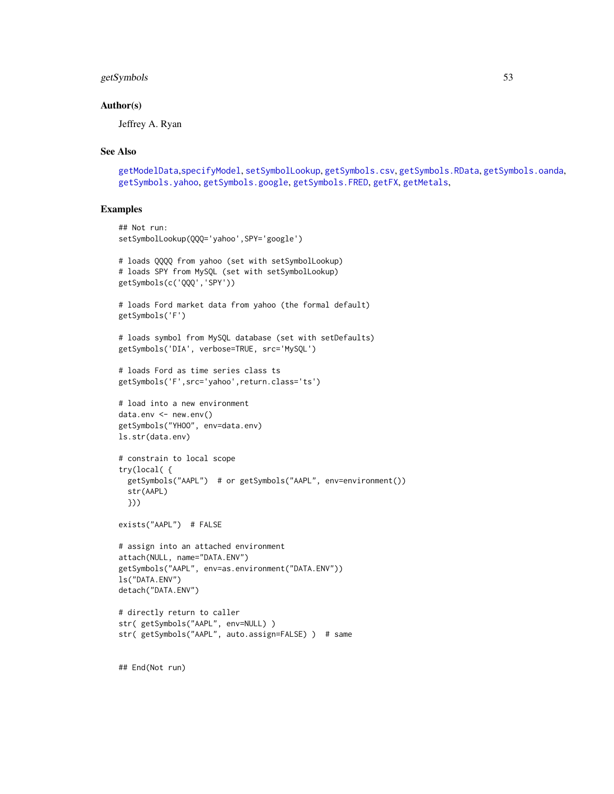### getSymbols 53

#### Author(s)

Jeffrey A. Ryan

#### See Also

[getModelData](#page-43-0),[specifyModel](#page-93-0), [setSymbolLookup](#page-90-0), [getSymbols.csv](#page-55-0), [getSymbols.RData](#page-62-0), [getSymbols.oanda](#page-60-0), [getSymbols.yahoo](#page-67-0), [getSymbols.google](#page-0-0), [getSymbols.FRED](#page-56-0), [getFX](#page-40-0), [getMetals](#page-41-0),

## Examples

```
## Not run:
setSymbolLookup(QQQ='yahoo',SPY='google')
# loads QQQQ from yahoo (set with setSymbolLookup)
# loads SPY from MySQL (set with setSymbolLookup)
getSymbols(c('QQQ','SPY'))
# loads Ford market data from yahoo (the formal default)
getSymbols('F')
# loads symbol from MySQL database (set with setDefaults)
getSymbols('DIA', verbose=TRUE, src='MySQL')
# loads Ford as time series class ts
getSymbols('F',src='yahoo',return.class='ts')
# load into a new environment
data.env <- new.env()
getSymbols("YHOO", env=data.env)
ls.str(data.env)
# constrain to local scope
try(local( {
  getSymbols("AAPL") # or getSymbols("AAPL", env=environment())
  str(AAPL)
  }))
exists("AAPL") # FALSE
# assign into an attached environment
attach(NULL, name="DATA.ENV")
getSymbols("AAPL", env=as.environment("DATA.ENV"))
ls("DATA.ENV")
detach("DATA.ENV")
# directly return to caller
str( getSymbols("AAPL", env=NULL) )
str( getSymbols("AAPL", auto.assign=FALSE) ) # same
```
## End(Not run)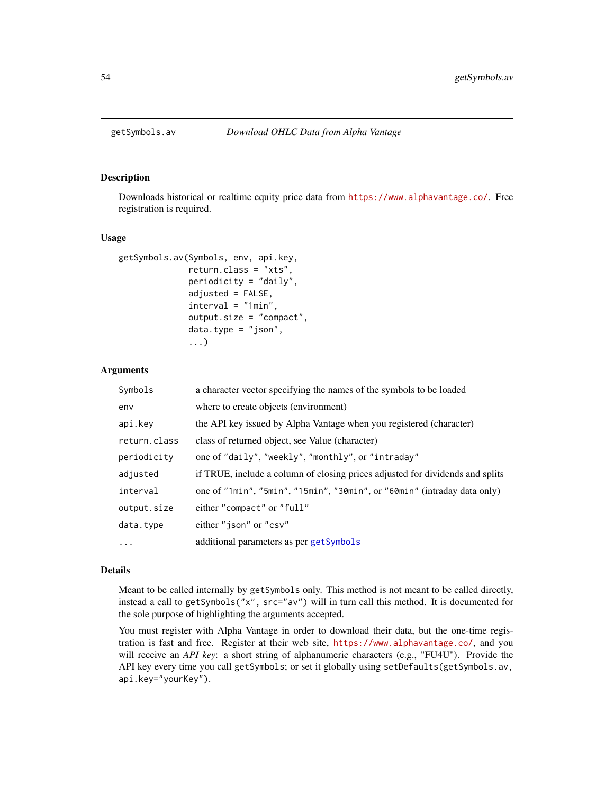<span id="page-53-0"></span>

#### Description

Downloads historical or realtime equity price data from <https://www.alphavantage.co/>. Free registration is required.

#### Usage

```
getSymbols.av(Symbols, env, api.key,
              return.class = "xts",
              periodicity = "daily",
              adjusted = FALSE,interval = "1min",output.size = "compact",
              data.type = "json",
              ...)
```
#### Arguments

| Symbols      | a character vector specifying the names of the symbols to be loaded           |
|--------------|-------------------------------------------------------------------------------|
| env          | where to create objects (environment)                                         |
| api.key      | the API key issued by Alpha Vantage when you registered (character)           |
| return.class | class of returned object, see Value (character)                               |
| periodicity  | one of "daily", "weekly", "monthly", or "intraday"                            |
| adjusted     | if TRUE, include a column of closing prices adjusted for dividends and splits |
| interval     | one of "1min", "5min", "15min", "30min", or "60min" (intraday data only)      |
| output.size  | either "compact" or "full"                                                    |
| data.type    | either "json" or "csv"                                                        |
| $\cdots$     | additional parameters as per getSymbols                                       |

### Details

Meant to be called internally by getSymbols only. This method is not meant to be called directly, instead a call to getSymbols("x", src="av") will in turn call this method. It is documented for the sole purpose of highlighting the arguments accepted.

You must register with Alpha Vantage in order to download their data, but the one-time registration is fast and free. Register at their web site, <https://www.alphavantage.co/>, and you will receive an *API key*: a short string of alphanumeric characters (e.g., "FU4U"). Provide the API key every time you call getSymbols; or set it globally using setDefaults(getSymbols.av, api.key="yourKey").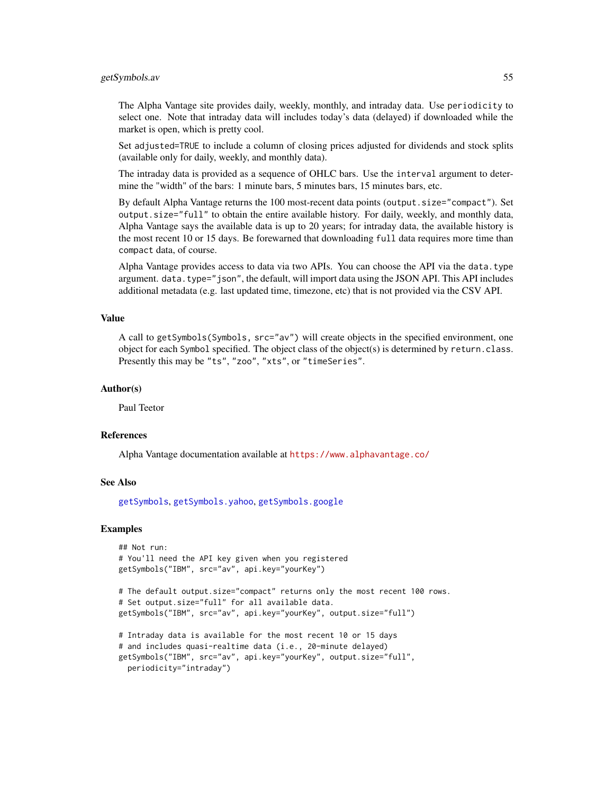#### getSymbols.av 55

The Alpha Vantage site provides daily, weekly, monthly, and intraday data. Use periodicity to select one. Note that intraday data will includes today's data (delayed) if downloaded while the market is open, which is pretty cool.

Set adjusted=TRUE to include a column of closing prices adjusted for dividends and stock splits (available only for daily, weekly, and monthly data).

The intraday data is provided as a sequence of OHLC bars. Use the interval argument to determine the "width" of the bars: 1 minute bars, 5 minutes bars, 15 minutes bars, etc.

By default Alpha Vantage returns the 100 most-recent data points (output.size="compact"). Set output.size="full" to obtain the entire available history. For daily, weekly, and monthly data, Alpha Vantage says the available data is up to 20 years; for intraday data, the available history is the most recent 10 or 15 days. Be forewarned that downloading full data requires more time than compact data, of course.

Alpha Vantage provides access to data via two APIs. You can choose the API via the data.type argument. data.type="json", the default, will import data using the JSON API. This API includes additional metadata (e.g. last updated time, timezone, etc) that is not provided via the CSV API.

#### Value

A call to getSymbols(Symbols, src="av") will create objects in the specified environment, one object for each Symbol specified. The object class of the object(s) is determined by return.class. Presently this may be "ts", "zoo", "xts", or "timeSeries".

#### Author(s)

Paul Teetor

#### References

Alpha Vantage documentation available at <https://www.alphavantage.co/>

#### See Also

[getSymbols](#page-49-0), [getSymbols.yahoo](#page-67-0), [getSymbols.google](#page-0-0)

### Examples

```
## Not run:
# You'll need the API key given when you registered
getSymbols("IBM", src="av", api.key="yourKey")
```

```
# The default output.size="compact" returns only the most recent 100 rows.
# Set output.size="full" for all available data.
getSymbols("IBM", src="av", api.key="yourKey", output.size="full")
```

```
# Intraday data is available for the most recent 10 or 15 days
# and includes quasi-realtime data (i.e., 20-minute delayed)
getSymbols("IBM", src="av", api.key="yourKey", output.size="full",
 periodicity="intraday")
```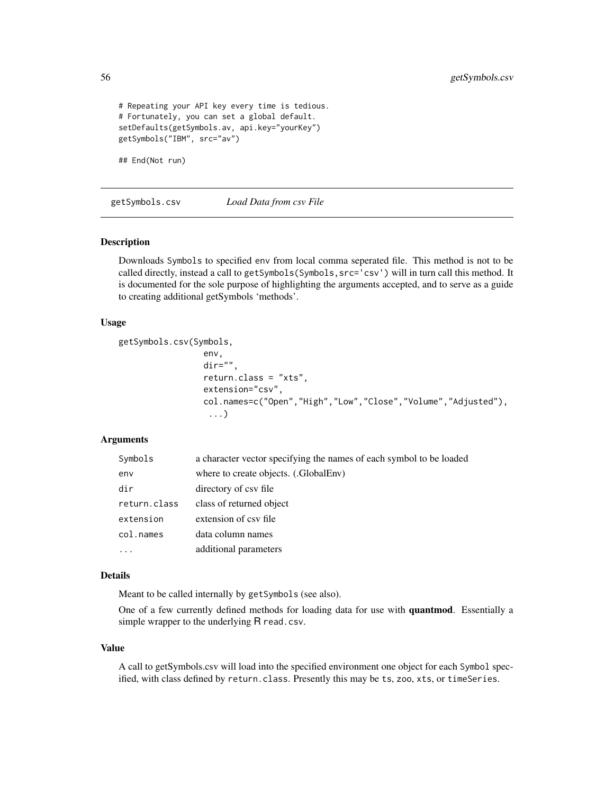```
# Repeating your API key every time is tedious.
# Fortunately, you can set a global default.
setDefaults(getSymbols.av, api.key="yourKey")
getSymbols("IBM", src="av")
## End(Not run)
```
<span id="page-55-0"></span>getSymbols.csv *Load Data from csv File*

### Description

Downloads Symbols to specified env from local comma seperated file. This method is not to be called directly, instead a call to getSymbols(Symbols, src='csv') will in turn call this method. It is documented for the sole purpose of highlighting the arguments accepted, and to serve as a guide to creating additional getSymbols 'methods'.

#### Usage

```
getSymbols.csv(Symbols,
```

```
env,
dir="",
return.class = "xts",
extension="csv",
col.names=c("Open","High","Low","Close","Volume","Adjusted"),
 ...)
```
### Arguments

| Symbols      | a character vector specifying the names of each symbol to be loaded |
|--------------|---------------------------------------------------------------------|
| env          | where to create objects. (.GlobalEnv)                               |
| dir          | directory of csy file                                               |
| return.class | class of returned object                                            |
| extension    | extension of csy file                                               |
| col.names    | data column names                                                   |
| $\ddotsc$    | additional parameters                                               |

#### Details

Meant to be called internally by getSymbols (see also).

One of a few currently defined methods for loading data for use with quantmod. Essentially a simple wrapper to the underlying R read.csv.

#### Value

A call to getSymbols.csv will load into the specified environment one object for each Symbol specified, with class defined by return.class. Presently this may be ts, zoo, xts, or timeSeries.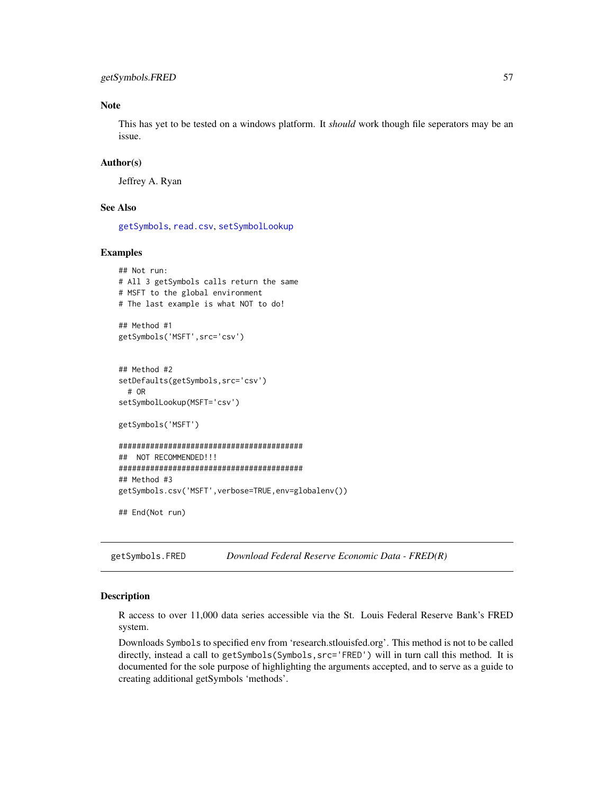### Note

This has yet to be tested on a windows platform. It *should* work though file seperators may be an issue.

### Author(s)

Jeffrey A. Ryan

### See Also

[getSymbols](#page-49-0), [read.csv](#page-0-0), [setSymbolLookup](#page-90-0)

### Examples

```
## Not run:
# All 3 getSymbols calls return the same
# MSFT to the global environment
# The last example is what NOT to do!
## Method #1
getSymbols('MSFT',src='csv')
```

```
## Method #2
setDefaults(getSymbols,src='csv')
 # OR
setSymbolLookup(MSFT='csv')
```

```
getSymbols('MSFT')
```

```
#########################################
## NOT RECOMMENDED!!!
#########################################
## Method #3
getSymbols.csv('MSFT',verbose=TRUE,env=globalenv())
```
## End(Not run)

<span id="page-56-0"></span>getSymbols.FRED *Download Federal Reserve Economic Data - FRED(R)*

#### Description

R access to over 11,000 data series accessible via the St. Louis Federal Reserve Bank's FRED system.

Downloads Symbols to specified env from 'research.stlouisfed.org'. This method is not to be called directly, instead a call to getSymbols(Symbols, src='FRED') will in turn call this method. It is documented for the sole purpose of highlighting the arguments accepted, and to serve as a guide to creating additional getSymbols 'methods'.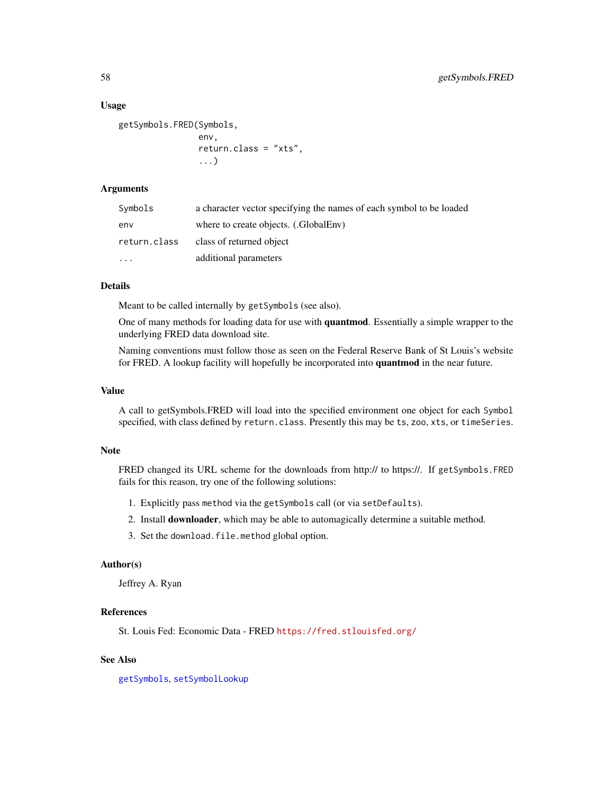#### Usage

```
getSymbols.FRED(Symbols,
                env,
                return.class = "xts",
                 ...)
```
### Arguments

| Symbols      | a character vector specifying the names of each symbol to be loaded |
|--------------|---------------------------------------------------------------------|
| env          | where to create objects. (.GlobalEnv)                               |
| return.class | class of returned object                                            |
|              | additional parameters                                               |

## Details

Meant to be called internally by getSymbols (see also).

One of many methods for loading data for use with **quantmod**. Essentially a simple wrapper to the underlying FRED data download site.

Naming conventions must follow those as seen on the Federal Reserve Bank of St Louis's website for FRED. A lookup facility will hopefully be incorporated into quantmod in the near future.

### Value

A call to getSymbols.FRED will load into the specified environment one object for each Symbol specified, with class defined by return.class. Presently this may be ts, zoo, xts, or timeSeries.

#### Note

FRED changed its URL scheme for the downloads from http:// to https://. If getSymbols.FRED fails for this reason, try one of the following solutions:

- 1. Explicitly pass method via the getSymbols call (or via setDefaults).
- 2. Install downloader, which may be able to automagically determine a suitable method.
- 3. Set the download.file.method global option.

### Author(s)

Jeffrey A. Ryan

# References

St. Louis Fed: Economic Data - FRED <https://fred.stlouisfed.org/>

## See Also

[getSymbols](#page-49-0), [setSymbolLookup](#page-90-0)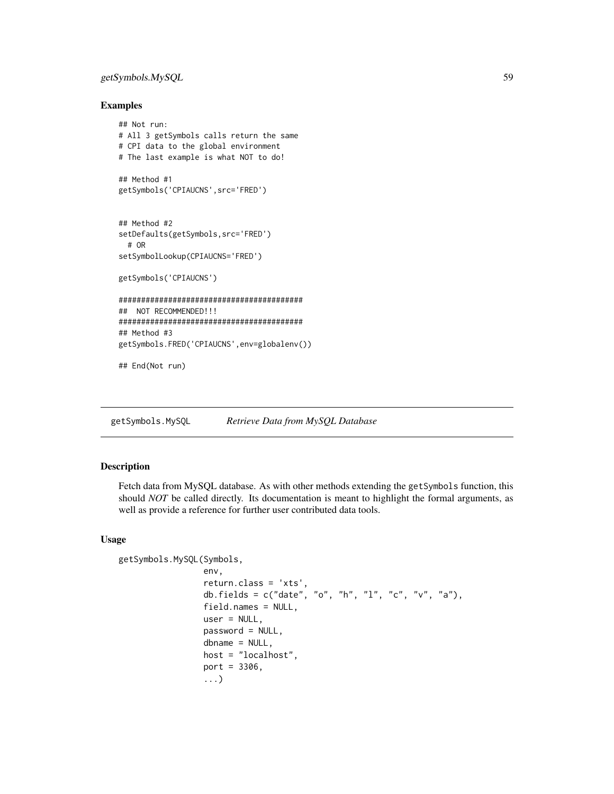## getSymbols.MySQL 59

#### Examples

```
## Not run:
# All 3 getSymbols calls return the same
# CPI data to the global environment
# The last example is what NOT to do!
## Method #1
getSymbols('CPIAUCNS',src='FRED')
## Method #2
setDefaults(getSymbols,src='FRED')
  # OR
setSymbolLookup(CPIAUCNS='FRED')
getSymbols('CPIAUCNS')
#########################################
## NOT RECOMMENDED!!!
#########################################
## Method #3
getSymbols.FRED('CPIAUCNS',env=globalenv())
```
## End(Not run)

getSymbols.MySQL *Retrieve Data from MySQL Database*

### Description

Fetch data from MySQL database. As with other methods extending the getSymbols function, this should *NOT* be called directly. Its documentation is meant to highlight the formal arguments, as well as provide a reference for further user contributed data tools.

### Usage

```
getSymbols.MySQL(Symbols,
                 env,
                 return.class = 'xts',
                 db.fields = c("date", "o", "h", "l", "c", "v", "a"),
                 field.names = NULL,
                 user = NULL,
                 password = NULL,
                 dbname = NULL,
                 host = "localhost",
                 port = 3306,...)
```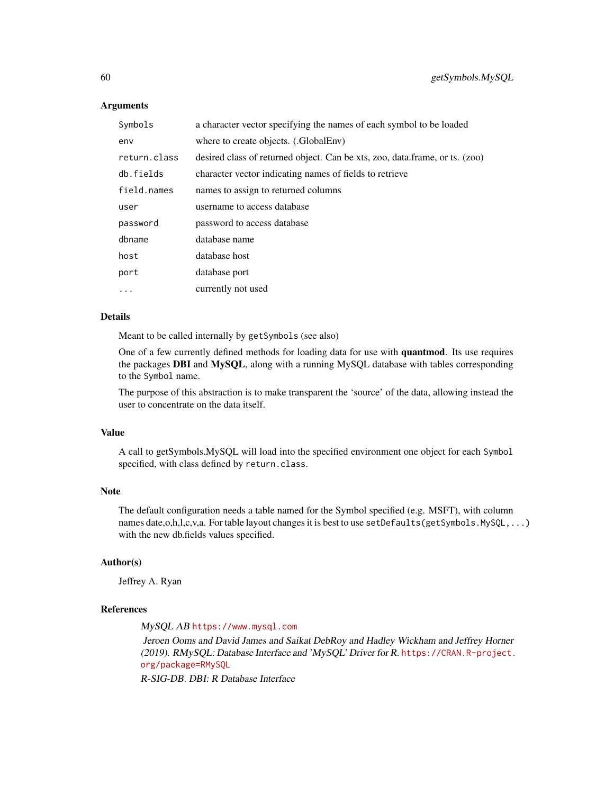#### **Arguments**

| Symbols      | a character vector specifying the names of each symbol to be loaded         |
|--------------|-----------------------------------------------------------------------------|
| env          | where to create objects. (.GlobalEnv)                                       |
| return.class | desired class of returned object. Can be xts, zoo, data.frame, or ts. (zoo) |
| db.fields    | character vector indicating names of fields to retrieve                     |
| field.names  | names to assign to returned columns                                         |
| user         | username to access database                                                 |
| password     | password to access database                                                 |
| dbname       | database name                                                               |
| host         | database host                                                               |
| port         | database port                                                               |
| $\cdots$     | currently not used                                                          |

#### Details

Meant to be called internally by getSymbols (see also)

One of a few currently defined methods for loading data for use with quantmod. Its use requires the packages DBI and MySQL, along with a running MySQL database with tables corresponding to the Symbol name.

The purpose of this abstraction is to make transparent the 'source' of the data, allowing instead the user to concentrate on the data itself.

### Value

A call to getSymbols.MySQL will load into the specified environment one object for each Symbol specified, with class defined by return.class.

## Note

The default configuration needs a table named for the Symbol specified (e.g. MSFT), with column names date,o,h,l,c,v,a. For table layout changes it is best to use setDefaults(getSymbols.MySQL,...) with the new db.fields values specified.

## Author(s)

Jeffrey A. Ryan

#### References

MySQL AB <https://www.mysql.com>

Jeroen Ooms and David James and Saikat DebRoy and Hadley Wickham and Jeffrey Horner (2019). RMySQL: Database Interface and 'MySQL' Driver for R. [https://CRAN.R-project.](https://CRAN.R-project.org/package=RMySQL) [org/package=RMySQL](https://CRAN.R-project.org/package=RMySQL)

R-SIG-DB. DBI: R Database Interface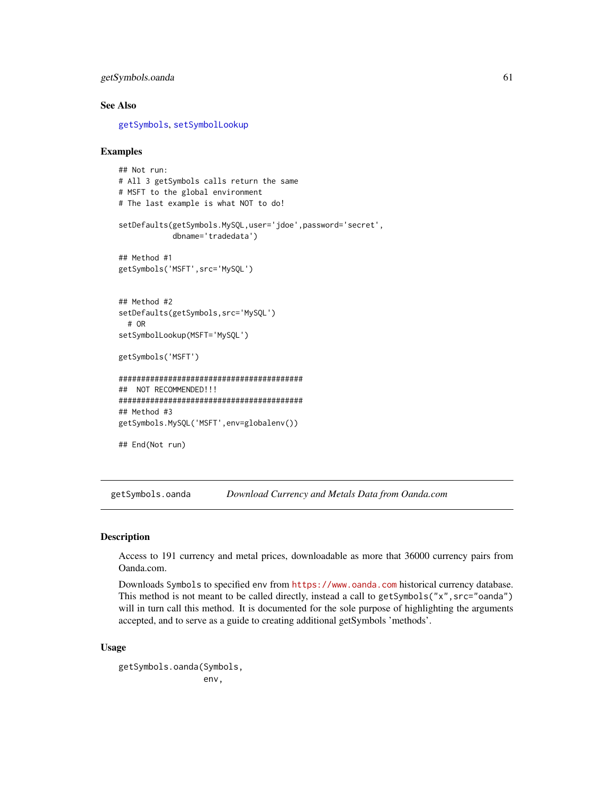### getSymbols.oanda 61

### See Also

[getSymbols](#page-49-0), [setSymbolLookup](#page-90-0)

#### Examples

```
## Not run:
# All 3 getSymbols calls return the same
# MSFT to the global environment
# The last example is what NOT to do!
setDefaults(getSymbols.MySQL,user='jdoe',password='secret',
            dbname='tradedata')
## Method #1
getSymbols('MSFT',src='MySQL')
## Method #2
setDefaults(getSymbols,src='MySQL')
 # OR
setSymbolLookup(MSFT='MySQL')
getSymbols('MSFT')
#########################################
## NOT RECOMMENDED!!!
#########################################
## Method #3
getSymbols.MySQL('MSFT',env=globalenv())
## End(Not run)
```
<span id="page-60-0"></span>getSymbols.oanda *Download Currency and Metals Data from Oanda.com*

#### Description

Access to 191 currency and metal prices, downloadable as more that 36000 currency pairs from Oanda.com.

Downloads Symbols to specified env from <https://www.oanda.com> historical currency database. This method is not meant to be called directly, instead a call to getSymbols("x", src="oanda") will in turn call this method. It is documented for the sole purpose of highlighting the arguments accepted, and to serve as a guide to creating additional getSymbols 'methods'.

#### Usage

```
getSymbols.oanda(Symbols,
                 env,
```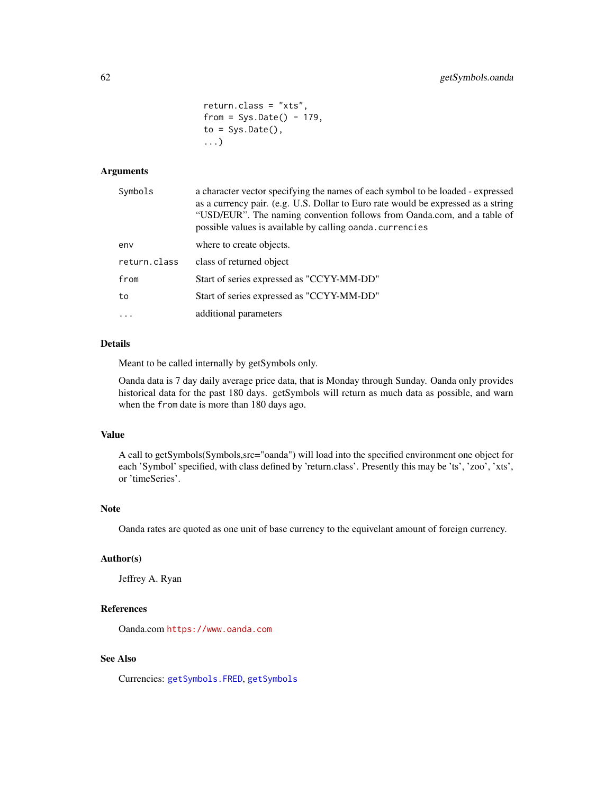return.class = "xts", from =  $Sys.Date() - 179$ , to =  $Sys.DataFrame()$ , ...)

# Arguments

| Symbols      | a character vector specifying the names of each symbol to be loaded - expressed<br>as a currency pair. (e.g. U.S. Dollar to Euro rate would be expressed as a string<br>"USD/EUR". The naming convention follows from Oanda.com, and a table of<br>possible values is available by calling oanda. currencies |
|--------------|--------------------------------------------------------------------------------------------------------------------------------------------------------------------------------------------------------------------------------------------------------------------------------------------------------------|
| env          | where to create objects.                                                                                                                                                                                                                                                                                     |
| return.class | class of returned object                                                                                                                                                                                                                                                                                     |
| from         | Start of series expressed as "CCYY-MM-DD"                                                                                                                                                                                                                                                                    |
| to           | Start of series expressed as "CCYY-MM-DD"                                                                                                                                                                                                                                                                    |
|              | additional parameters                                                                                                                                                                                                                                                                                        |

## Details

Meant to be called internally by getSymbols only.

Oanda data is 7 day daily average price data, that is Monday through Sunday. Oanda only provides historical data for the past 180 days. getSymbols will return as much data as possible, and warn when the from date is more than 180 days ago.

## Value

A call to getSymbols(Symbols,src="oanda") will load into the specified environment one object for each 'Symbol' specified, with class defined by 'return.class'. Presently this may be 'ts', 'zoo', 'xts', or 'timeSeries'.

### Note

Oanda rates are quoted as one unit of base currency to the equivelant amount of foreign currency.

## Author(s)

Jeffrey A. Ryan

#### References

Oanda.com <https://www.oanda.com>

#### See Also

Currencies: [getSymbols.FRED](#page-56-0), [getSymbols](#page-49-0)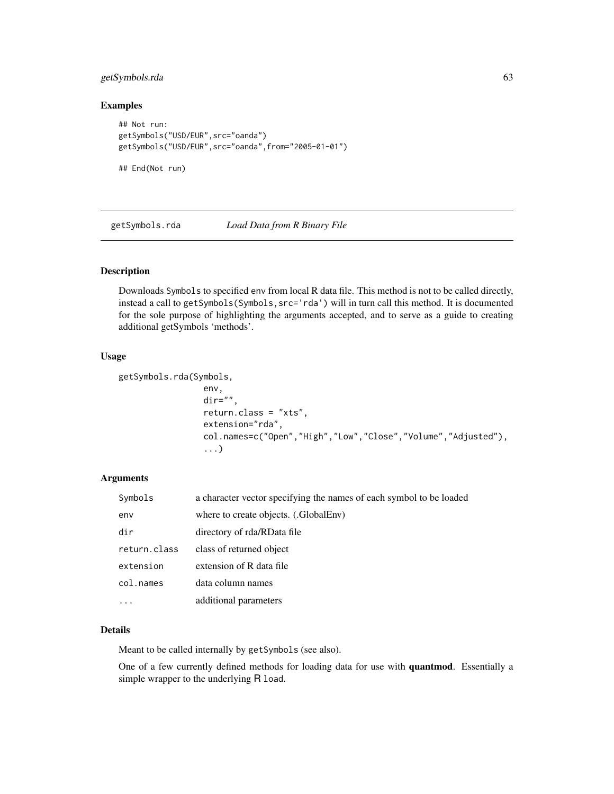## getSymbols.rda 63

#### Examples

```
## Not run:
getSymbols("USD/EUR",src="oanda")
getSymbols("USD/EUR",src="oanda",from="2005-01-01")
```
## End(Not run)

getSymbols.rda *Load Data from R Binary File*

# <span id="page-62-0"></span>Description

Downloads Symbols to specified env from local R data file. This method is not to be called directly, instead a call to getSymbols(Symbols,src='rda') will in turn call this method. It is documented for the sole purpose of highlighting the arguments accepted, and to serve as a guide to creating additional getSymbols 'methods'.

#### Usage

```
getSymbols.rda(Symbols,
                 env,
                 dir="",
                 return.class = "xts",
                 extension="rda",
                 col.names=c("Open","High","Low","Close","Volume","Adjusted"),
                 ...)
```
### Arguments

| Symbols      | a character vector specifying the names of each symbol to be loaded |
|--------------|---------------------------------------------------------------------|
| env          | where to create objects. (.GlobalEnv)                               |
| dir          | directory of rda/RData file                                         |
| return.class | class of returned object                                            |
| extension    | extension of R data file                                            |
| col.names    | data column names                                                   |
| $\ddots$ .   | additional parameters                                               |

#### Details

Meant to be called internally by getSymbols (see also).

One of a few currently defined methods for loading data for use with quantmod. Essentially a simple wrapper to the underlying R load.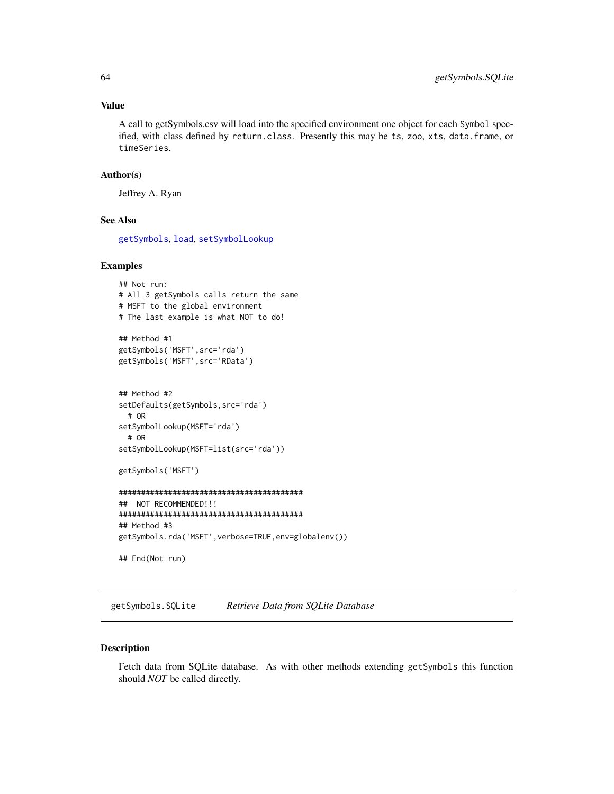### Value

A call to getSymbols.csv will load into the specified environment one object for each Symbol specified, with class defined by return.class. Presently this may be ts, zoo, xts, data.frame, or timeSeries.

### Author(s)

Jeffrey A. Ryan

# See Also

[getSymbols](#page-49-0), [load](#page-0-0), [setSymbolLookup](#page-90-0)

### Examples

```
## Not run:
# All 3 getSymbols calls return the same
# MSFT to the global environment
# The last example is what NOT to do!
## Method #1
getSymbols('MSFT',src='rda')
getSymbols('MSFT',src='RData')
## Method #2
setDefaults(getSymbols,src='rda')
  # OR
setSymbolLookup(MSFT='rda')
  # OR
setSymbolLookup(MSFT=list(src='rda'))
getSymbols('MSFT')
#########################################
## NOT RECOMMENDED!!!
#########################################
## Method #3
getSymbols.rda('MSFT',verbose=TRUE,env=globalenv())
## End(Not run)
```
getSymbols.SQLite *Retrieve Data from SQLite Database*

#### Description

Fetch data from SQLite database. As with other methods extending getSymbols this function should *NOT* be called directly.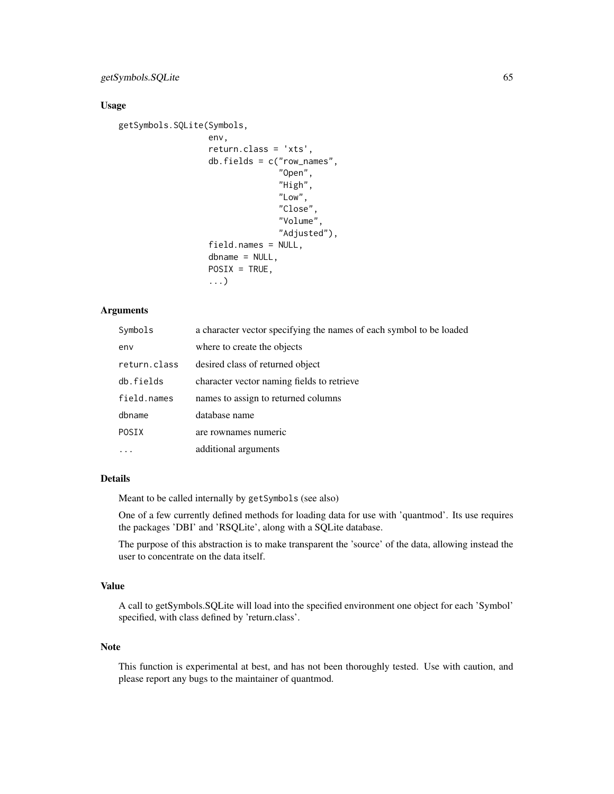### Usage

```
getSymbols.SQLite(Symbols,
                  env,
                  return.class = 'xts',
                  db.fields = c("row_names","Open",
                                 "High",
                                 "Low",
                                 "Close",
                                 "Volume",
                                 "Adjusted"),
                  field.names = NULL,
                  dbname = NULL,POSTX = TRUE,...)
```
# Arguments

| Symbols      | a character vector specifying the names of each symbol to be loaded |
|--------------|---------------------------------------------------------------------|
| env          | where to create the objects                                         |
| return.class | desired class of returned object                                    |
| db.fields    | character vector naming fields to retrieve                          |
| field.names  | names to assign to returned columns                                 |
| dbname       | database name                                                       |
| POSIX        | are rownames numeric                                                |
|              | additional arguments                                                |

## Details

Meant to be called internally by getSymbols (see also)

One of a few currently defined methods for loading data for use with 'quantmod'. Its use requires the packages 'DBI' and 'RSQLite', along with a SQLite database.

The purpose of this abstraction is to make transparent the 'source' of the data, allowing instead the user to concentrate on the data itself.

### Value

A call to getSymbols.SQLite will load into the specified environment one object for each 'Symbol' specified, with class defined by 'return.class'.

#### Note

This function is experimental at best, and has not been thoroughly tested. Use with caution, and please report any bugs to the maintainer of quantmod.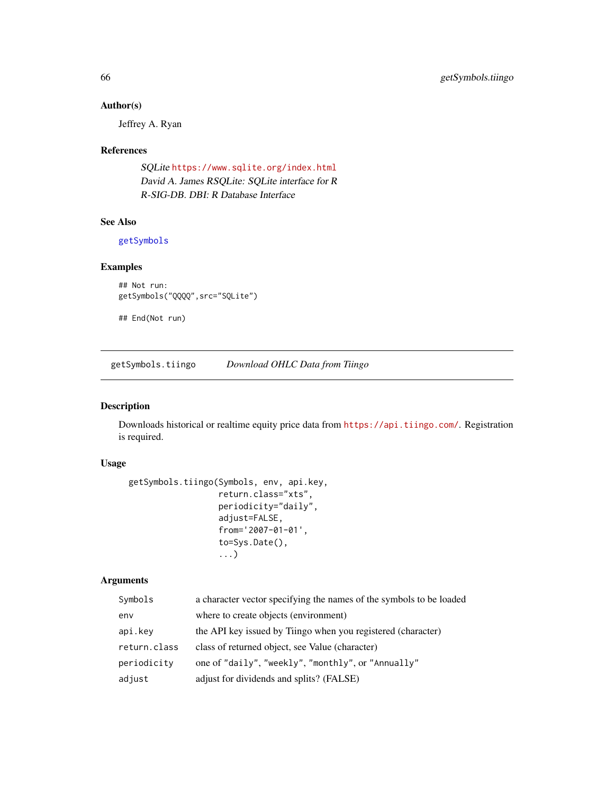### Author(s)

Jeffrey A. Ryan

## References

SQLite <https://www.sqlite.org/index.html> David A. James RSQLite: SQLite interface for R R-SIG-DB. DBI: R Database Interface

# See Also

[getSymbols](#page-49-0)

### Examples

```
## Not run:
getSymbols("QQQQ",src="SQLite")
```
## End(Not run)

getSymbols.tiingo *Download OHLC Data from Tiingo*

## Description

Downloads historical or realtime equity price data from <https://api.tiingo.com/>. Registration is required.

## Usage

```
getSymbols.tiingo(Symbols, env, api.key,
                  return.class="xts",
                  periodicity="daily",
                  adjust=FALSE,
                  from='2007-01-01',
                  to=Sys.Date(),
                  ...)
```
# Arguments

| Symbols      | a character vector specifying the names of the symbols to be loaded |
|--------------|---------------------------------------------------------------------|
| env          | where to create objects (environment)                               |
| api.key      | the API key issued by Tiingo when you registered (character)        |
| return.class | class of returned object, see Value (character)                     |
| periodicity  | one of "daily", "weekly", "monthly", or "Annually"                  |
| adjust       | adjust for dividends and splits? (FALSE)                            |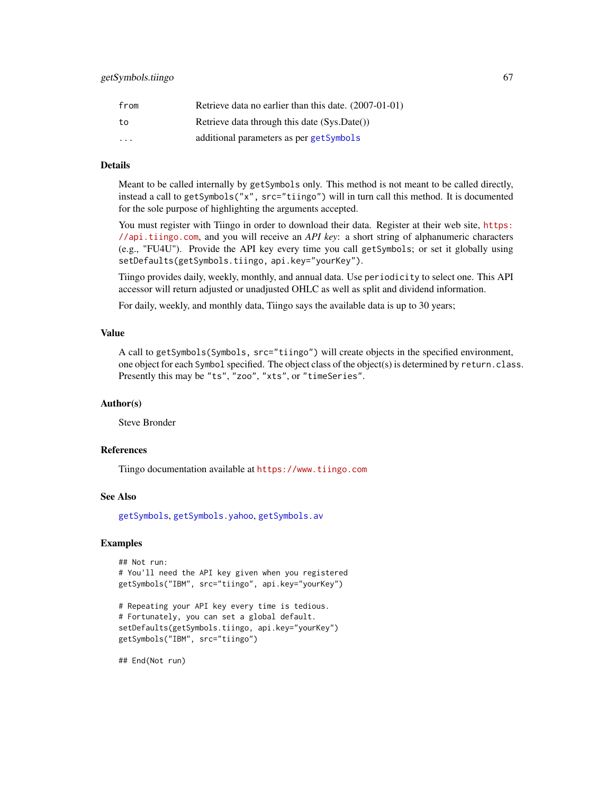| from                    | Retrieve data no earlier than this date. (2007-01-01) |
|-------------------------|-------------------------------------------------------|
| to                      | Retrieve data through this date $(Sys,Date()$         |
| $\cdot$ $\cdot$ $\cdot$ | additional parameters as per getSymbols               |

#### Details

Meant to be called internally by getSymbols only. This method is not meant to be called directly, instead a call to getSymbols("x", src="tiingo") will in turn call this method. It is documented for the sole purpose of highlighting the arguments accepted.

You must register with Tiingo in order to download their data. Register at their web site, [https:](https://api.tiingo.com) [//api.tiingo.com](https://api.tiingo.com), and you will receive an *API key*: a short string of alphanumeric characters (e.g., "FU4U"). Provide the API key every time you call getSymbols; or set it globally using setDefaults(getSymbols.tiingo, api.key="yourKey").

Tiingo provides daily, weekly, monthly, and annual data. Use periodicity to select one. This API accessor will return adjusted or unadjusted OHLC as well as split and dividend information.

For daily, weekly, and monthly data, Tiingo says the available data is up to 30 years;

#### Value

A call to getSymbols(Symbols, src="tiingo") will create objects in the specified environment, one object for each Symbol specified. The object class of the object(s) is determined by return.class. Presently this may be "ts", "zoo", "xts", or "timeSeries".

### Author(s)

Steve Bronder

#### References

Tiingo documentation available at <https://www.tiingo.com>

#### See Also

[getSymbols](#page-49-0), [getSymbols.yahoo](#page-67-0), [getSymbols.av](#page-53-0)

#### Examples

```
## Not run:
# You'll need the API key given when you registered
getSymbols("IBM", src="tiingo", api.key="yourKey")
```

```
# Repeating your API key every time is tedious.
# Fortunately, you can set a global default.
setDefaults(getSymbols.tiingo, api.key="yourKey")
getSymbols("IBM", src="tiingo")
```
## End(Not run)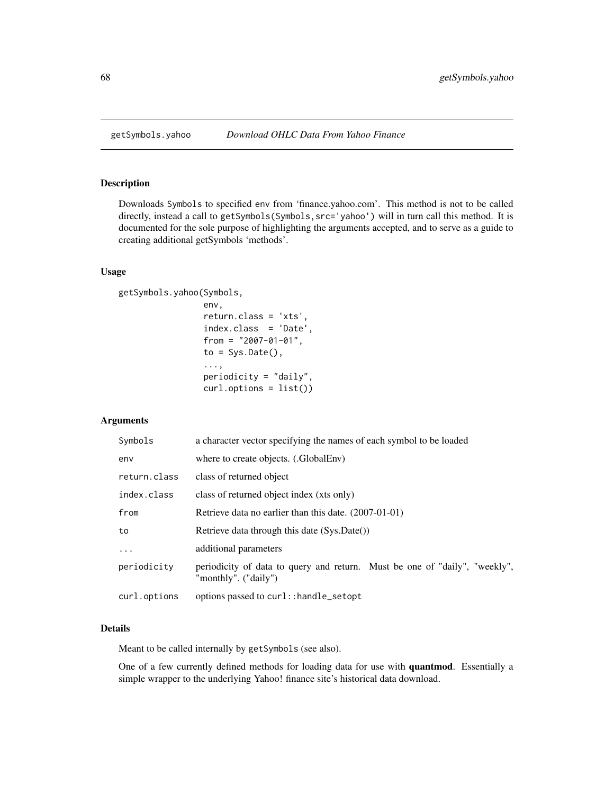<span id="page-67-0"></span>

## Description

Downloads Symbols to specified env from 'finance.yahoo.com'. This method is not to be called directly, instead a call to getSymbols(Symbols, src='yahoo') will in turn call this method. It is documented for the sole purpose of highlighting the arguments accepted, and to serve as a guide to creating additional getSymbols 'methods'.

#### Usage

```
getSymbols.yahoo(Symbols,
                 env,
                 return.class = 'xts',
                  index.class = 'Date',
                 from = "2007-01-01",
                 to = Sys.DataFrame(),
                  ...,
                 periodicity = "daily",
                 curl.options = list())
```
### Arguments

| Symbols      | a character vector specifying the names of each symbol to be loaded                                |
|--------------|----------------------------------------------------------------------------------------------------|
| env          | where to create objects. (.GlobalEnv)                                                              |
| return.class | class of returned object                                                                           |
| index.class  | class of returned object index (xts only)                                                          |
| from         | Retrieve data no earlier than this date. (2007-01-01)                                              |
| to           | Retrieve data through this date (Sys.Date())                                                       |
| $\ddotsc$    | additional parameters                                                                              |
| periodicity  | periodicity of data to query and return. Must be one of "daily", "weekly",<br>"monthly". ("daily") |
| curl.options | options passed to curl::handle_setopt                                                              |
|              |                                                                                                    |

## Details

Meant to be called internally by getSymbols (see also).

One of a few currently defined methods for loading data for use with quantmod. Essentially a simple wrapper to the underlying Yahoo! finance site's historical data download.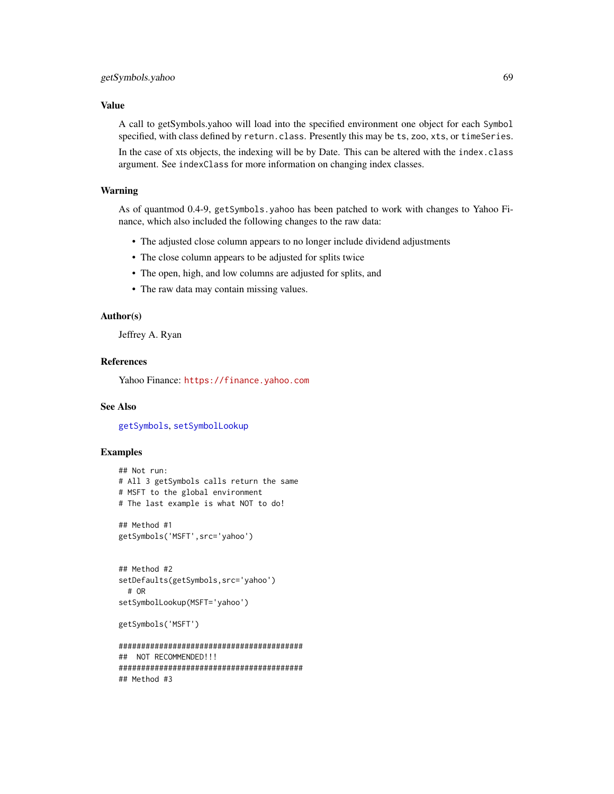### Value

A call to getSymbols.yahoo will load into the specified environment one object for each Symbol specified, with class defined by return.class. Presently this may be ts, zoo, xts, or timeSeries.

In the case of xts objects, the indexing will be by Date. This can be altered with the index.class argument. See indexClass for more information on changing index classes.

### Warning

As of quantmod 0.4-9, getSymbols.yahoo has been patched to work with changes to Yahoo Finance, which also included the following changes to the raw data:

- The adjusted close column appears to no longer include dividend adjustments
- The close column appears to be adjusted for splits twice
- The open, high, and low columns are adjusted for splits, and
- The raw data may contain missing values.

#### Author(s)

Jeffrey A. Ryan

### References

Yahoo Finance: <https://finance.yahoo.com>

### See Also

[getSymbols](#page-49-0), [setSymbolLookup](#page-90-0)

#### Examples

```
## Not run:
# All 3 getSymbols calls return the same
# MSFT to the global environment
# The last example is what NOT to do!
```
## Method #1 getSymbols('MSFT',src='yahoo')

```
## Method #2
setDefaults(getSymbols,src='yahoo')
 # OR
setSymbolLookup(MSFT='yahoo')
```
getSymbols('MSFT')

```
#########################################
## NOT RECOMMENDED!!!
#########################################
## Method #3
```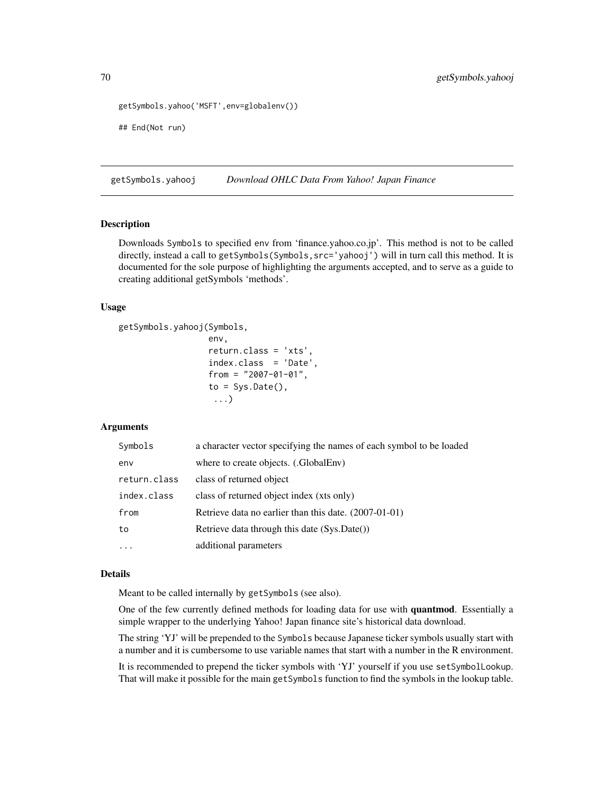```
getSymbols.yahoo('MSFT',env=globalenv())
## End(Not run)
```
getSymbols.yahooj *Download OHLC Data From Yahoo! Japan Finance*

#### Description

Downloads Symbols to specified env from 'finance.yahoo.co.jp'. This method is not to be called directly, instead a call to getSymbols(Symbols,  $src='yahooj')$  will in turn call this method. It is documented for the sole purpose of highlighting the arguments accepted, and to serve as a guide to creating additional getSymbols 'methods'.

#### Usage

```
getSymbols.yahooj(Symbols,
                  env,
                  return.class = 'xts',
                  index.class = 'Date',
                  from = "2007-01-01",
                  to = Sys.Date(),...)
```
#### Arguments

| Symbols      | a character vector specifying the names of each symbol to be loaded |
|--------------|---------------------------------------------------------------------|
| env          | where to create objects. (.GlobalEnv)                               |
| return.class | class of returned object                                            |
| index.class  | class of returned object index (xts only)                           |
| from         | Retrieve data no earlier than this date. (2007-01-01)               |
| to           | Retrieve data through this date (Sys.Date())                        |
| .            | additional parameters                                               |

### Details

Meant to be called internally by getSymbols (see also).

One of the few currently defined methods for loading data for use with quantmod. Essentially a simple wrapper to the underlying Yahoo! Japan finance site's historical data download.

The string 'YJ' will be prepended to the Symbols because Japanese ticker symbols usually start with a number and it is cumbersome to use variable names that start with a number in the R environment.

It is recommended to prepend the ticker symbols with 'YJ' yourself if you use setSymbolLookup. That will make it possible for the main getSymbols function to find the symbols in the lookup table.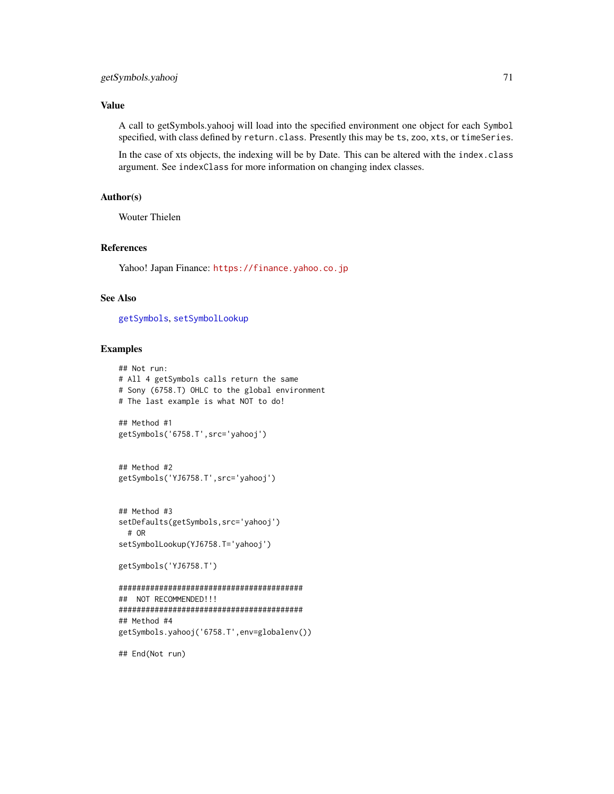### Value

A call to getSymbols.yahooj will load into the specified environment one object for each Symbol specified, with class defined by return.class. Presently this may be ts, zoo, xts, or timeSeries.

In the case of xts objects, the indexing will be by Date. This can be altered with the index.class argument. See indexClass for more information on changing index classes.

### Author(s)

Wouter Thielen

### References

Yahoo! Japan Finance: <https://finance.yahoo.co.jp>

### See Also

[getSymbols](#page-49-0), [setSymbolLookup](#page-90-0)

#### Examples

```
## Not run:
# All 4 getSymbols calls return the same
# Sony (6758.T) OHLC to the global environment
# The last example is what NOT to do!
## Method #1
getSymbols('6758.T',src='yahooj')
## Method #2
getSymbols('YJ6758.T',src='yahooj')
## Method #3
```
setDefaults(getSymbols,src='yahooj') # OR setSymbolLookup(YJ6758.T='yahooj')

getSymbols('YJ6758.T')

```
#########################################
## NOT RECOMMENDED!!!
#########################################
## Method #4
getSymbols.yahooj('6758.T',env=globalenv())
```
## End(Not run)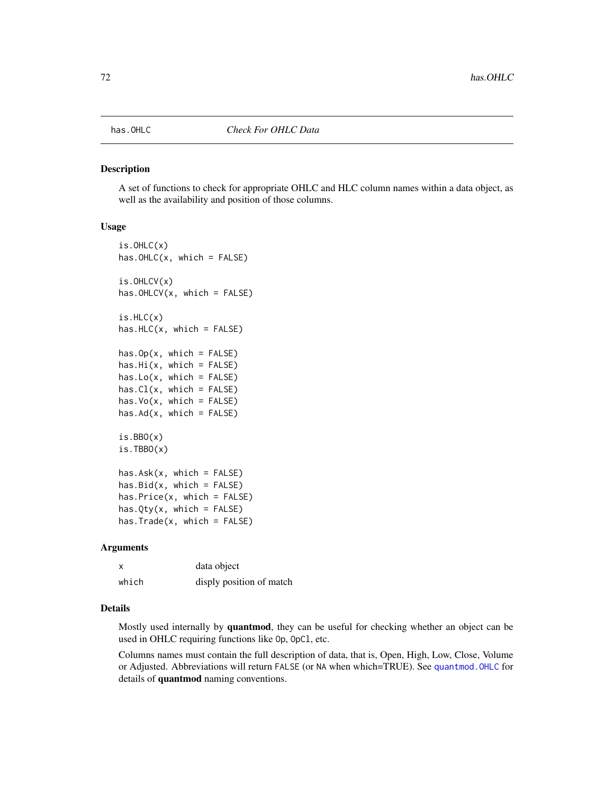#### Description

A set of functions to check for appropriate OHLC and HLC column names within a data object, as well as the availability and position of those columns.

#### Usage

```
is. OHLC(x)has.OHLC(x, which = FALSE)is.OHLCV(x)
has.OHLCV(x, which = FALSE)is.HLC(x)has.HLC(x, which = FALSE)has.Op(x, which = FALSE)has.Hi(x, which = FALSE)has.Lo(x, which = FALSE)has.C1(x, which = FALSE)has.Vo(x, which = FALSE)has.Ad(x, which = FALSE)is.BBO(x)is.FBBO(x)has.Ask(x, which = FALSE)has.Bid(x, which = FALSE)
has.Price(x, which = FALSE)has.Qty(x, which = FALSE)has. Trade(x, which = FALSE)
```
#### Arguments

| x     | data object              |
|-------|--------------------------|
| which | disply position of match |

#### Details

Mostly used internally by quantmod, they can be useful for checking whether an object can be used in OHLC requiring functions like Op, OpCl, etc.

Columns names must contain the full description of data, that is, Open, High, Low, Close, Volume or Adjusted. Abbreviations will return FALSE (or NA when which=TRUE). See [quantmod.OHLC](#page-88-0) for details of quantmod naming conventions.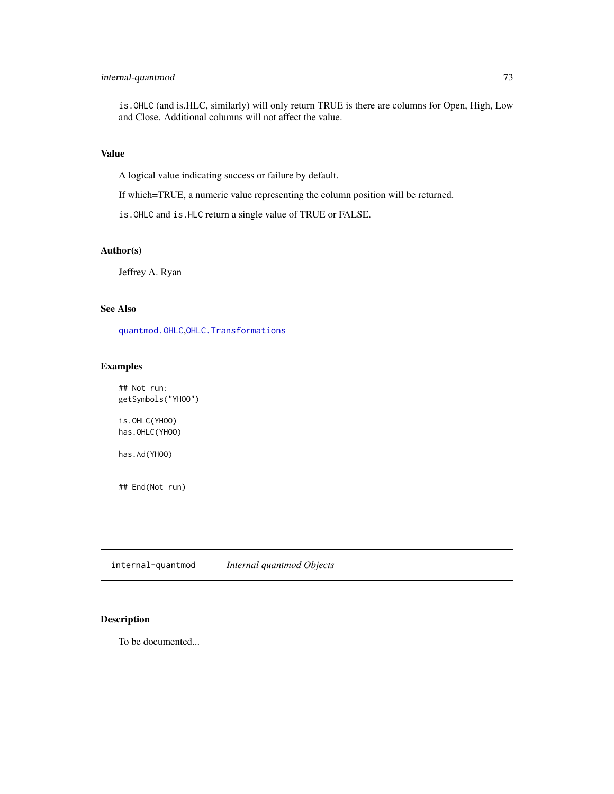# <span id="page-72-0"></span>internal-quantmod 73

is.OHLC (and is.HLC, similarly) will only return TRUE is there are columns for Open, High, Low and Close. Additional columns will not affect the value.

# Value

A logical value indicating success or failure by default.

If which=TRUE, a numeric value representing the column position will be returned.

is.OHLC and is.HLC return a single value of TRUE or FALSE.

# Author(s)

Jeffrey A. Ryan

# See Also

[quantmod.OHLC](#page-88-0),[OHLC.Transformations](#page-81-0)

# Examples

## Not run: getSymbols("YHOO")

is.OHLC(YHOO) has.OHLC(YHOO)

has.Ad(YHOO)

## End(Not run)

internal-quantmod *Internal quantmod Objects*

# Description

To be documented...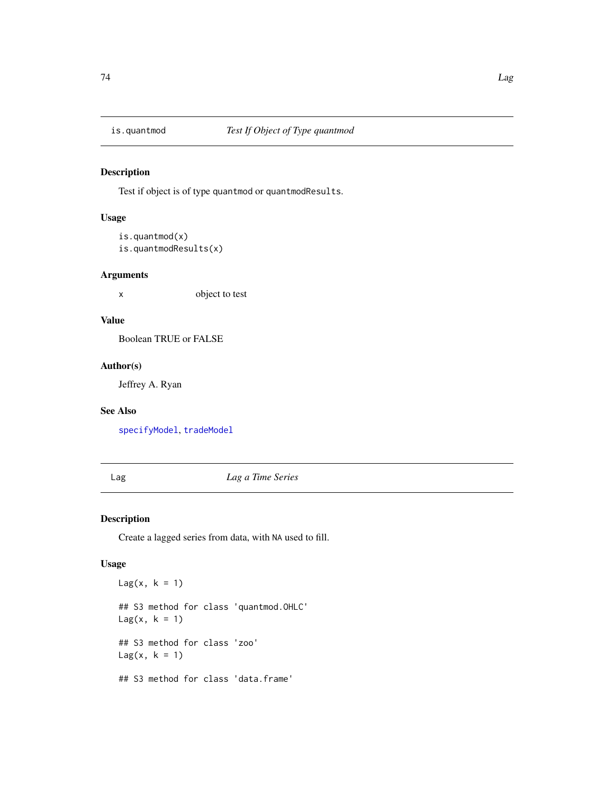<span id="page-73-1"></span>

Test if object is of type quantmod or quantmodResults.

# Usage

```
is.quantmod(x)
is.quantmodResults(x)
```
# Arguments

x object to test

# Value

Boolean TRUE or FALSE

# Author(s)

Jeffrey A. Ryan

# See Also

[specifyModel](#page-93-0), [tradeModel](#page-97-0)

<span id="page-73-0"></span>Lag *Lag a Time Series*

# Description

Create a lagged series from data, with NA used to fill.

# Usage

```
Lag(x, k = 1)## S3 method for class 'quantmod.OHLC'
Lag(x, k = 1)## S3 method for class 'zoo'
Lag(x, k = 1)## S3 method for class 'data.frame'
```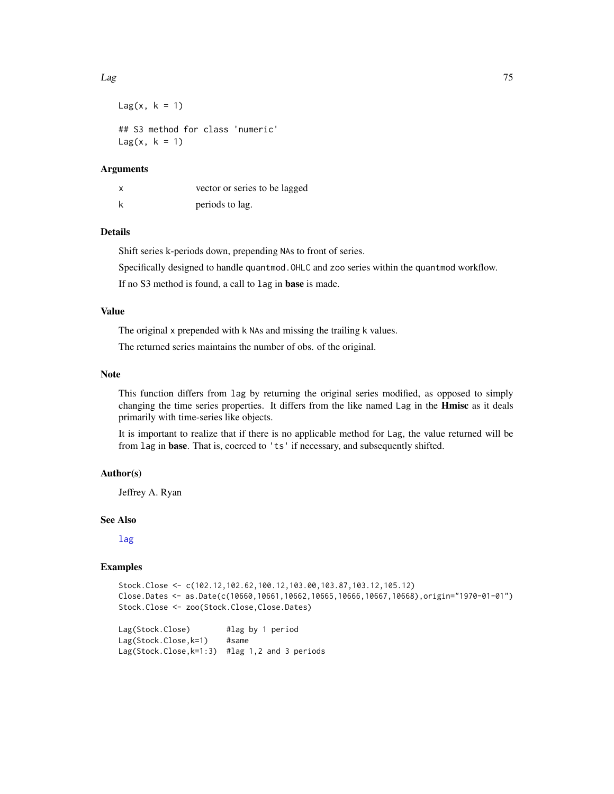```
Lag(x, k = 1)## S3 method for class 'numeric'
Lag(x, k = 1)
```
#### Arguments

| X | vector or series to be lagged |
|---|-------------------------------|
| k | periods to lag.               |

# Details

Shift series k-periods down, prepending NAs to front of series.

Specifically designed to handle quantmod.OHLC and zoo series within the quantmod workflow.

If no S3 method is found, a call to lag in base is made.

# Value

The original x prepended with k NAs and missing the trailing k values.

The returned series maintains the number of obs. of the original.

# Note

This function differs from lag by returning the original series modified, as opposed to simply changing the time series properties. It differs from the like named Lag in the Hmisc as it deals primarily with time-series like objects.

It is important to realize that if there is no applicable method for Lag, the value returned will be from lag in base. That is, coerced to 'ts' if necessary, and subsequently shifted.

#### Author(s)

Jeffrey A. Ryan

#### See Also

[lag](#page-0-0)

#### Examples

```
Stock.Close <- c(102.12,102.62,100.12,103.00,103.87,103.12,105.12)
Close.Dates <- as.Date(c(10660,10661,10662,10665,10666,10667,10668),origin="1970-01-01")
Stock.Close <- zoo(Stock.Close,Close.Dates)
```

```
Lag(Stock.Close) #lag by 1 period
Lag(Stock.Close,k=1) #same
Lag(Stock.Close,k=1:3) #lag 1,2 and 3 periods
```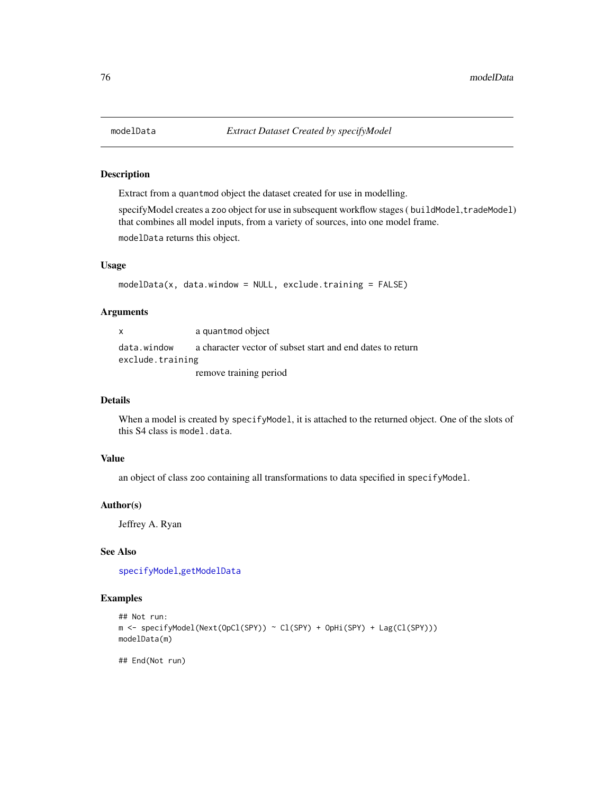<span id="page-75-0"></span>

Extract from a quantmod object the dataset created for use in modelling.

specifyModel creates a zoo object for use in subsequent workflow stages ( buildModel,tradeModel) that combines all model inputs, from a variety of sources, into one model frame.

modelData returns this object.

# Usage

```
modelData(x, data.window = NULL, exclude.training = FALSE)
```
#### Arguments

| $\mathsf{x}$     | a quantmod object                                          |  |
|------------------|------------------------------------------------------------|--|
| data.window      | a character vector of subset start and end dates to return |  |
| exclude.training |                                                            |  |
|                  | remove training period                                     |  |

# Details

When a model is created by specifyModel, it is attached to the returned object. One of the slots of this S4 class is model.data.

# Value

an object of class zoo containing all transformations to data specified in specifyModel.

#### Author(s)

Jeffrey A. Ryan

# See Also

[specifyModel](#page-93-0),[getModelData](#page-43-0)

#### Examples

```
## Not run:
m <- specifyModel(Next(OpCl(SPY)) ~ Cl(SPY) + OpHi(SPY) + Lag(Cl(SPY)))
modelData(m)
```
## End(Not run)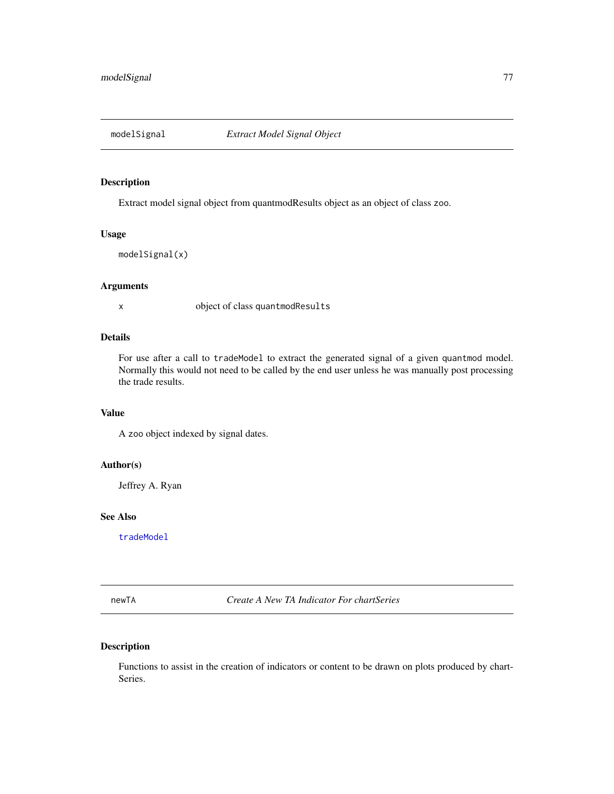<span id="page-76-1"></span>

Extract model signal object from quantmodResults object as an object of class zoo.

#### Usage

```
modelSignal(x)
```
# Arguments

x object of class quantmodResults

# Details

For use after a call to tradeModel to extract the generated signal of a given quantmod model. Normally this would not need to be called by the end user unless he was manually post processing the trade results.

# Value

A zoo object indexed by signal dates.

#### Author(s)

Jeffrey A. Ryan

#### See Also

[tradeModel](#page-97-0)

newTA *Create A New TA Indicator For chartSeries*

# <span id="page-76-0"></span>Description

Functions to assist in the creation of indicators or content to be drawn on plots produced by chart-Series.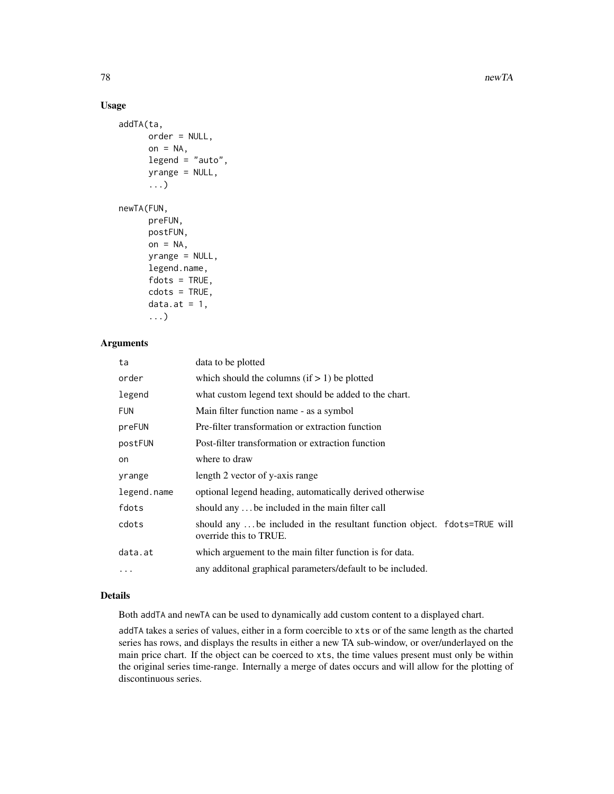# Usage

```
addTA(ta,
      order = NULL,
      on = NA,
      legend = "auto",
      yrange = NULL,
      ...)
newTA(FUN,
      preFUN,
      postFUN,
      on = NA,
      yrange = NULL,
      legend.name,
      fdots = TRUE,
      cdots = TRUE,
      data.at = 1,
      ...)
```
#### Arguments

| ta          | data to be plotted                                                                                  |  |
|-------------|-----------------------------------------------------------------------------------------------------|--|
| order       | which should the columns (if $> 1$ ) be plotted                                                     |  |
| legend      | what custom legend text should be added to the chart.                                               |  |
| <b>FUN</b>  | Main filter function name - as a symbol                                                             |  |
| preFUN      | Pre-filter transformation or extraction function                                                    |  |
| postFUN     | Post-filter transformation or extraction function                                                   |  |
| on          | where to draw                                                                                       |  |
| yrange      | length 2 vector of y-axis range                                                                     |  |
| legend.name | optional legend heading, automatically derived otherwise                                            |  |
| fdots       | should any  be included in the main filter call                                                     |  |
| cdots       | should any  be included in the resultant function object. fdots=TRUE will<br>override this to TRUE. |  |
| data.at     | which arguement to the main filter function is for data.                                            |  |
| $\cdots$    | any additional graphical parameters/default to be included.                                         |  |

# Details

Both addTA and newTA can be used to dynamically add custom content to a displayed chart.

addTA takes a series of values, either in a form coercible to xts or of the same length as the charted series has rows, and displays the results in either a new TA sub-window, or over/underlayed on the main price chart. If the object can be coerced to xts, the time values present must only be within the original series time-range. Internally a merge of dates occurs and will allow for the plotting of discontinuous series.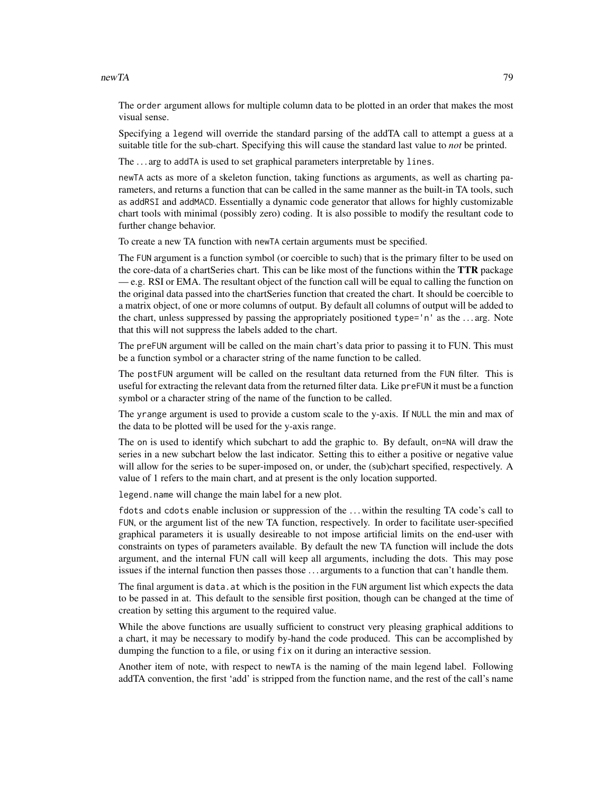#### newTA 2008 2012 12:00:00 12:00:00 12:00:00 12:00:00 12:00:00 12:00:00 12:00:00 12:00:00 12:00:00 12:00:00 12:0

The order argument allows for multiple column data to be plotted in an order that makes the most visual sense.

Specifying a legend will override the standard parsing of the addTA call to attempt a guess at a suitable title for the sub-chart. Specifying this will cause the standard last value to *not* be printed.

The ... arg to addTA is used to set graphical parameters interpretable by lines.

newTA acts as more of a skeleton function, taking functions as arguments, as well as charting parameters, and returns a function that can be called in the same manner as the built-in TA tools, such as addRSI and addMACD. Essentially a dynamic code generator that allows for highly customizable chart tools with minimal (possibly zero) coding. It is also possible to modify the resultant code to further change behavior.

To create a new TA function with newTA certain arguments must be specified.

The FUN argument is a function symbol (or coercible to such) that is the primary filter to be used on the core-data of a chartSeries chart. This can be like most of the functions within the **TTR** package — e.g. RSI or EMA. The resultant object of the function call will be equal to calling the function on the original data passed into the chartSeries function that created the chart. It should be coercible to a matrix object, of one or more columns of output. By default all columns of output will be added to the chart, unless suppressed by passing the appropriately positioned type='n' as the . . . arg. Note that this will not suppress the labels added to the chart.

The preFUN argument will be called on the main chart's data prior to passing it to FUN. This must be a function symbol or a character string of the name function to be called.

The postFUN argument will be called on the resultant data returned from the FUN filter. This is useful for extracting the relevant data from the returned filter data. Like preFUN it must be a function symbol or a character string of the name of the function to be called.

The yrange argument is used to provide a custom scale to the y-axis. If NULL the min and max of the data to be plotted will be used for the y-axis range.

The on is used to identify which subchart to add the graphic to. By default, on=NA will draw the series in a new subchart below the last indicator. Setting this to either a positive or negative value will allow for the series to be super-imposed on, or under, the (sub)chart specified, respectively. A value of 1 refers to the main chart, and at present is the only location supported.

legend.name will change the main label for a new plot.

fdots and cdots enable inclusion or suppression of the . . . within the resulting TA code's call to FUN, or the argument list of the new TA function, respectively. In order to facilitate user-specified graphical parameters it is usually desireable to not impose artificial limits on the end-user with constraints on types of parameters available. By default the new TA function will include the dots argument, and the internal FUN call will keep all arguments, including the dots. This may pose issues if the internal function then passes those . . . arguments to a function that can't handle them.

The final argument is data.at which is the position in the FUN argument list which expects the data to be passed in at. This default to the sensible first position, though can be changed at the time of creation by setting this argument to the required value.

While the above functions are usually sufficient to construct very pleasing graphical additions to a chart, it may be necessary to modify by-hand the code produced. This can be accomplished by dumping the function to a file, or using fix on it during an interactive session.

Another item of note, with respect to newTA is the naming of the main legend label. Following addTA convention, the first 'add' is stripped from the function name, and the rest of the call's name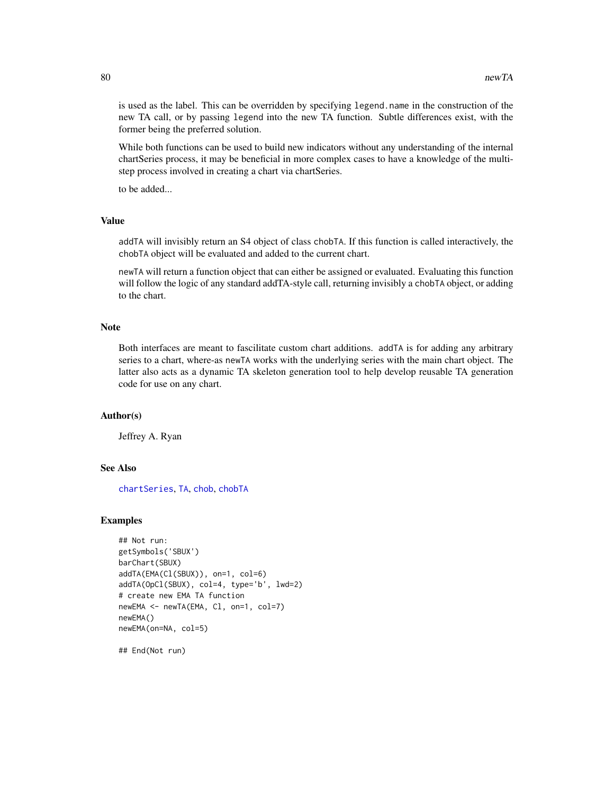<span id="page-79-0"></span>is used as the label. This can be overridden by specifying legend.name in the construction of the new TA call, or by passing legend into the new TA function. Subtle differences exist, with the former being the preferred solution.

While both functions can be used to build new indicators without any understanding of the internal chartSeries process, it may be beneficial in more complex cases to have a knowledge of the multistep process involved in creating a chart via chartSeries.

to be added...

# Value

addTA will invisibly return an S4 object of class chobTA. If this function is called interactively, the chobTA object will be evaluated and added to the current chart.

newTA will return a function object that can either be assigned or evaluated. Evaluating this function will follow the logic of any standard addTA-style call, returning invisibly a chobTA object, or adding to the chart.

#### Note

Both interfaces are meant to fascilitate custom chart additions. addTA is for adding any arbitrary series to a chart, where-as newTA works with the underlying series with the main chart object. The latter also acts as a dynamic TA skeleton generation tool to help develop reusable TA generation code for use on any chart.

#### Author(s)

Jeffrey A. Ryan

#### See Also

[chartSeries](#page-21-0), [TA](#page-95-0), [chob](#page-27-0), [chobTA](#page-28-0)

#### Examples

```
## Not run:
getSymbols('SBUX')
barChart(SBUX)
addTA(EMA(Cl(SBUX)), on=1, col=6)
addTA(OpCl(SBUX), col=4, type='b', lwd=2)
# create new EMA TA function
newEMA <- newTA(EMA, Cl, on=1, col=7)
newEMA()
newEMA(on=NA, col=5)
```
## End(Not run)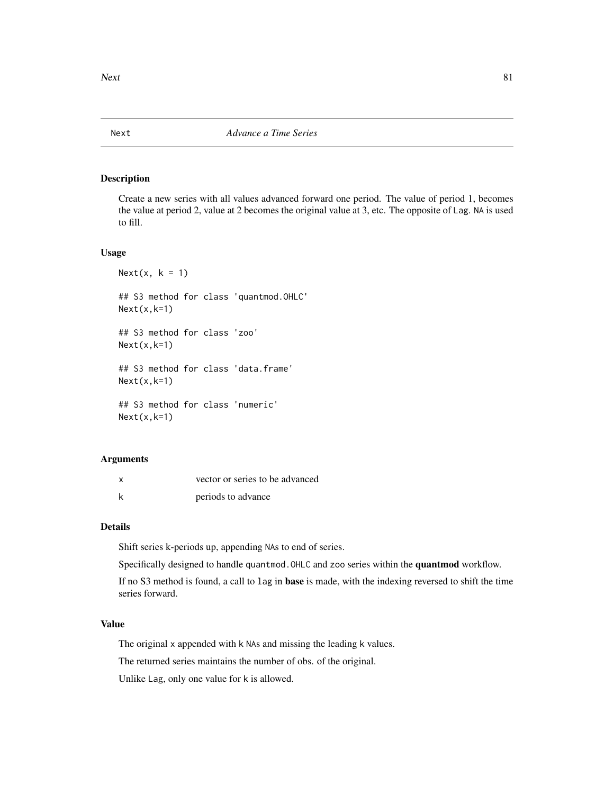<span id="page-80-0"></span>

Create a new series with all values advanced forward one period. The value of period 1, becomes the value at period 2, value at 2 becomes the original value at 3, etc. The opposite of Lag. NA is used to fill.

# Usage

```
Next(x, k = 1)## S3 method for class 'quantmod.OHLC'
Next(x, k=1)## S3 method for class 'zoo'
Next(x, k=1)## S3 method for class 'data.frame'
Next(x,k=1)
## S3 method for class 'numeric'
Next(x,k=1)
```
#### Arguments

|   | vector or series to be advanced |
|---|---------------------------------|
| k | periods to advance              |

# Details

Shift series k-periods up, appending NAs to end of series.

Specifically designed to handle quantmod.OHLC and zoo series within the quantmod workflow.

If no S3 method is found, a call to lag in base is made, with the indexing reversed to shift the time series forward.

# Value

The original x appended with k NAs and missing the leading k values.

The returned series maintains the number of obs. of the original.

Unlike Lag, only one value for k is allowed.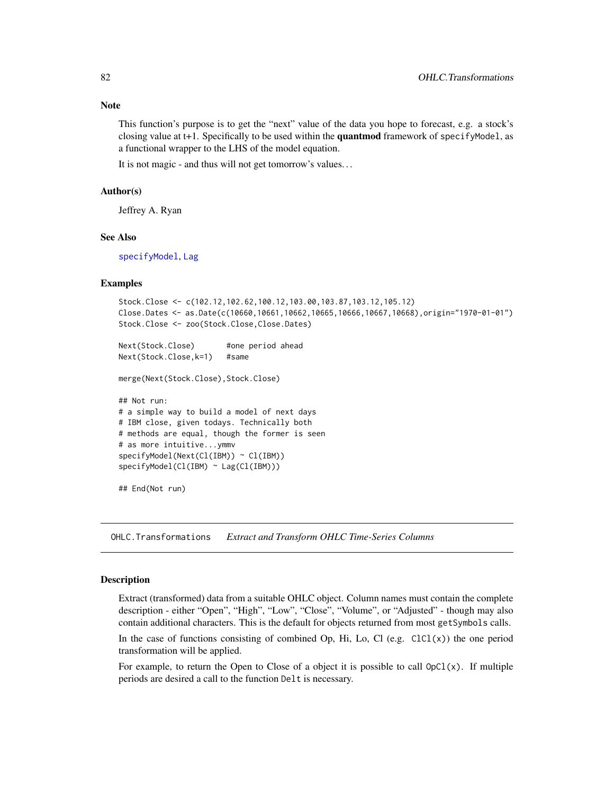<span id="page-81-1"></span>This function's purpose is to get the "next" value of the data you hope to forecast, e.g. a stock's closing value at t+1. Specifically to be used within the **quantmod** framework of specifyModel, as a functional wrapper to the LHS of the model equation.

It is not magic - and thus will not get tomorrow's values. . .

# Author(s)

Jeffrey A. Ryan

# See Also

[specifyModel](#page-93-0), [Lag](#page-73-0)

#### Examples

```
Stock.Close <- c(102.12,102.62,100.12,103.00,103.87,103.12,105.12)
Close.Dates <- as.Date(c(10660,10661,10662,10665,10666,10667,10668),origin="1970-01-01")
Stock.Close <- zoo(Stock.Close,Close.Dates)
Next(Stock.Close) #one period ahead
Next(Stock.Close,k=1) #same
merge(Next(Stock.Close),Stock.Close)
## Not run:
# a simple way to build a model of next days
# IBM close, given todays. Technically both
# methods are equal, though the former is seen
# as more intuitive...ymmv
specifyModel(Next(Cl(IBM)) ~ Cl(IBM))
specifyModel(Cl(IBM) ~ Lag(Cl(IBM)))
## End(Not run)
```
<span id="page-81-0"></span>OHLC.Transformations *Extract and Transform OHLC Time-Series Columns*

#### Description

Extract (transformed) data from a suitable OHLC object. Column names must contain the complete description - either "Open", "High", "Low", "Close", "Volume", or "Adjusted" - though may also contain additional characters. This is the default for objects returned from most getSymbols calls.

In the case of functions consisting of combined Op, Hi, Lo, Cl (e.g.  $CLCl(x)$ ) the one period transformation will be applied.

For example, to return the Open to Close of a object it is possible to call  $OpCl(x)$ . If multiple periods are desired a call to the function Delt is necessary.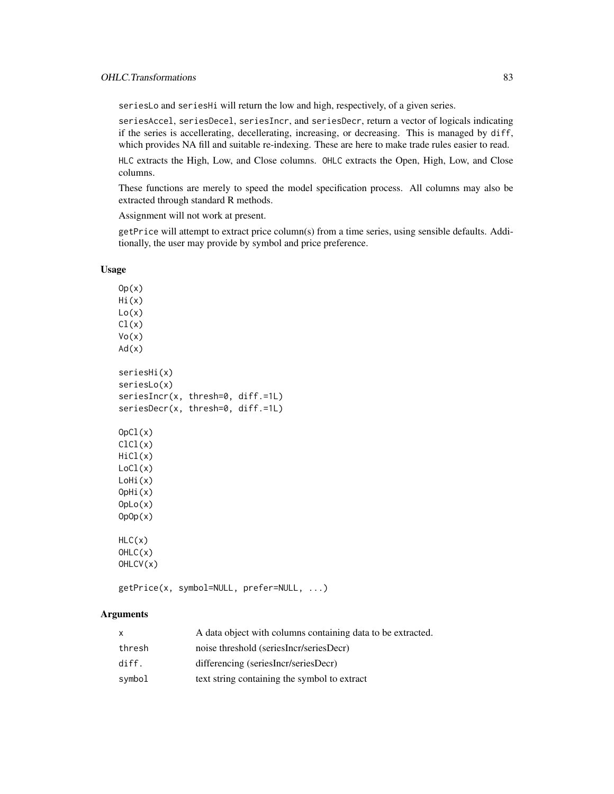seriesLo and seriesHi will return the low and high, respectively, of a given series.

seriesAccel, seriesDecel, seriesIncr, and seriesDecr, return a vector of logicals indicating if the series is accellerating, decellerating, increasing, or decreasing. This is managed by diff, which provides NA fill and suitable re-indexing. These are here to make trade rules easier to read.

HLC extracts the High, Low, and Close columns. OHLC extracts the Open, High, Low, and Close columns.

These functions are merely to speed the model specification process. All columns may also be extracted through standard R methods.

Assignment will not work at present.

getPrice will attempt to extract price column(s) from a time series, using sensible defaults. Additionally, the user may provide by symbol and price preference.

#### Usage

 $Op(x)$  $Hi(x)$ Lo(x)  $Cl(x)$ Vo(x)  $Ad(x)$ seriesHi(x) seriesLo(x) seriesIncr(x, thresh=0, diff.=1L) seriesDecr(x, thresh=0, diff.=1L)  $OpCl(x)$  $ClCl(x)$ HiCl(x) LoCl(x) LoHi(x) OpHi(x) OpLo(x) OpOp(x) HLC(x)  $OHLC(x)$ OHLCV(x)

getPrice(x, symbol=NULL, prefer=NULL, ...)

#### **Arguments**

| X.     | A data object with columns containing data to be extracted. |
|--------|-------------------------------------------------------------|
| thresh | noise threshold (seriesIncr/seriesDecr)                     |
| diff.  | differencing (seriesIncr/seriesDecr)                        |
| symbol | text string containing the symbol to extract                |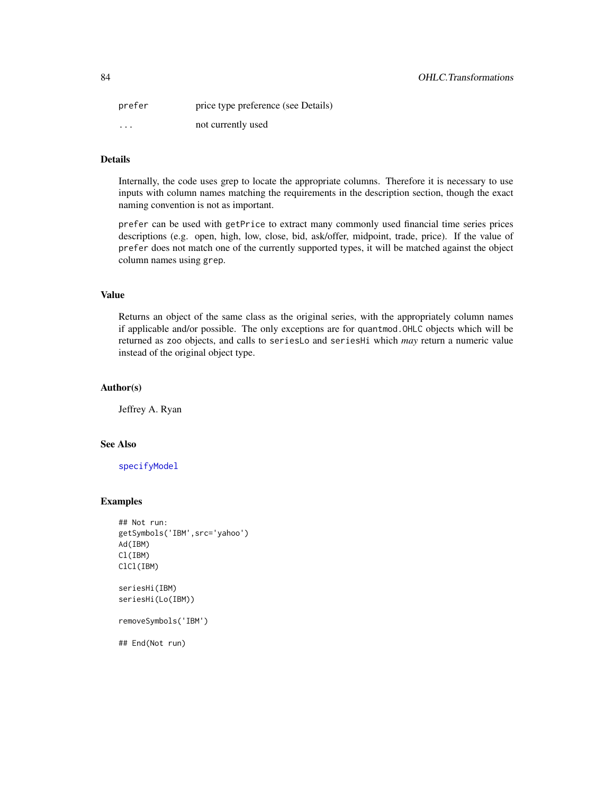# <span id="page-83-0"></span>84 OHLC.Transformations

| prefer                  | price type preference (see Details) |
|-------------------------|-------------------------------------|
| $\cdot$ $\cdot$ $\cdot$ | not currently used                  |

# Details

Internally, the code uses grep to locate the appropriate columns. Therefore it is necessary to use inputs with column names matching the requirements in the description section, though the exact naming convention is not as important.

prefer can be used with getPrice to extract many commonly used financial time series prices descriptions (e.g. open, high, low, close, bid, ask/offer, midpoint, trade, price). If the value of prefer does not match one of the currently supported types, it will be matched against the object column names using grep.

#### Value

Returns an object of the same class as the original series, with the appropriately column names if applicable and/or possible. The only exceptions are for quantmod.OHLC objects which will be returned as zoo objects, and calls to seriesLo and seriesHi which *may* return a numeric value instead of the original object type.

# Author(s)

Jeffrey A. Ryan

#### See Also

[specifyModel](#page-93-0)

# Examples

```
## Not run:
getSymbols('IBM',src='yahoo')
Ad(IBM)
Cl(IBM)
ClCl(IBM)
```
seriesHi(IBM) seriesHi(Lo(IBM))

removeSymbols('IBM')

## End(Not run)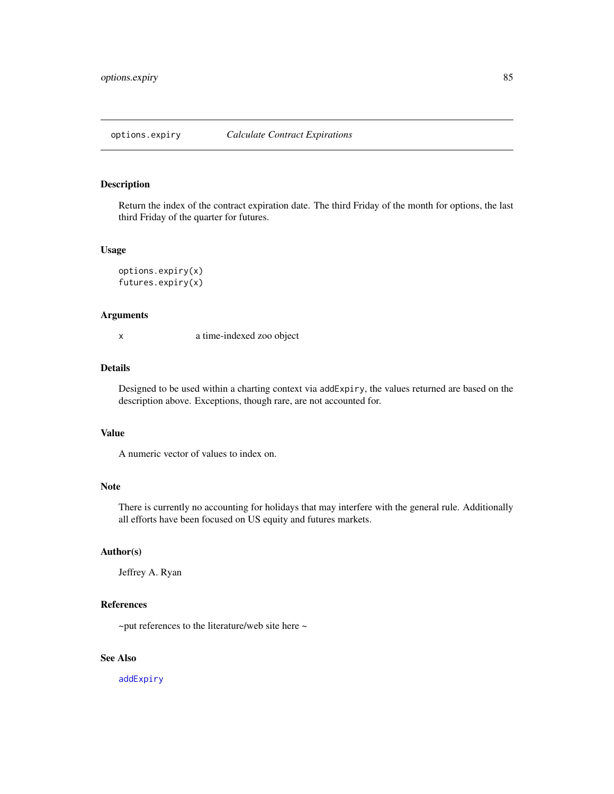<span id="page-84-0"></span>Return the index of the contract expiration date. The third Friday of the month for options, the last third Friday of the quarter for futures.

#### Usage

```
options.expiry(x)
futures.expiry(x)
```
# Arguments

x a time-indexed zoo object

#### Details

Designed to be used within a charting context via addExpiry, the values returned are based on the description above. Exceptions, though rare, are not accounted for.

#### Value

A numeric vector of values to index on.

# Note

There is currently no accounting for holidays that may interfere with the general rule. Additionally all efforts have been focused on US equity and futures markets.

# Author(s)

Jeffrey A. Ryan

#### References

 $\sim$ put references to the literature/web site here  $\sim$ 

# See Also

[addExpiry](#page-6-0)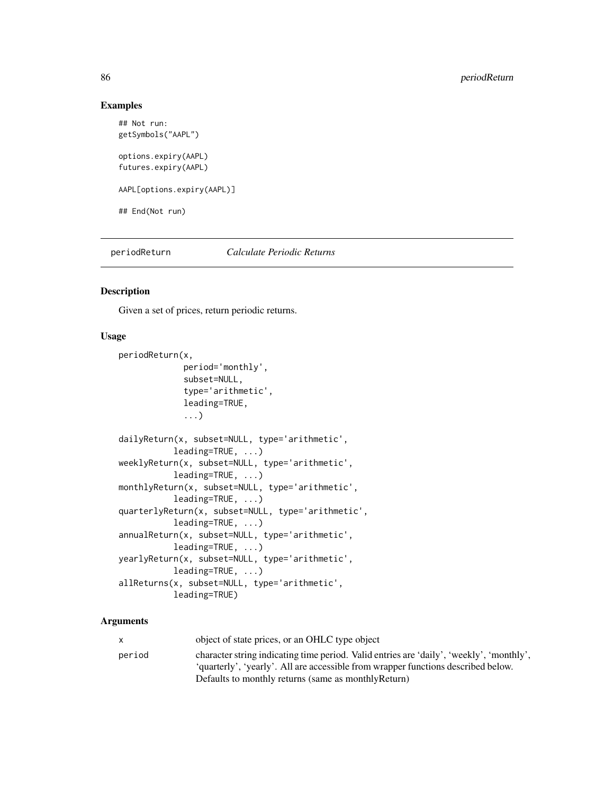#### Examples

```
## Not run:
getSymbols("AAPL")
```
options.expiry(AAPL) futures.expiry(AAPL)

AAPL[options.expiry(AAPL)]

## End(Not run)

periodReturn *Calculate Periodic Returns*

# Description

Given a set of prices, return periodic returns.

# Usage

```
periodReturn(x,
             period='monthly',
             subset=NULL,
             type='arithmetic',
             leading=TRUE,
             ...)
dailyReturn(x, subset=NULL, type='arithmetic',
           leading=TRUE, ...)
weeklyReturn(x, subset=NULL, type='arithmetic',
           leading=TRUE, ...)
monthlyReturn(x, subset=NULL, type='arithmetic',
           leading=TRUE, ...)
quarterlyReturn(x, subset=NULL, type='arithmetic',
           leading=TRUE, ...)
annualReturn(x, subset=NULL, type='arithmetic',
           leading=TRUE, ...)
yearlyReturn(x, subset=NULL, type='arithmetic',
           leading=TRUE, ...)
allReturns(x, subset=NULL, type='arithmetic',
           leading=TRUE)
```
# Arguments

| $\mathsf{x}$ | object of state prices, or an OHLC type object                                           |
|--------------|------------------------------------------------------------------------------------------|
| period       | character string indicating time period. Valid entries are 'daily', 'weekly', 'monthly', |
|              | 'quarterly', 'yearly'. All are accessible from wrapper functions described below.        |
|              | Defaults to monthly returns (same as monthly Return)                                     |

<span id="page-85-0"></span>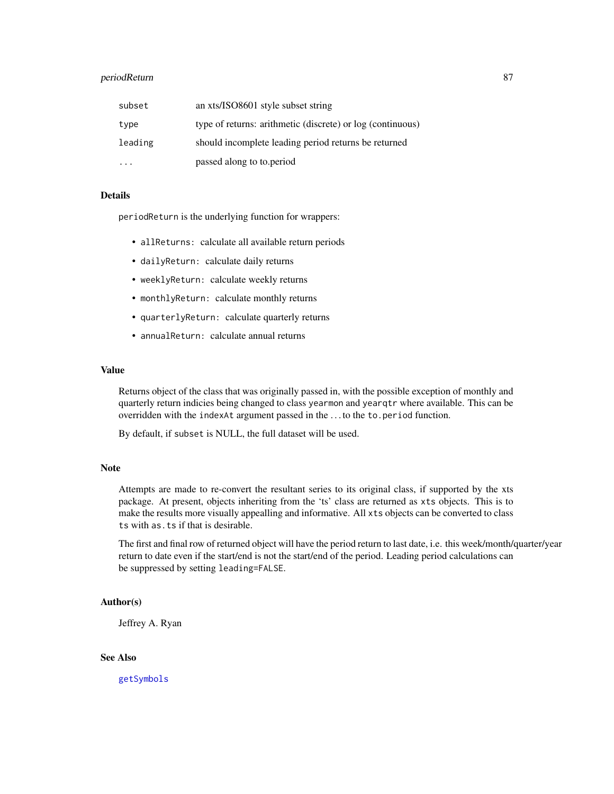# <span id="page-86-0"></span>periodReturn 87

| subset  | an xts/ISO8601 style subset string                         |
|---------|------------------------------------------------------------|
| type    | type of returns: arithmetic (discrete) or log (continuous) |
| leading | should incomplete leading period returns be returned       |
|         | passed along to to period                                  |

# Details

periodReturn is the underlying function for wrappers:

- allReturns: calculate all available return periods
- dailyReturn: calculate daily returns
- weeklyReturn: calculate weekly returns
- monthlyReturn: calculate monthly returns
- quarterlyReturn: calculate quarterly returns
- annualReturn: calculate annual returns

# Value

Returns object of the class that was originally passed in, with the possible exception of monthly and quarterly return indicies being changed to class yearmon and yearqtr where available. This can be overridden with the indexAt argument passed in the . . . to the to.period function.

By default, if subset is NULL, the full dataset will be used.

#### Note

Attempts are made to re-convert the resultant series to its original class, if supported by the xts package. At present, objects inheriting from the 'ts' class are returned as xts objects. This is to make the results more visually appealling and informative. All xts objects can be converted to class ts with as.ts if that is desirable.

The first and final row of returned object will have the period return to last date, i.e. this week/month/quarter/year return to date even if the start/end is not the start/end of the period. Leading period calculations can be suppressed by setting leading=FALSE.

# Author(s)

Jeffrey A. Ryan

# See Also

[getSymbols](#page-49-0)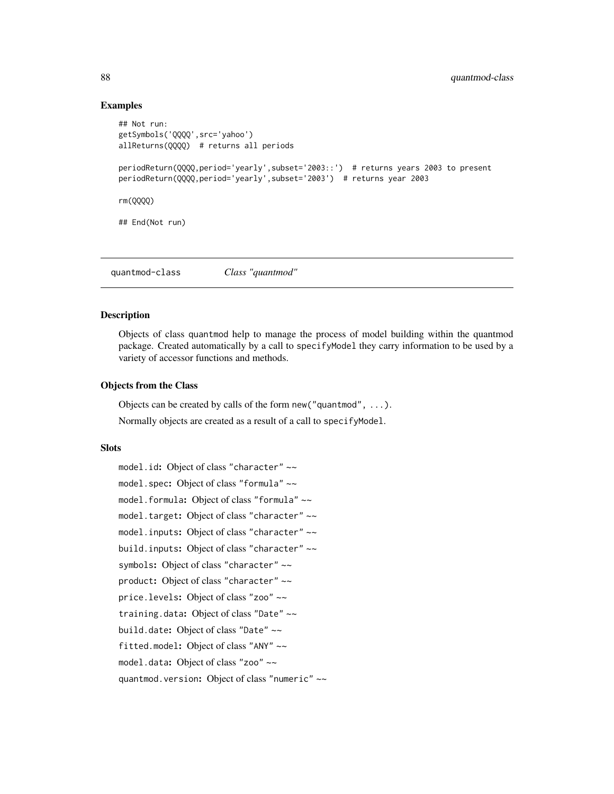#### Examples

```
## Not run:
getSymbols('QQQQ',src='yahoo')
allReturns(QQQQ) # returns all periods
periodReturn(QQQQ,period='yearly',subset='2003::') # returns years 2003 to present
periodReturn(QQQQ,period='yearly',subset='2003') # returns year 2003
rm(QQQQ)
## End(Not run)
```
quantmod-class *Class "quantmod"*

#### Description

Objects of class quantmod help to manage the process of model building within the quantmod package. Created automatically by a call to specifyModel they carry information to be used by a variety of accessor functions and methods.

#### Objects from the Class

Objects can be created by calls of the form new ("quantmod",  $\dots$ ).

Normally objects are created as a result of a call to specifyModel.

# **Slots**

```
model.id: Object of class "character" ~~
model.spec: Object of class "formula" ~~
model.formula: Object of class "formula" ~~
model.target: Object of class "character" ~~
model.inputs: Object of class "character" ~~
build.inputs: Object of class "character" ~~
symbols: Object of class "character" ~~
product: Object of class "character" ~~
price.levels: Object of class "zoo" ~~
training.data: Object of class "Date" ~~
build.date: Object of class "Date" ~~
fitted.model: Object of class "ANY" ~~
model.data: Object of class "zoo" ~~
quantmod.version: Object of class "numeric" ~~
```
<span id="page-87-0"></span>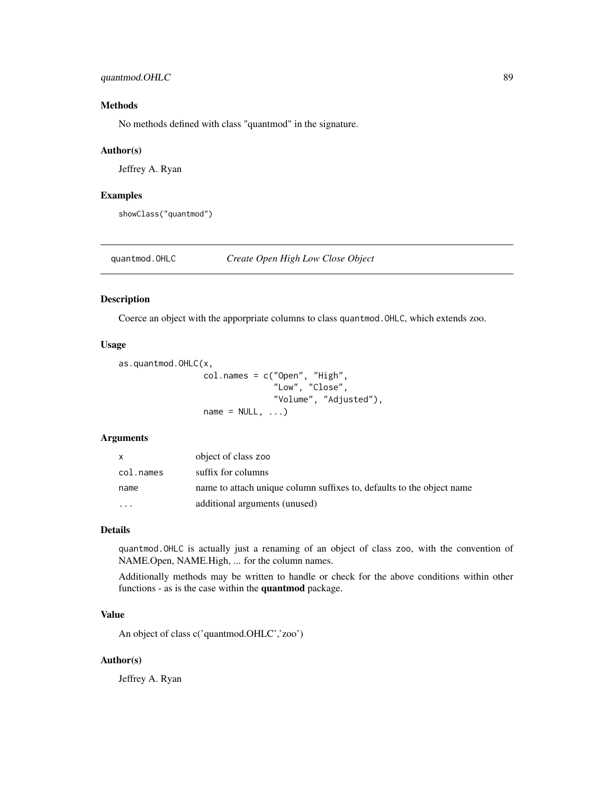# <span id="page-88-1"></span>quantmod.OHLC 89

# Methods

No methods defined with class "quantmod" in the signature.

#### Author(s)

Jeffrey A. Ryan

#### Examples

showClass("quantmod")

<span id="page-88-0"></span>quantmod.OHLC *Create Open High Low Close Object*

# Description

Coerce an object with the apporpriate columns to class quantmod.OHLC, which extends zoo.

#### Usage

```
as.quantmod.OHLC(x,
                 col.names = c("Open", "High",
                                "Low", "Close",
                               "Volume", "Adjusted"),
                 name = NULL, ...)
```
# Arguments

| X         | object of class zoo                                                   |
|-----------|-----------------------------------------------------------------------|
| col.names | suffix for columns                                                    |
| name      | name to attach unique column suffixes to, defaults to the object name |
| $\cdots$  | additional arguments (unused)                                         |

# Details

quantmod.OHLC is actually just a renaming of an object of class zoo, with the convention of NAME.Open, NAME.High, ... for the column names.

Additionally methods may be written to handle or check for the above conditions within other functions - as is the case within the quantmod package.

# Value

An object of class c('quantmod.OHLC','zoo')

# Author(s)

Jeffrey A. Ryan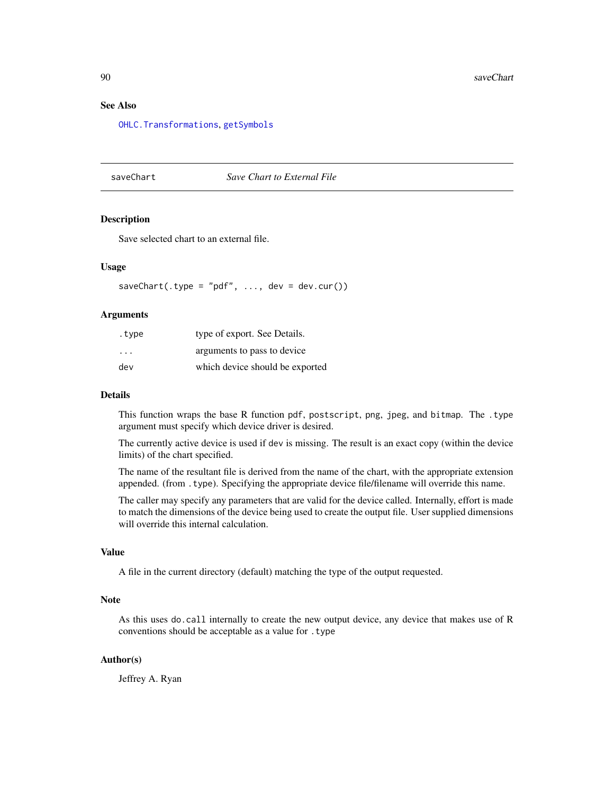# <span id="page-89-0"></span>See Also

[OHLC.Transformations](#page-81-0), [getSymbols](#page-49-0)

#### saveChart *Save Chart to External File*

#### **Description**

Save selected chart to an external file.

#### Usage

 $saveChart(.type = "pdf", ..., dev = dev.cur())$ 

#### Arguments

| .type                   | type of export. See Details.    |
|-------------------------|---------------------------------|
| $\cdot$ $\cdot$ $\cdot$ | arguments to pass to device     |
| dev                     | which device should be exported |

#### Details

This function wraps the base R function pdf, postscript, png, jpeg, and bitmap. The .type argument must specify which device driver is desired.

The currently active device is used if dev is missing. The result is an exact copy (within the device limits) of the chart specified.

The name of the resultant file is derived from the name of the chart, with the appropriate extension appended. (from .type). Specifying the appropriate device file/filename will override this name.

The caller may specify any parameters that are valid for the device called. Internally, effort is made to match the dimensions of the device being used to create the output file. User supplied dimensions will override this internal calculation.

# Value

A file in the current directory (default) matching the type of the output requested.

# Note

As this uses do.call internally to create the new output device, any device that makes use of R conventions should be acceptable as a value for .type

#### Author(s)

Jeffrey A. Ryan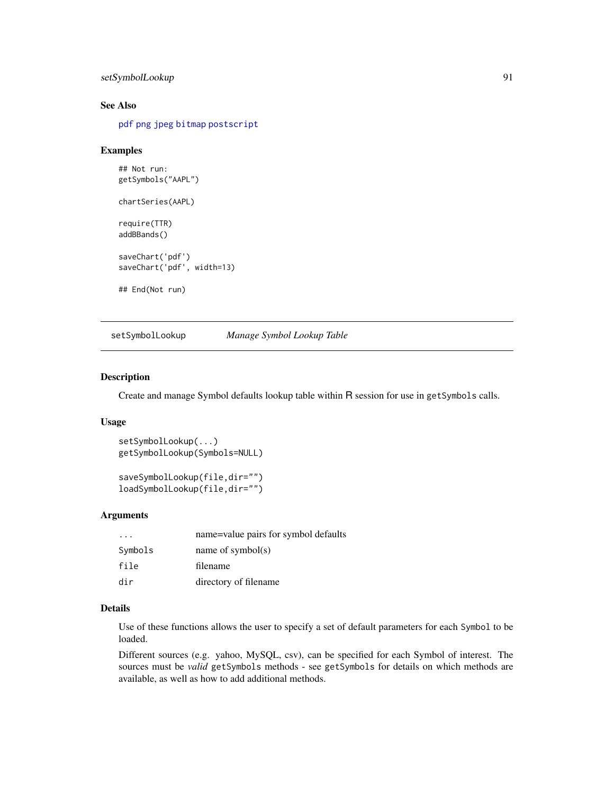# <span id="page-90-1"></span>setSymbolLookup 91

# See Also

[pdf](#page-0-0) [png](#page-0-0) [jpeg](#page-0-0) [bitmap](#page-0-0) [postscript](#page-0-0)

#### Examples

```
## Not run:
getSymbols("AAPL")
chartSeries(AAPL)
require(TTR)
addBBands()
saveChart('pdf')
saveChart('pdf', width=13)
## End(Not run)
```
<span id="page-90-0"></span>setSymbolLookup *Manage Symbol Lookup Table*

# Description

Create and manage Symbol defaults lookup table within R session for use in getSymbols calls.

#### Usage

setSymbolLookup(...) getSymbolLookup(Symbols=NULL)

saveSymbolLookup(file,dir="") loadSymbolLookup(file,dir="")

#### Arguments

| $\cdot$ $\cdot$ $\cdot$ | name=value pairs for symbol defaults |
|-------------------------|--------------------------------------|
| Symbols                 | name of symbol(s)                    |
| file                    | filename                             |
| dir                     | directory of filename                |

# Details

Use of these functions allows the user to specify a set of default parameters for each Symbol to be loaded.

Different sources (e.g. yahoo, MySQL, csv), can be specified for each Symbol of interest. The sources must be *valid* getSymbols methods - see getSymbols for details on which methods are available, as well as how to add additional methods.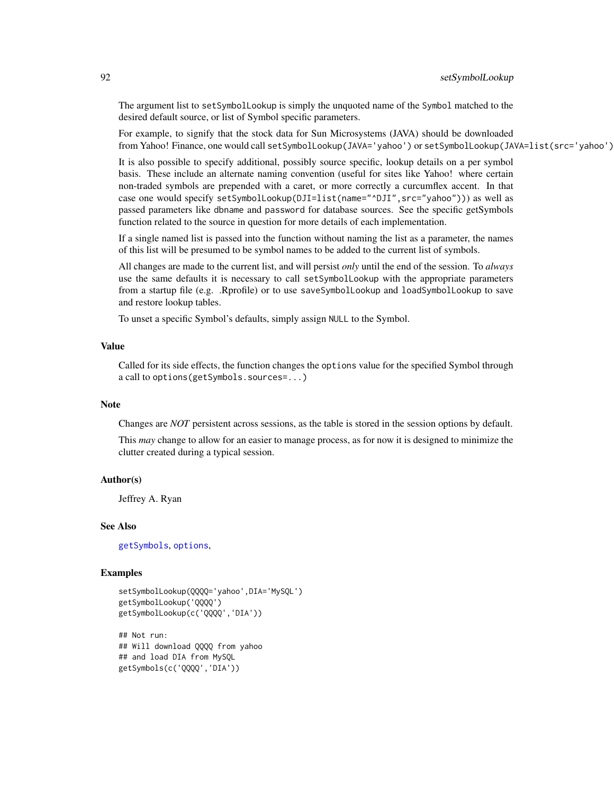The argument list to setSymbolLookup is simply the unquoted name of the Symbol matched to the desired default source, or list of Symbol specific parameters.

For example, to signify that the stock data for Sun Microsystems (JAVA) should be downloaded from Yahoo! Finance, one would call setSymbolLookup(JAVA='yahoo') or setSymbolLookup(JAVA=list(src='yahoo'))

It is also possible to specify additional, possibly source specific, lookup details on a per symbol basis. These include an alternate naming convention (useful for sites like Yahoo! where certain non-traded symbols are prepended with a caret, or more correctly a curcumflex accent. In that case one would specify setSymbolLookup(DJI=list(name="^DJI",src="yahoo"))) as well as passed parameters like dbname and password for database sources. See the specific getSymbols function related to the source in question for more details of each implementation.

If a single named list is passed into the function without naming the list as a parameter, the names of this list will be presumed to be symbol names to be added to the current list of symbols.

All changes are made to the current list, and will persist *only* until the end of the session. To *always* use the same defaults it is necessary to call setSymbolLookup with the appropriate parameters from a startup file (e.g. .Rprofile) or to use saveSymbolLookup and loadSymbolLookup to save and restore lookup tables.

To unset a specific Symbol's defaults, simply assign NULL to the Symbol.

#### Value

Called for its side effects, the function changes the options value for the specified Symbol through a call to options(getSymbols.sources=...)

#### **Note**

Changes are *NOT* persistent across sessions, as the table is stored in the session options by default.

This *may* change to allow for an easier to manage process, as for now it is designed to minimize the clutter created during a typical session.

#### Author(s)

Jeffrey A. Ryan

#### See Also

[getSymbols](#page-49-0), [options](#page-0-0),

#### Examples

```
setSymbolLookup(QQQQ='yahoo',DIA='MySQL')
getSymbolLookup('QQQQ')
getSymbolLookup(c('QQQQ','DIA'))
## Not run:
```
## Will download QQQQ from yahoo ## and load DIA from MySQL getSymbols(c('QQQQ','DIA'))

<span id="page-91-0"></span>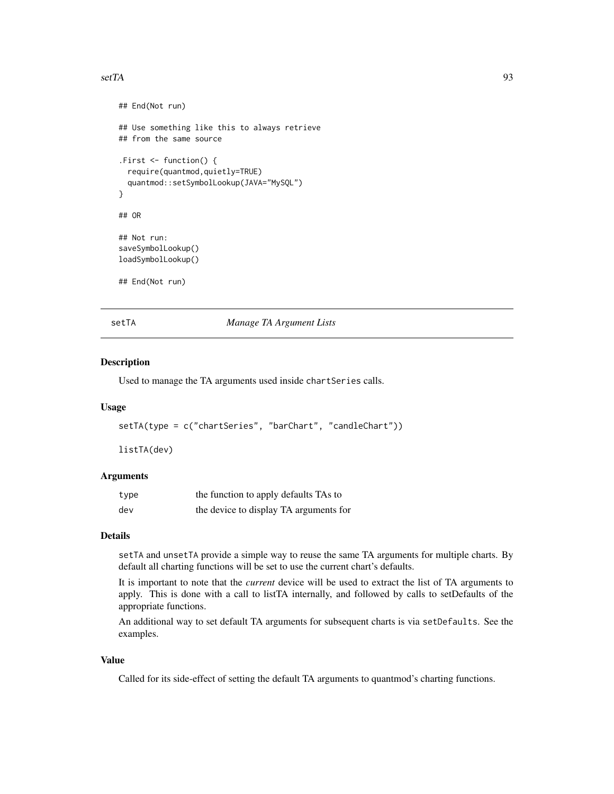#### <span id="page-92-0"></span>setTA 93

```
## End(Not run)
## Use something like this to always retrieve
## from the same source
.First <- function() {
 require(quantmod,quietly=TRUE)
 quantmod::setSymbolLookup(JAVA="MySQL")
}
## OR
## Not run:
saveSymbolLookup()
loadSymbolLookup()
## End(Not run)
```
#### setTA *Manage TA Argument Lists*

#### Description

Used to manage the TA arguments used inside chartSeries calls.

#### Usage

```
setTA(type = c("chartSeries", "barChart", "candleChart"))
```
listTA(dev)

#### **Arguments**

| type | the function to apply defaults TAs to  |
|------|----------------------------------------|
| dev  | the device to display TA arguments for |

# Details

setTA and unsetTA provide a simple way to reuse the same TA arguments for multiple charts. By default all charting functions will be set to use the current chart's defaults.

It is important to note that the *current* device will be used to extract the list of TA arguments to apply. This is done with a call to listTA internally, and followed by calls to setDefaults of the appropriate functions.

An additional way to set default TA arguments for subsequent charts is via setDefaults. See the examples.

# Value

Called for its side-effect of setting the default TA arguments to quantmod's charting functions.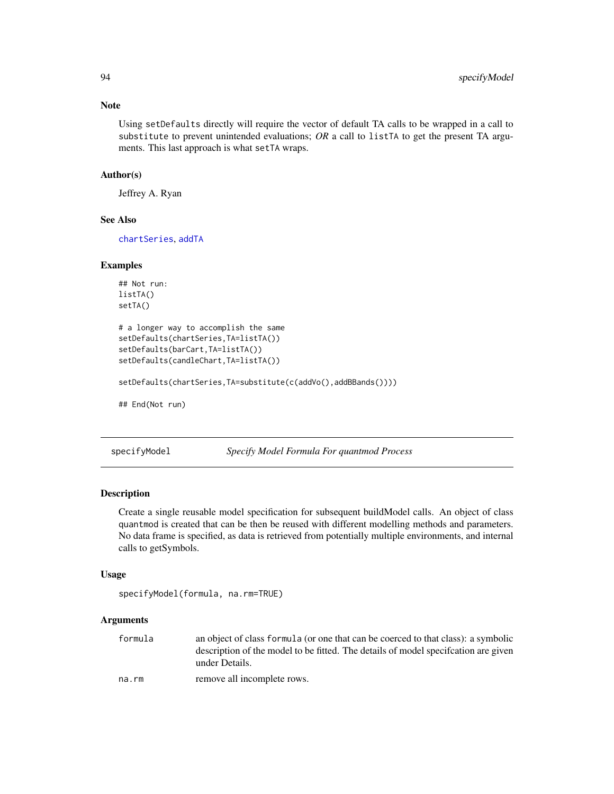#### Note

Using setDefaults directly will require the vector of default TA calls to be wrapped in a call to substitute to prevent unintended evaluations; OR a call to listTA to get the present TA arguments. This last approach is what setTA wraps.

# Author(s)

Jeffrey A. Ryan

# See Also

[chartSeries](#page-21-0), [addTA](#page-76-0)

#### Examples

```
## Not run:
listTA()
setTA()
# a longer way to accomplish the same
setDefaults(chartSeries,TA=listTA())
setDefaults(barCart,TA=listTA())
setDefaults(candleChart,TA=listTA())
setDefaults(chartSeries,TA=substitute(c(addVo(),addBBands())))
## End(Not run)
```
<span id="page-93-0"></span>specifyModel *Specify Model Formula For quantmod Process*

# Description

Create a single reusable model specification for subsequent buildModel calls. An object of class quantmod is created that can be then be reused with different modelling methods and parameters. No data frame is specified, as data is retrieved from potentially multiple environments, and internal calls to getSymbols.

#### Usage

```
specifyModel(formula, na.rm=TRUE)
```
#### Arguments

| formula | an object of class formula (or one that can be coerced to that class): a symbolic   |
|---------|-------------------------------------------------------------------------------------|
|         | description of the model to be fitted. The details of model specification are given |
|         | under Details.                                                                      |
| na.rm   | remove all incomplete rows.                                                         |

<span id="page-93-1"></span>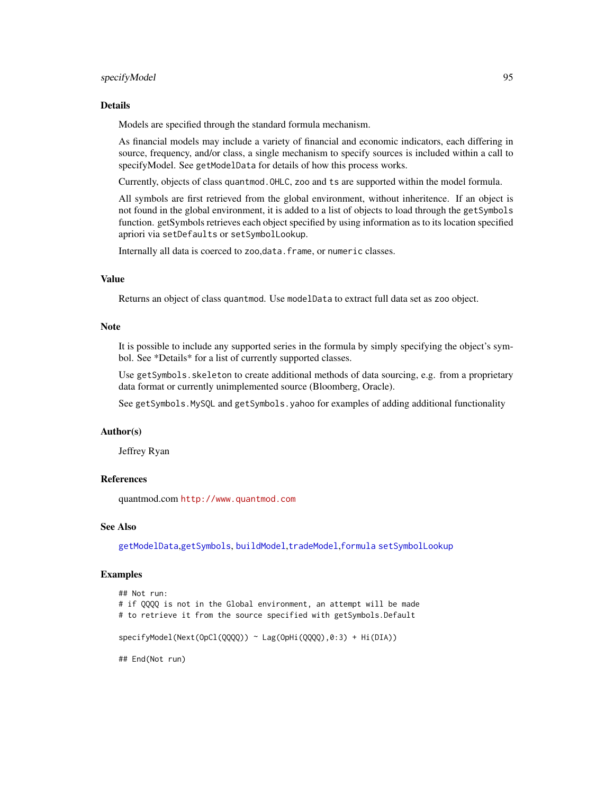### <span id="page-94-0"></span>specifyModel 95

#### Details

Models are specified through the standard formula mechanism.

As financial models may include a variety of financial and economic indicators, each differing in source, frequency, and/or class, a single mechanism to specify sources is included within a call to specifyModel. See getModelData for details of how this process works.

Currently, objects of class quantmod.OHLC, zoo and ts are supported within the model formula.

All symbols are first retrieved from the global environment, without inheritence. If an object is not found in the global environment, it is added to a list of objects to load through the getSymbols function. getSymbols retrieves each object specified by using information as to its location specified apriori via setDefaults or setSymbolLookup.

Internally all data is coerced to zoo, data. frame, or numeric classes.

#### Value

Returns an object of class quantmod. Use modelData to extract full data set as zoo object.

# Note

It is possible to include any supported series in the formula by simply specifying the object's symbol. See \*Details\* for a list of currently supported classes.

Use getSymbols.skeleton to create additional methods of data sourcing, e.g. from a proprietary data format or currently unimplemented source (Bloomberg, Oracle).

See getSymbols.MySQL and getSymbols.yahoo for examples of adding additional functionality

#### Author(s)

Jeffrey Ryan

#### References

quantmod.com <http://www.quantmod.com>

# See Also

[getModelData](#page-43-0),[getSymbols](#page-49-0), [buildModel](#page-20-0),[tradeModel](#page-97-0),[formula](#page-0-0) [setSymbolLookup](#page-90-0)

#### Examples

```
## Not run:
# if QQQQ is not in the Global environment, an attempt will be made
# to retrieve it from the source specified with getSymbols.Default
specifyModel(Next(OpCl(QQQQ)) ~ Lag(OpHi(QQQQ),0:3) + Hi(DIA))
## End(Not run)
```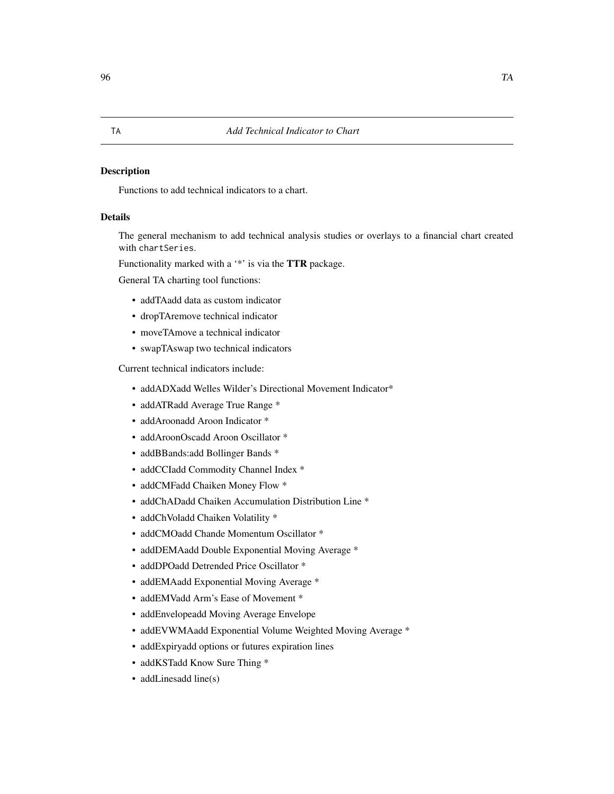<span id="page-95-1"></span><span id="page-95-0"></span>Functions to add technical indicators to a chart.

#### Details

The general mechanism to add technical analysis studies or overlays to a financial chart created with chartSeries.

Functionality marked with a  $**$  is via the TTR package.

General TA charting tool functions:

- addTAadd data as custom indicator
- dropTAremove technical indicator
- moveTAmove a technical indicator
- swapTAswap two technical indicators

Current technical indicators include:

- addADXadd Welles Wilder's Directional Movement Indicator\*
- addATRadd Average True Range \*
- addAroonadd Aroon Indicator \*
- addAroonOscadd Aroon Oscillator \*
- addBBands:add Bollinger Bands \*
- addCCIadd Commodity Channel Index \*
- addCMFadd Chaiken Money Flow \*
- addChADadd Chaiken Accumulation Distribution Line \*
- addChVoladd Chaiken Volatility \*
- addCMOadd Chande Momentum Oscillator \*
- addDEMAadd Double Exponential Moving Average \*
- addDPOadd Detrended Price Oscillator \*
- addEMAadd Exponential Moving Average \*
- addEMVadd Arm's Ease of Movement \*
- addEnvelopeadd Moving Average Envelope
- addEVWMAadd Exponential Volume Weighted Moving Average \*
- addExpiryadd options or futures expiration lines
- addKSTadd Know Sure Thing \*
- addLinesadd line(s)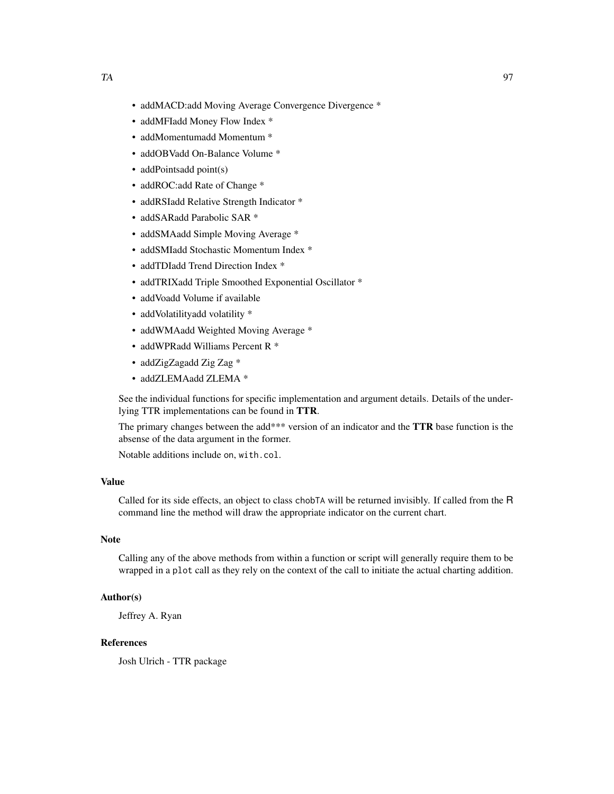- addMACD:add Moving Average Convergence Divergence \*
- addMFIadd Money Flow Index \*
- addMomentumadd Momentum \*
- addOBVadd On-Balance Volume \*
- addPointsadd point(s)
- addROC:add Rate of Change \*
- addRSIadd Relative Strength Indicator \*
- addSARadd Parabolic SAR \*
- addSMAadd Simple Moving Average \*
- addSMIadd Stochastic Momentum Index \*
- addTDIadd Trend Direction Index \*
- addTRIXadd Triple Smoothed Exponential Oscillator \*
- addVoadd Volume if available
- addVolatilityadd volatility \*
- addWMAadd Weighted Moving Average \*
- addWPRadd Williams Percent R \*
- addZigZagadd Zig Zag \*
- addZLEMAadd ZLEMA \*

See the individual functions for specific implementation and argument details. Details of the underlying TTR implementations can be found in TTR.

The primary changes between the add\*\*\* version of an indicator and the TTR base function is the absense of the data argument in the former.

Notable additions include on, with.col.

### Value

Called for its side effects, an object to class chobTA will be returned invisibly. If called from the R command line the method will draw the appropriate indicator on the current chart.

#### Note

Calling any of the above methods from within a function or script will generally require them to be wrapped in a plot call as they rely on the context of the call to initiate the actual charting addition.

# Author(s)

Jeffrey A. Ryan

#### References

Josh Ulrich - TTR package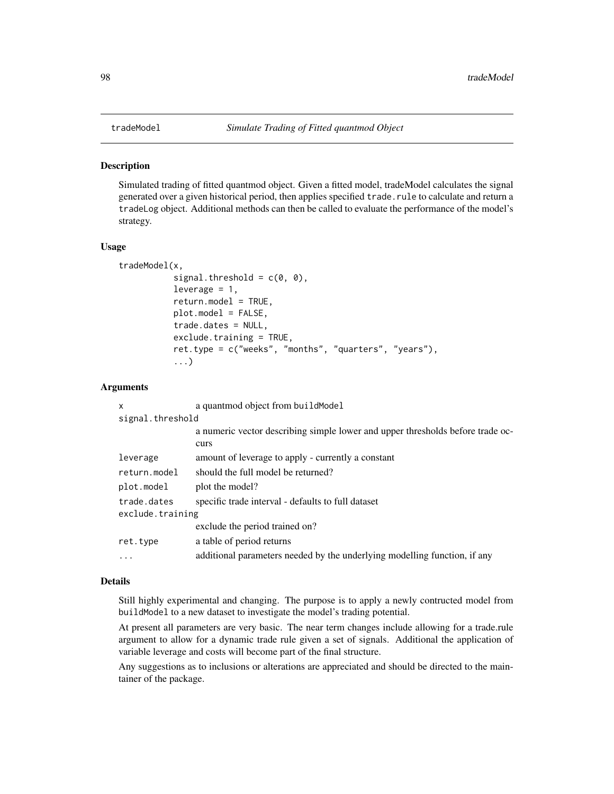<span id="page-97-1"></span><span id="page-97-0"></span>Simulated trading of fitted quantmod object. Given a fitted model, tradeModel calculates the signal generated over a given historical period, then applies specified trade.rule to calculate and return a tradeLog object. Additional methods can then be called to evaluate the performance of the model's strategy.

# Usage

```
tradeModel(x,
           signal.threshold = c(\theta, \theta),
           leverage = 1,
           return.model = TRUE,
           plot.model = FALSE,
           trade.dates = NULL,
           exclude.training = TRUE,
           ret.type = c("weeks", "months", "quarters", "years"),
            ...)
```
# Arguments

| X                | a quantmod object from buildModel                                              |
|------------------|--------------------------------------------------------------------------------|
| signal.threshold |                                                                                |
|                  | a numeric vector describing simple lower and upper thresholds before trade oc- |
|                  | curs                                                                           |
| leverage         | amount of leverage to apply - currently a constant                             |
| return.model     | should the full model be returned?                                             |
| plot.model       | plot the model?                                                                |
| trade.dates      | specific trade interval - defaults to full dataset                             |
| exclude.training |                                                                                |
|                  | exclude the period trained on?                                                 |
| ret.type         | a table of period returns                                                      |
| $\cdots$         | additional parameters needed by the underlying modelling function, if any      |

#### Details

Still highly experimental and changing. The purpose is to apply a newly contructed model from buildModel to a new dataset to investigate the model's trading potential.

At present all parameters are very basic. The near term changes include allowing for a trade.rule argument to allow for a dynamic trade rule given a set of signals. Additional the application of variable leverage and costs will become part of the final structure.

Any suggestions as to inclusions or alterations are appreciated and should be directed to the maintainer of the package.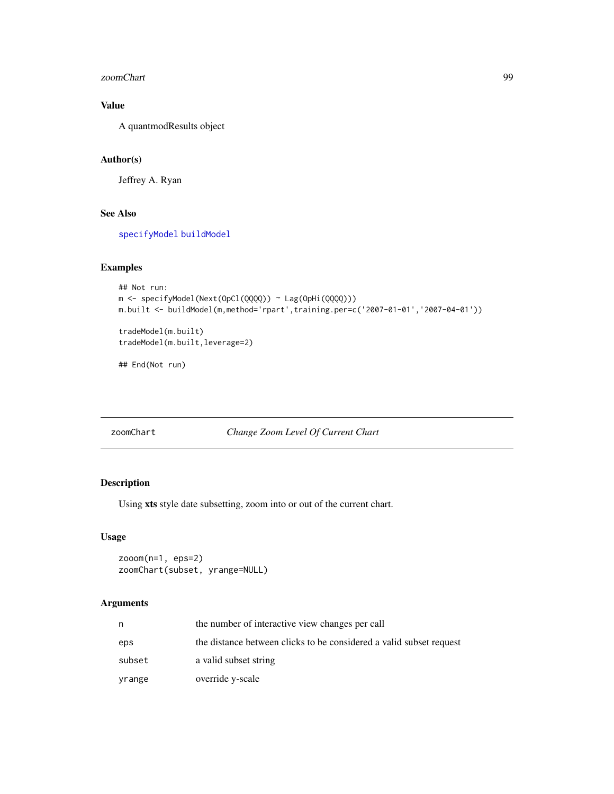#### <span id="page-98-0"></span>zoomChart 99

# Value

A quantmodResults object

# Author(s)

Jeffrey A. Ryan

# See Also

[specifyModel](#page-93-0) [buildModel](#page-20-0)

# Examples

```
## Not run:
m <- specifyModel(Next(OpCl(QQQQ)) ~ Lag(OpHi(QQQQ)))
m.built <- buildModel(m,method='rpart',training.per=c('2007-01-01','2007-04-01'))
tradeModel(m.built)
tradeModel(m.built,leverage=2)
```
## End(Not run)

# zoomChart *Change Zoom Level Of Current Chart*

# Description

Using xts style date subsetting, zoom into or out of the current chart.

#### Usage

```
zooom(n=1, eps=2)
zoomChart(subset, yrange=NULL)
```
# Arguments

| n      | the number of interactive view changes per call                     |
|--------|---------------------------------------------------------------------|
| eps    | the distance between clicks to be considered a valid subset request |
| subset | a valid subset string                                               |
| yrange | override y-scale                                                    |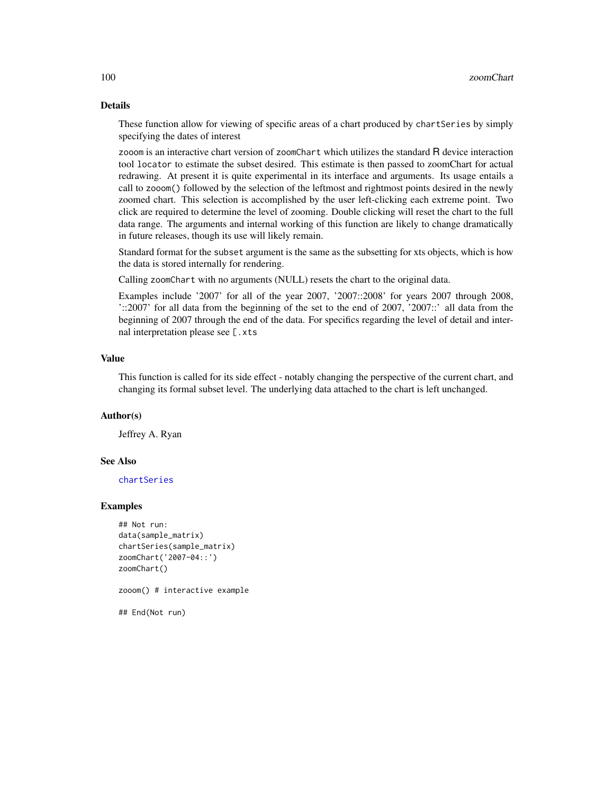# <span id="page-99-0"></span>Details

These function allow for viewing of specific areas of a chart produced by chartSeries by simply specifying the dates of interest

zooom is an interactive chart version of zoomChart which utilizes the standard R device interaction tool locator to estimate the subset desired. This estimate is then passed to zoomChart for actual redrawing. At present it is quite experimental in its interface and arguments. Its usage entails a call to zooom() followed by the selection of the leftmost and rightmost points desired in the newly zoomed chart. This selection is accomplished by the user left-clicking each extreme point. Two click are required to determine the level of zooming. Double clicking will reset the chart to the full data range. The arguments and internal working of this function are likely to change dramatically in future releases, though its use will likely remain.

Standard format for the subset argument is the same as the subsetting for xts objects, which is how the data is stored internally for rendering.

Calling zoomChart with no arguments (NULL) resets the chart to the original data.

Examples include '2007' for all of the year 2007, '2007::2008' for years 2007 through 2008, '::2007' for all data from the beginning of the set to the end of 2007, '2007::' all data from the beginning of 2007 through the end of the data. For specifics regarding the level of detail and internal interpretation please see [.xts

# Value

This function is called for its side effect - notably changing the perspective of the current chart, and changing its formal subset level. The underlying data attached to the chart is left unchanged.

#### Author(s)

Jeffrey A. Ryan

#### See Also

[chartSeries](#page-21-0)

# Examples

```
## Not run:
data(sample_matrix)
chartSeries(sample_matrix)
zoomChart('2007-04::')
zoomChart()
```
zooom() # interactive example

## End(Not run)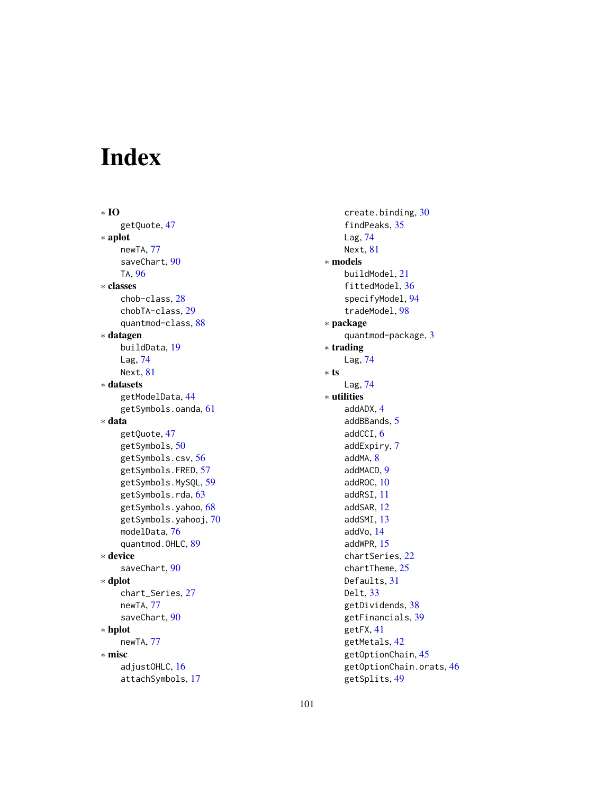# Index

∗ IO getQuote, [47](#page-46-0) ∗ aplot newTA, [77](#page-76-1) saveChart, [90](#page-89-0) TA, [96](#page-95-1) ∗ classes chob-class, [28](#page-27-1) chobTA-class, [29](#page-28-1) quantmod-class, [88](#page-87-0) ∗ datagen buildData, [19](#page-18-0) Lag, [74](#page-73-1) Next, [81](#page-80-0) ∗ datasets getModelData, [44](#page-43-1) getSymbols.oanda, [61](#page-60-0) ∗ data getQuote, [47](#page-46-0) getSymbols, [50](#page-49-1) getSymbols.csv, [56](#page-55-0) getSymbols.FRED, [57](#page-56-0) getSymbols.MySQL, [59](#page-58-0) getSymbols.rda, [63](#page-62-0) getSymbols.yahoo, [68](#page-67-0) getSymbols.yahooj, [70](#page-69-0) modelData, [76](#page-75-0) quantmod.OHLC, [89](#page-88-1) ∗ device saveChart, [90](#page-89-0) ∗ dplot chart\_Series, [27](#page-26-0) newTA, [77](#page-76-1) saveChart, [90](#page-89-0) ∗ hplot newTA, [77](#page-76-1) ∗ misc adjustOHLC, [16](#page-15-0) attachSymbols, [17](#page-16-0)

create.binding, [30](#page-29-0) findPeaks, [35](#page-34-0) Lag, [74](#page-73-1) Next, [81](#page-80-0) ∗ models buildModel, [21](#page-20-1) fittedModel, [36](#page-35-0) specifyModel, [94](#page-93-1) tradeModel, [98](#page-97-1) ∗ package quantmod-package, [3](#page-2-0) ∗ trading Lag, [74](#page-73-1) ∗ ts Lag, [74](#page-73-1) ∗ utilities addADX, [4](#page-3-0) addBBands, [5](#page-4-0) addCCI, [6](#page-5-0) addExpiry, [7](#page-6-1) addMA, [8](#page-7-0) addMACD, [9](#page-8-0) addROC, [10](#page-9-0) addRSI, [11](#page-10-0) addSAR, [12](#page-11-0) addSMI, [13](#page-12-0) addVo, [14](#page-13-0) addWPR, [15](#page-14-0) chartSeries, [22](#page-21-1) chartTheme, [25](#page-24-0) Defaults, [31](#page-30-0) Delt, [33](#page-32-0) getDividends, [38](#page-37-0) getFinancials, [39](#page-38-0) getFX, [41](#page-40-0) getMetals, [42](#page-41-0) getOptionChain, [45](#page-44-0) getOptionChain.orats, [46](#page-45-0) getSplits, [49](#page-48-0)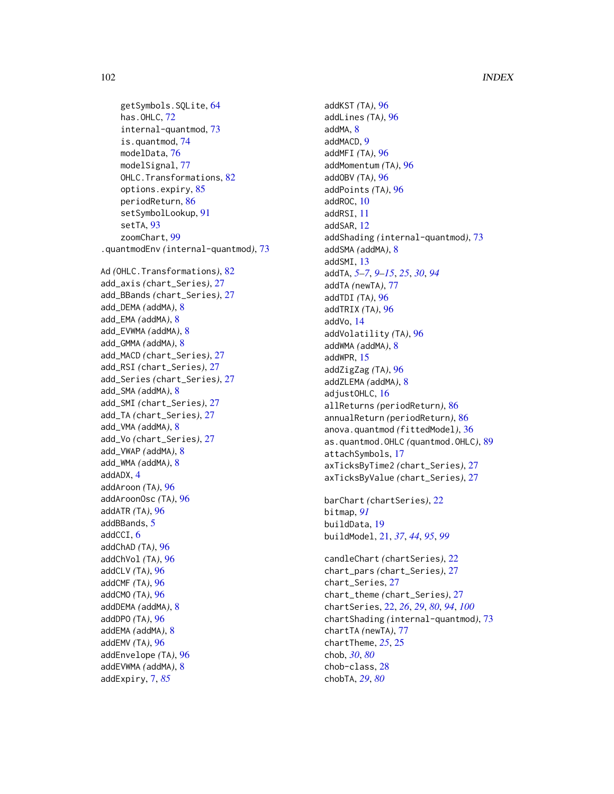```
getSymbols.SQLite, 64
    72
    internal-quantmod, 73
    is.quantmod, 74
    modelData, 76
    modelSignal, 77
    OHLC.Transformations, 82
    options.expiry, 85
    periodReturn, 86
    setSymbolLookup, 91
    setTA, 93
    zoomChart, 99
.quantmodEnv (internal-quantmod), 73
Ad (OHLC.Transformations), 82
add_axis (chart_Series), 27
add_BBands (chart_Series), 27
add_DEMA (addMA), 8
add_EMA (addMA), 8
add_EVWMA (addMA), 8
add_GMMA (addMA), 8
add_MACD (chart_Series), 27
add_RSI (chart_Series), 27
add_Series (chart_Series), 27
add_SMA (addMA), 8
add_SMI (chart_Series), 27
add_TA (chart_Series), 27
add_VMA (addMA), 8
add_Vo (chart_Series), 27
add_VWAP (addMA), 8
add_WMA (addMA), 8
addADX, 4
addAroon (TA), 96
addAroonOsc (TA), 96
addATR (TA), 96
addBBands, 5
addCCI, 6
addChAD (TA), 96
addChVol (TA), 96
addCLV (TA), 96
addCMF (TA), 96
addCMO (TA), 96
addDEMA (addMA), 8
addDPO (TA), 96
addEMA (addMA), 8
addEMV (TA), 96
addEnvelope (TA), 96
addEVWMA (addMA), 8
addExpiry, 7, 85
```
addKST *(*TA*)*, [96](#page-95-1) addLines *(*TA*)*, [96](#page-95-1) addMA, [8](#page-7-0) addMACD, [9](#page-8-0) addMFI *(*TA*)*, [96](#page-95-1) addMomentum *(*TA*)*, [96](#page-95-1) addOBV *(*TA*)*, [96](#page-95-1) addPoints *(*TA*)*, [96](#page-95-1) addROC, [10](#page-9-0) addRSI, [11](#page-10-0) addSAR, [12](#page-11-0) addShading *(*internal-quantmod*)*, [73](#page-72-0) addSMA *(*addMA*)*, [8](#page-7-0) addSMI, [13](#page-12-0) addTA, *[5–](#page-4-0)[7](#page-6-1)*, *[9](#page-8-0)[–15](#page-14-0)*, *[25](#page-24-0)*, *[30](#page-29-0)*, *[94](#page-93-1)* addTA *(*newTA*)*, [77](#page-76-1) addTDI *(*TA*)*, [96](#page-95-1) addTRIX *(*TA*)*, [96](#page-95-1) addVo, [14](#page-13-0) addVolatility *(*TA*)*, [96](#page-95-1) addWMA *(*addMA*)*, [8](#page-7-0) addWPR, [15](#page-14-0) addZigZag *(*TA*)*, [96](#page-95-1) addZLEMA *(*addMA*)*, [8](#page-7-0) adjustOHLC, [16](#page-15-0) allReturns *(*periodReturn*)*, [86](#page-85-0) annualReturn *(*periodReturn*)*, [86](#page-85-0) anova.quantmod *(*fittedModel*)*, [36](#page-35-0) as.quantmod.OHLC *(*quantmod.OHLC*)*, [89](#page-88-1) attachSymbols, [17](#page-16-0) axTicksByTime2 *(*chart\_Series*)*, [27](#page-26-0) axTicksByValue *(*chart\_Series*)*, [27](#page-26-0)

barChart *(*chartSeries*)*, [22](#page-21-1) bitmap, *[91](#page-90-1)* buildData, [19](#page-18-0) buildModel, [21,](#page-20-1) *[37](#page-36-0)*, *[44](#page-43-1)*, *[95](#page-94-0)*, *[99](#page-98-0)*

candleChart *(*chartSeries*)*, [22](#page-21-1) chart\_pars *(*chart\_Series*)*, [27](#page-26-0) chart\_Series, [27](#page-26-0) chart\_theme *(*chart\_Series*)*, [27](#page-26-0) chartSeries, [22,](#page-21-1) *[26](#page-25-0)*, *[29](#page-28-1)*, *[80](#page-79-0)*, *[94](#page-93-1)*, *[100](#page-99-0)* chartShading *(*internal-quantmod*)*, [73](#page-72-0) chartTA *(*newTA*)*, [77](#page-76-1) chartTheme, *[25](#page-24-0)*, [25](#page-24-0) chob, *[30](#page-29-0)*, *[80](#page-79-0)* chob-class, [28](#page-27-1) chobTA, *[29](#page-28-1)*, *[80](#page-79-0)*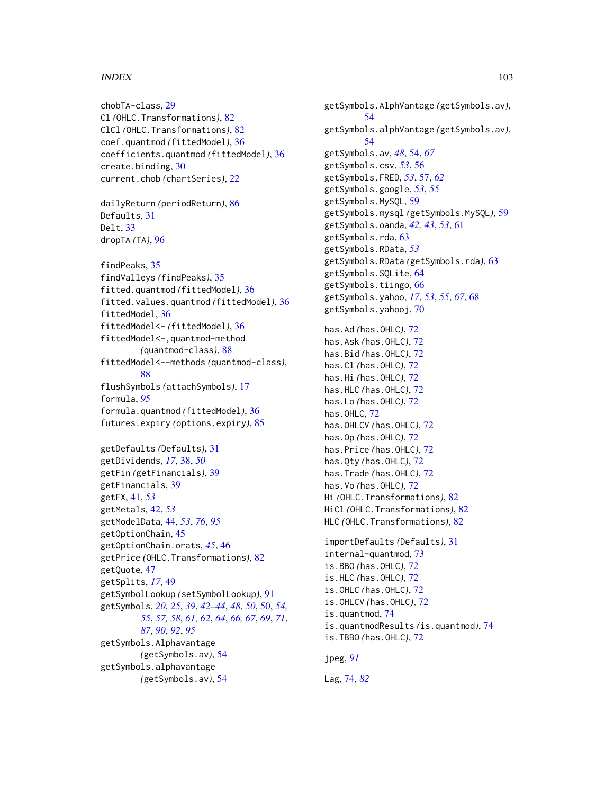### INDEX  $103$

chobTA-class, [29](#page-28-1) Cl *(*OHLC.Transformations*)*, [82](#page-81-1) ClCl *(*OHLC.Transformations*)*, [82](#page-81-1) coef.quantmod *(*fittedModel*)*, [36](#page-35-0) coefficients.quantmod *(*fittedModel*)*, [36](#page-35-0) create.binding, [30](#page-29-0) current.chob *(*chartSeries*)*, [22](#page-21-1) dailyReturn *(*periodReturn*)*, [86](#page-85-0) Defaults, [31](#page-30-0) Delt, [33](#page-32-0) dropTA *(*TA*)*, [96](#page-95-1) findPeaks, [35](#page-34-0) findValleys *(*findPeaks*)*, [35](#page-34-0) fitted.quantmod *(*fittedModel*)*, [36](#page-35-0) fitted.values.quantmod *(*fittedModel*)*, [36](#page-35-0) fittedModel, [36](#page-35-0) fittedModel<- *(*fittedModel*)*, [36](#page-35-0) fittedModel<-,quantmod-method *(*quantmod-class*)*, [88](#page-87-0) fittedModel<--methods *(*quantmod-class*)*, [88](#page-87-0) flushSymbols *(*attachSymbols*)*, [17](#page-16-0) formula, *[95](#page-94-0)* formula.quantmod *(*fittedModel*)*, [36](#page-35-0) futures.expiry *(*options.expiry*)*, [85](#page-84-0) getDefaults *(*Defaults*)*, [31](#page-30-0) getDividends, *[17](#page-16-0)*, [38,](#page-37-0) *[50](#page-49-1)* getFin *(*getFinancials*)*, [39](#page-38-0) getFinancials, [39](#page-38-0) getFX, [41,](#page-40-0) *[53](#page-52-0)* getMetals, [42,](#page-41-0) *[53](#page-52-0)* getModelData, [44,](#page-43-1) *[53](#page-52-0)*, *[76](#page-75-0)*, *[95](#page-94-0)* getOptionChain, [45](#page-44-0) getOptionChain.orats, *[45](#page-44-0)*, [46](#page-45-0) getPrice *(*OHLC.Transformations*)*, [82](#page-81-1) getQuote, [47](#page-46-0) getSplits, *[17](#page-16-0)*, [49](#page-48-0) getSymbolLookup *(*setSymbolLookup*)*, [91](#page-90-1) getSymbols, *[20](#page-19-0)*, *[25](#page-24-0)*, *[39](#page-38-0)*, *[42–](#page-41-0)[44](#page-43-1)*, *[48](#page-47-0)*, *[50](#page-49-1)*, [50,](#page-49-1) *[54,](#page-53-0) [55](#page-54-0)*, *[57,](#page-56-0) [58](#page-57-0)*, *[61,](#page-60-0) [62](#page-61-0)*, *[64](#page-63-0)*, *[66,](#page-65-0) [67](#page-66-0)*, *[69](#page-68-0)*, *[71](#page-70-0)*, *[87](#page-86-0)*, *[90](#page-89-0)*, *[92](#page-91-0)*, *[95](#page-94-0)* getSymbols.Alphavantage *(*getSymbols.av*)*, [54](#page-53-0) getSymbols.alphavantage *(*getSymbols.av*)*, [54](#page-53-0)

getSymbols.AlphVantage *(*getSymbols.av*)*, [54](#page-53-0) getSymbols.alphVantage *(*getSymbols.av*)*, [54](#page-53-0) getSymbols.av, *[48](#page-47-0)*, [54,](#page-53-0) *[67](#page-66-0)* getSymbols.csv, *[53](#page-52-0)*, [56](#page-55-0) getSymbols.FRED, *[53](#page-52-0)*, [57,](#page-56-0) *[62](#page-61-0)* getSymbols.google, *[53](#page-52-0)*, *[55](#page-54-0)* getSymbols.MySQL, [59](#page-58-0) getSymbols.mysql *(*getSymbols.MySQL*)*, [59](#page-58-0) getSymbols.oanda, *[42,](#page-41-0) [43](#page-42-0)*, *[53](#page-52-0)*, [61](#page-60-0) getSymbols.rda, [63](#page-62-0) getSymbols.RData, *[53](#page-52-0)* getSymbols.RData *(*getSymbols.rda*)*, [63](#page-62-0) getSymbols.SQLite, [64](#page-63-0) getSymbols.tiingo, [66](#page-65-0) getSymbols.yahoo, *[17](#page-16-0)*, *[53](#page-52-0)*, *[55](#page-54-0)*, *[67](#page-66-0)*, [68](#page-67-0) getSymbols.yahooj, [70](#page-69-0) has.Ad *(*has.OHLC*)*, [72](#page-71-0) has.Ask *(*has.OHLC*)*, [72](#page-71-0) has.Bid *(*has.OHLC*)*, [72](#page-71-0) has.Cl *(*has.OHLC*)*, [72](#page-71-0) has.Hi *(*has.OHLC*)*, [72](#page-71-0) has.HLC *(*has.OHLC*)*, [72](#page-71-0) has.Lo *(*has.OHLC*)*, [72](#page-71-0) has.OHLC, [72](#page-71-0) has.OHLCV *(*has.OHLC*)*, [72](#page-71-0) has.Op *(*has.OHLC*)*, [72](#page-71-0) has.Price *(*has.OHLC*)*, [72](#page-71-0) has.Qty *(*has.OHLC*)*, [72](#page-71-0) has.Trade *(*has.OHLC*)*, [72](#page-71-0) has.Vo *(*has.OHLC*)*, [72](#page-71-0) Hi *(*OHLC.Transformations*)*, [82](#page-81-1) HiCl *(*OHLC.Transformations*)*, [82](#page-81-1) HLC *(*OHLC.Transformations*)*, [82](#page-81-1) importDefaults *(*Defaults*)*, [31](#page-30-0) internal-quantmod, [73](#page-72-0) is.BBO *(*has.OHLC*)*, [72](#page-71-0) is.HLC *(*has.OHLC*)*, [72](#page-71-0) is.OHLC *(*has.OHLC*)*, [72](#page-71-0) is.OHLCV *(*has.OHLC*)*, [72](#page-71-0) is.quantmod, [74](#page-73-1) is.quantmodResults *(*is.quantmod*)*, [74](#page-73-1) is.TBBO *(*has.OHLC*)*, [72](#page-71-0) jpeg, *[91](#page-90-1)* Lag, [74,](#page-73-1) *[82](#page-81-1)*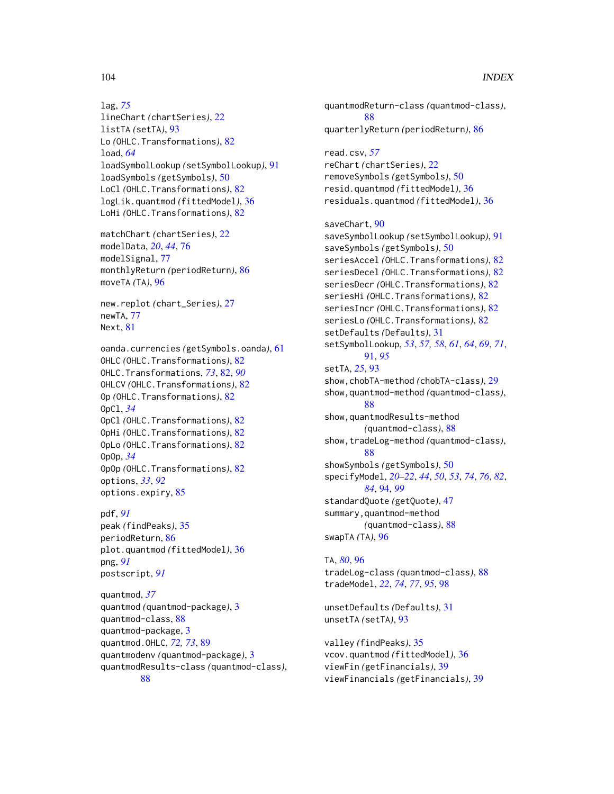#### 104 INDEX

lag, *[75](#page-74-0)* lineChart *(*chartSeries*)*, [22](#page-21-1) listTA *(*setTA*)*, [93](#page-92-0) Lo *(*OHLC.Transformations*)*, [82](#page-81-1) load, *[64](#page-63-0)* loadSymbolLookup *(*setSymbolLookup*)*, [91](#page-90-1) loadSymbols *(*getSymbols*)*, [50](#page-49-1) LoCl *(*OHLC.Transformations*)*, [82](#page-81-1) logLik.quantmod *(*fittedModel*)*, [36](#page-35-0) LoHi *(*OHLC.Transformations*)*, [82](#page-81-1)

matchChart *(*chartSeries*)*, [22](#page-21-1) modelData, *[20](#page-19-0)*, *[44](#page-43-1)*, [76](#page-75-0) modelSignal, [77](#page-76-1) monthlyReturn *(*periodReturn*)*, [86](#page-85-0) moveTA *(*TA*)*, [96](#page-95-1)

new.replot *(*chart\_Series*)*, [27](#page-26-0) newTA, [77](#page-76-1) Next, [81](#page-80-0)

oanda.currencies *(*getSymbols.oanda*)*, [61](#page-60-0) OHLC *(*OHLC.Transformations*)*, [82](#page-81-1) OHLC.Transformations, *[73](#page-72-0)*, [82,](#page-81-1) *[90](#page-89-0)* OHLCV *(*OHLC.Transformations*)*, [82](#page-81-1) Op *(*OHLC.Transformations*)*, [82](#page-81-1) OpCl, *[34](#page-33-0)* OpCl *(*OHLC.Transformations*)*, [82](#page-81-1) OpHi *(*OHLC.Transformations*)*, [82](#page-81-1) OpLo *(*OHLC.Transformations*)*, [82](#page-81-1) OpOp, *[34](#page-33-0)* OpOp *(*OHLC.Transformations*)*, [82](#page-81-1) options, *[33](#page-32-0)*, *[92](#page-91-0)* options.expiry, [85](#page-84-0)

pdf, *[91](#page-90-1)* peak *(*findPeaks*)*, [35](#page-34-0) periodReturn, [86](#page-85-0) plot.quantmod *(*fittedModel*)*, [36](#page-35-0) png, *[91](#page-90-1)* postscript, *[91](#page-90-1)*

quantmod, *[37](#page-36-0)* quantmod *(*quantmod-package*)*, [3](#page-2-0) quantmod-class, [88](#page-87-0) quantmod-package, [3](#page-2-0) quantmod.OHLC, *[72,](#page-71-0) [73](#page-72-0)*, [89](#page-88-1) quantmodenv *(*quantmod-package*)*, [3](#page-2-0) quantmodResults-class *(*quantmod-class*)*, [88](#page-87-0)

quantmodReturn-class *(*quantmod-class*)*, [88](#page-87-0) quarterlyReturn *(*periodReturn*)*, [86](#page-85-0) read.csv, *[57](#page-56-0)* reChart *(*chartSeries*)*, [22](#page-21-1) removeSymbols *(*getSymbols*)*, [50](#page-49-1) resid.quantmod *(*fittedModel*)*, [36](#page-35-0) residuals.quantmod *(*fittedModel*)*, [36](#page-35-0) saveChart, [90](#page-89-0) saveSymbolLookup *(*setSymbolLookup*)*, [91](#page-90-1) saveSymbols *(*getSymbols*)*, [50](#page-49-1) seriesAccel *(*OHLC.Transformations*)*, [82](#page-81-1) seriesDecel *(*OHLC.Transformations*)*, [82](#page-81-1) seriesDecr *(*OHLC.Transformations*)*, [82](#page-81-1) seriesHi *(*OHLC.Transformations*)*, [82](#page-81-1) seriesIncr *(*OHLC.Transformations*)*, [82](#page-81-1) seriesLo *(*OHLC.Transformations*)*, [82](#page-81-1) setDefaults *(*Defaults*)*, [31](#page-30-0) setSymbolLookup, *[53](#page-52-0)*, *[57,](#page-56-0) [58](#page-57-0)*, *[61](#page-60-0)*, *[64](#page-63-0)*, *[69](#page-68-0)*, *[71](#page-70-0)*, [91,](#page-90-1) *[95](#page-94-0)* setTA, *[25](#page-24-0)*, [93](#page-92-0) show,chobTA-method *(*chobTA-class*)*, [29](#page-28-1) show,quantmod-method *(*quantmod-class*)*, [88](#page-87-0) show,quantmodResults-method *(*quantmod-class*)*, [88](#page-87-0) show,tradeLog-method *(*quantmod-class*)*, [88](#page-87-0) showSymbols *(*getSymbols*)*, [50](#page-49-1) specifyModel, *[20](#page-19-0)[–22](#page-21-1)*, *[44](#page-43-1)*, *[50](#page-49-1)*, *[53](#page-52-0)*, *[74](#page-73-1)*, *[76](#page-75-0)*, *[82](#page-81-1)*, *[84](#page-83-0)*, [94,](#page-93-1) *[99](#page-98-0)* standardQuote *(*getQuote*)*, [47](#page-46-0) summary,quantmod-method *(*quantmod-class*)*, [88](#page-87-0) swapTA *(*TA*)*, [96](#page-95-1)

```
TA, 80, 96
tradeLog-class (quantmod-class), 88
tradeModel, 22, 74, 77, 95, 98
```
unsetDefaults *(*Defaults*)*, [31](#page-30-0) unsetTA *(*setTA*)*, [93](#page-92-0)

```
valley (findPeaks), 35
vcov.quantmod (fittedModel), 36
viewFin (getFinancials), 39
viewFinancials (getFinancials), 39
```